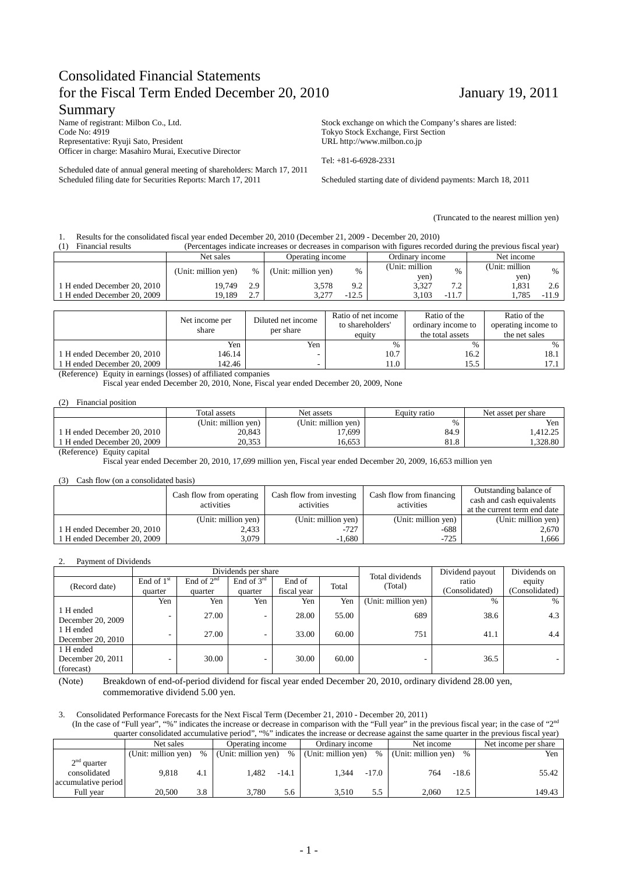# Consolidated Financial Statements for the Fiscal Term Ended December 20, 2010 January 19, 2011

### Summary

Name of registrant: Milbon Co., Ltd. Code No: 4919 Representative: Ryuji Sato, President Officer in charge: Masahiro Murai, Executive Director

Scheduled date of annual general meeting of shareholders: March 17, 2011 Scheduled filing date for Securities Reports: March 17, 2011

Stock exchange on which the Company's shares are listed: Tokyo Stock Exchange, First Section URL http://www.milbon.co.jp

Tel: +81-6-6928-2331

Scheduled starting date of dividend payments: March 18, 2011

(Truncated to the nearest million yen)

#### 1. Results for the consolidated fiscal year ended December 20, 2010 (December 21, 2009 - December 20, 2010)

| Financial results           | (Percentages indicate increases or decreases in comparison with figures recorded during the previous fiscal year) |      |                     |               |                         |         |                         |         |  |  |  |
|-----------------------------|-------------------------------------------------------------------------------------------------------------------|------|---------------------|---------------|-------------------------|---------|-------------------------|---------|--|--|--|
|                             | Net sales                                                                                                         |      | Operating income    |               | Ordinary income         |         | Net income              |         |  |  |  |
|                             | (Unit: million yen)                                                                                               | $\%$ | (Unit: million yen) | $\frac{0}{0}$ | (Unit: million)<br>yen) | 0/2     | (Unit: million)<br>yen) | $\%$    |  |  |  |
| 1 H ended December 20, 2010 | 19.749                                                                                                            | 2.9  | 3.578               | 9.2           | 3.327                   | 7 2     | 1.831                   |         |  |  |  |
| 1 H ended December 20, 2009 | 19.189                                                                                                            | າ 7  | 3.277               | $-12.5$       | 3.103                   | $-11.7$ | 1.785                   | $-11.9$ |  |  |  |

|                             | Net income per<br>share | Diluted net income<br>per share | Ratio of net income<br>to shareholders'<br>equity | Ratio of the<br>ordinary income to<br>the total assets | Ratio of the<br>operating income to<br>the net sales |
|-----------------------------|-------------------------|---------------------------------|---------------------------------------------------|--------------------------------------------------------|------------------------------------------------------|
|                             | Yen                     | Yen                             | $\%$                                              | $\%$                                                   | $\%$                                                 |
| 1 H ended December 20, 2010 | 146.14                  |                                 | 10.7                                              | 16.2                                                   | 18.1                                                 |
| 1 H ended December 20, 2009 | 142.46                  |                                 | 11.0                                              | 15.5                                                   |                                                      |

(Reference) Equity in earnings (losses) of affiliated companies

Fiscal year ended December 20, 2010, None, Fiscal year ended December 20, 2009, None

#### (2) Financial position

|                           | Total assets        | Net assets          | Equity ratio | Net asset per share |
|---------------------------|---------------------|---------------------|--------------|---------------------|
|                           | (Unit: million yen) | (Unit: million ven) | $\%$         | Yen                 |
| H ended December 20, 2010 | 20,843              | 17,699              | 84.9         | .412.25             |
| H ended December 20, 2009 | 20.353              | 16.653              | 81.8         | .328.80             |

(Reference) Equity capital

Fiscal year ended December 20, 2010, 17,699 million yen, Fiscal year ended December 20, 2009, 16,653 million yen

#### (3) Cash flow (on a consolidated basis)

|                             | Cash flow from operating<br>activities | Cash flow from investing<br>activities | Cash flow from financing<br>activities | Outstanding balance of<br>cash and cash equivalents<br>at the current term end date |  |
|-----------------------------|----------------------------------------|----------------------------------------|----------------------------------------|-------------------------------------------------------------------------------------|--|
|                             | (Unit: million yen)                    | (Unit: million yen)                    | (Unit: million yen)                    | (Unit: million yen)                                                                 |  |
| 1 H ended December 20, 2010 | 2,433                                  | $-727$                                 | $-688$                                 | 2.670                                                                               |  |
| 1 H ended December 20, 2009 | 3,079                                  | $-1,680$                               | $-725$                                 | 1.666                                                                               |  |

#### 2. Payment of Dividends

|                   |              |                 | Dividends per share      |             |       | Total dividends     | Dividend payout | Dividends on   |  |
|-------------------|--------------|-----------------|--------------------------|-------------|-------|---------------------|-----------------|----------------|--|
| (Record date)     | End of $1st$ | End of $2^{nd}$ | End of $3^{\text{rd}}$   | End of      | Total | (Total)             | ratio           | equity         |  |
|                   | quarter      | quarter         | quarter                  | fiscal year |       |                     | (Consolidated)  | (Consolidated) |  |
|                   | Yen          | Yen             | Yen                      | Yen         | Yen   | (Unit: million yen) | $\%$            | $\%$           |  |
| 1 H ended         |              | 27.00           | $\overline{\phantom{a}}$ | 28.00       | 55.00 | 689                 | 38.6            | 4.3            |  |
| December 20, 2009 | -            |                 |                          |             |       |                     |                 |                |  |
| 1 H ended         |              | 27.00           | $\overline{\phantom{a}}$ | 33.00       | 60.00 | 751                 | 41.1            | 4.4            |  |
| December 20, 2010 |              |                 |                          |             |       |                     |                 |                |  |
| 1 H ended         |              |                 |                          |             |       |                     |                 |                |  |
| December 20, 2011 |              | 30.00           | -                        | 30.00       | 60.00 | ۰                   | 36.5            |                |  |
| (forecast)        |              |                 |                          |             |       |                     |                 |                |  |

(Note) Breakdown of end-of-period dividend for fiscal year ended December 20, 2010, ordinary dividend 28.00 yen, commemorative dividend 5.00 yen.

#### 3. Consolidated Performance Forecasts for the Next Fiscal Term (December 21, 2010 - December 20, 2011)

(In the case of "Full year", "%" indicates the increase or decrease in comparison with the "Full year" in the previous fiscal year; in the case of "2<sup>nd</sup> quarter consolidated accumulative period", "%" indicates the increase or decrease against the same quarter in the previous fiscal year)

|                                                      | Net sales           |      | Operating income    |         | Ordinary income     |         | Net income          |         | Net income per share |  |
|------------------------------------------------------|---------------------|------|---------------------|---------|---------------------|---------|---------------------|---------|----------------------|--|
|                                                      | (Unit: million yen) | $\%$ | (Unit: million yen) | $\%$    | (Unit: million yen) | $\%$    | (Unit: million yen) | $\%$    | Yen                  |  |
| $2nd$ quarter<br>consolidated<br>accumulative period | 9.818               | 4.1  | .482                | $-14.1$ | .344                | $-17.0$ | 764                 | $-18.6$ | 55.42                |  |
| Full year                                            | 20.500              | 3.8  | 3.780               | 5.6     | 3.510               | 5.5     | 2.060               | 12.5    | 149.43               |  |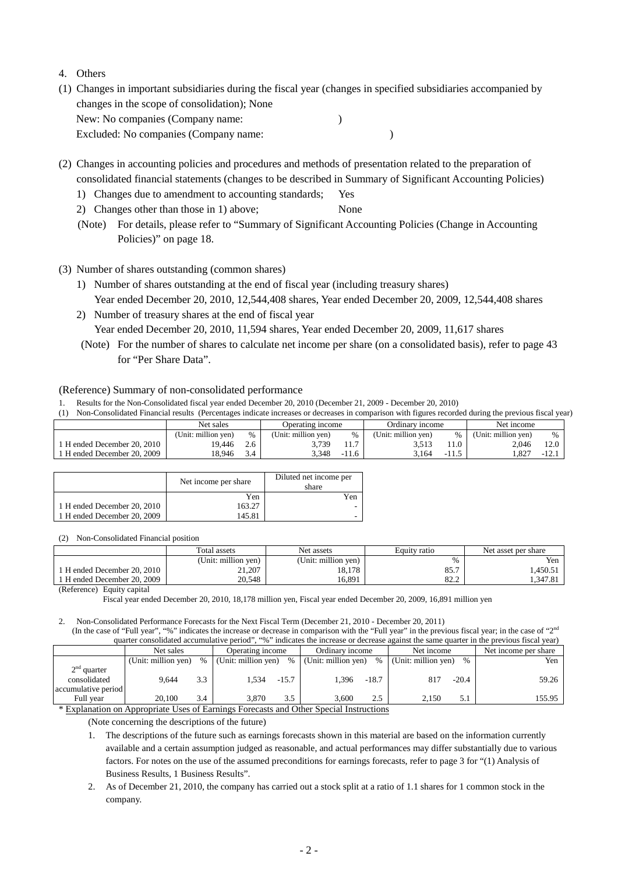- 4. Others
- (1) Changes in important subsidiaries during the fiscal year (changes in specified subsidiaries accompanied by changes in the scope of consolidation); None New: No companies (Company name: ) Excluded: No companies (Company name: )

(2) Changes in accounting policies and procedures and methods of presentation related to the preparation of consolidated financial statements (changes to be described in Summary of Significant Accounting Policies)

- 1) Changes due to amendment to accounting standards; Yes
- 2) Changes other than those in 1) above; None
- (Note) For details, please refer to "Summary of Significant Accounting Policies (Change in Accounting Policies)" on page 18.
- (3) Number of shares outstanding (common shares)
	- 1) Number of shares outstanding at the end of fiscal year (including treasury shares) Year ended December 20, 2010, 12,544,408 shares, Year ended December 20, 2009, 12,544,408 shares
	- 2) Number of treasury shares at the end of fiscal year Year ended December 20, 2010, 11,594 shares, Year ended December 20, 2009, 11,617 shares
	- (Note) For the number of shares to calculate net income per share (on a consolidated basis), refer to page 43 for "Per Share Data".

### (Reference) Summary of non-consolidated performance

1. Results for the Non-Consolidated fiscal year ended December 20, 2010 (December 21, 2009 - December 20, 2010)

| (1) Non-Consolidated Financial results (Percentages indicate increases or decreases in comparison with figures recorded during the previous fiscal year) |  |  |  |  |  |  |  |
|----------------------------------------------------------------------------------------------------------------------------------------------------------|--|--|--|--|--|--|--|
|----------------------------------------------------------------------------------------------------------------------------------------------------------|--|--|--|--|--|--|--|

|                           | Net sales           |               | Operating income    |                | Ordinary income     |       | Net income          |         |
|---------------------------|---------------------|---------------|---------------------|----------------|---------------------|-------|---------------------|---------|
|                           | (Unit: million yen) | $\frac{0}{0}$ | (Unit: million ven) | $\%$           | (Unit: million ven) |       | (Unit: million ven) | %       |
| H ended December 20, 2010 | 19.446              | 2.6           | 3.739               | 1 <sub>7</sub> | 3.513               |       | 2.046               | 12.0    |
| H ended December 20, 2009 | .8.946              | 3.4           | 3.348               | $-11.6$        | 3.164               | -11.3 | .827                | $-12.1$ |

|                             | Net income per share | Diluted net income per<br>share |
|-----------------------------|----------------------|---------------------------------|
|                             | Yen                  | Yen                             |
| 1 H ended December 20, 2010 | 163.27               |                                 |
| 1 H ended December 20, 2009 | 145.81               |                                 |

(2) Non-Consolidated Financial position

|                             | Total assets        | Net assets          | Equity ratio | Net asset per share |  |
|-----------------------------|---------------------|---------------------|--------------|---------------------|--|
|                             | (Unit: million yen) | (Unit: million yen) | %            | Yen                 |  |
| 1 H ended December 20, 2010 | 21,207              | 18.178              | 85.7         | .450.51             |  |
| 1 H ended December 20, 2009 | 20.548              | 16.891              | 82.2         | !.347.81            |  |
| (Reference) Equity capital  |                     |                     |              |                     |  |

Fiscal year ended December 20, 2010, 18,178 million yen, Fiscal year ended December 20, 2009, 16,891 million yen

2. Non-Consolidated Performance Forecasts for the Next Fiscal Term (December 21, 2010 - December 20, 2011) (In the case of "Full year", "%" indicates the increase or decrease in comparison with the "Full year" in the previous fiscal year; in the case of "2<sup>nd</sup>"

|                     | quarter consolidated accumulative period", "%" indicates the increase or decrease against the same quarter in the previous fiscal year) |               |                       |         |                                         |         |                     |         |                      |  |  |  |
|---------------------|-----------------------------------------------------------------------------------------------------------------------------------------|---------------|-----------------------|---------|-----------------------------------------|---------|---------------------|---------|----------------------|--|--|--|
|                     | Net sales                                                                                                                               |               | Operating income      |         | Ordinary income                         |         | Net income          |         | Net income per share |  |  |  |
|                     | (Unit: million yen)                                                                                                                     |               | % (Unit: million yen) | $\%$    | (Unit: million yen)                     | $\%$    | (Unit: million yen) | $\%$    | Yen                  |  |  |  |
| $2nd$ quarter       |                                                                                                                                         |               |                       |         |                                         |         |                     |         |                      |  |  |  |
| consolidated        | 9.644                                                                                                                                   | 3.3           | 1.534                 | $-15.7$ | 1.396                                   | $-18.7$ | 817                 | $-20.4$ | 59.26                |  |  |  |
| accumulative period |                                                                                                                                         |               |                       |         |                                         |         |                     |         |                      |  |  |  |
| Full year           | 20.100                                                                                                                                  | 3.4           | 3.870                 | 3.5     | 3.600                                   | 2.5     | 2.150               | 5.1     | 155.95               |  |  |  |
| .                   | $\cdot$ $\cdot$ $\cdot$                                                                                                                 | $\sim$ $\sim$ |                       |         | $\cdots$<br>$\sim$ $\sim$ $\sim$ $\sim$ |         |                     |         |                      |  |  |  |

\* Explanation on Appropriate Uses of Earnings Forecasts and Other Special Instructions

(Note concerning the descriptions of the future)

1. The descriptions of the future such as earnings forecasts shown in this material are based on the information currently available and a certain assumption judged as reasonable, and actual performances may differ substantially due to various factors. For notes on the use of the assumed preconditions for earnings forecasts, refer to page 3 for "(1) Analysis of Business Results, 1 Business Results".

2. As of December 21, 2010, the company has carried out a stock split at a ratio of 1.1 shares for 1 common stock in the company.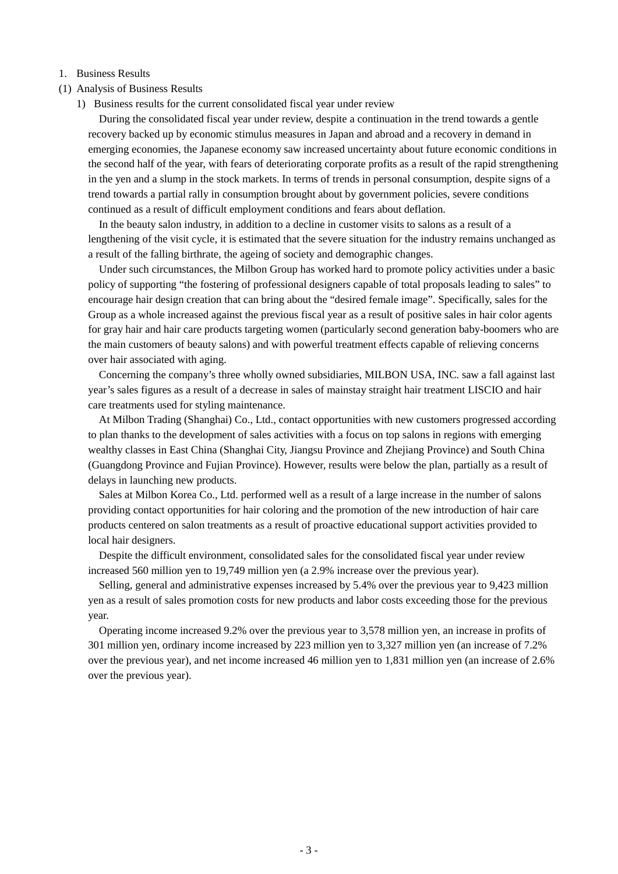### 1. Business Results

- (1) Analysis of Business Results
	- 1) Business results for the current consolidated fiscal year under review

During the consolidated fiscal year under review, despite a continuation in the trend towards a gentle recovery backed up by economic stimulus measures in Japan and abroad and a recovery in demand in emerging economies, the Japanese economy saw increased uncertainty about future economic conditions in the second half of the year, with fears of deteriorating corporate profits as a result of the rapid strengthening in the yen and a slump in the stock markets. In terms of trends in personal consumption, despite signs of a trend towards a partial rally in consumption brought about by government policies, severe conditions continued as a result of difficult employment conditions and fears about deflation.

In the beauty salon industry, in addition to a decline in customer visits to salons as a result of a lengthening of the visit cycle, it is estimated that the severe situation for the industry remains unchanged as a result of the falling birthrate, the ageing of society and demographic changes.

Under such circumstances, the Milbon Group has worked hard to promote policy activities under a basic policy of supporting "the fostering of professional designers capable of total proposals leading to sales" to encourage hair design creation that can bring about the "desired female image". Specifically, sales for the Group as a whole increased against the previous fiscal year as a result of positive sales in hair color agents for gray hair and hair care products targeting women (particularly second generation baby-boomers who are the main customers of beauty salons) and with powerful treatment effects capable of relieving concerns over hair associated with aging.

Concerning the company's three wholly owned subsidiaries, MILBON USA, INC. saw a fall against last year's sales figures as a result of a decrease in sales of mainstay straight hair treatment LISCIO and hair care treatments used for styling maintenance.

At Milbon Trading (Shanghai) Co., Ltd., contact opportunities with new customers progressed according to plan thanks to the development of sales activities with a focus on top salons in regions with emerging wealthy classes in East China (Shanghai City, Jiangsu Province and Zhejiang Province) and South China (Guangdong Province and Fujian Province). However, results were below the plan, partially as a result of delays in launching new products.

Sales at Milbon Korea Co., Ltd. performed well as a result of a large increase in the number of salons providing contact opportunities for hair coloring and the promotion of the new introduction of hair care products centered on salon treatments as a result of proactive educational support activities provided to local hair designers.

Despite the difficult environment, consolidated sales for the consolidated fiscal year under review increased 560 million yen to 19,749 million yen (a 2.9% increase over the previous year).

Selling, general and administrative expenses increased by 5.4% over the previous year to 9,423 million yen as a result of sales promotion costs for new products and labor costs exceeding those for the previous year.

Operating income increased 9.2% over the previous year to 3,578 million yen, an increase in profits of 301 million yen, ordinary income increased by 223 million yen to 3,327 million yen (an increase of 7.2% over the previous year), and net income increased 46 million yen to 1,831 million yen (an increase of 2.6% over the previous year).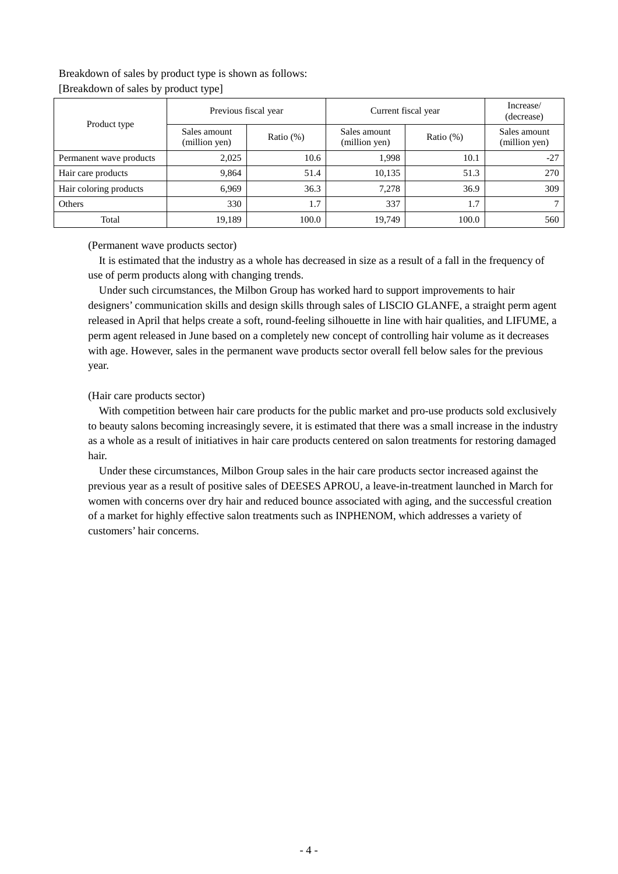# Breakdown of sales by product type is shown as follows: [Breakdown of sales by product type]

| Product type            |                               | Previous fiscal year | Current fiscal year           | Increase/<br>(decrease) |                               |
|-------------------------|-------------------------------|----------------------|-------------------------------|-------------------------|-------------------------------|
|                         | Sales amount<br>(million yen) | Ratio $(\%)$         | Sales amount<br>(million yen) | Ratio $(\%)$            | Sales amount<br>(million yen) |
| Permanent wave products | 2,025                         | 10.6                 | 1,998                         | 10.1                    | $-27$                         |
| Hair care products      | 9,864                         | 51.4                 | 10,135                        | 51.3                    | 270                           |
| Hair coloring products  | 6,969                         | 36.3                 | 7,278                         | 36.9                    | 309                           |
| Others                  | 330                           | 1.7                  | 337                           | 1.7                     |                               |
| Total                   | 19,189                        | 100.0                | 19.749                        | 100.0                   | 560                           |

### (Permanent wave products sector)

It is estimated that the industry as a whole has decreased in size as a result of a fall in the frequency of use of perm products along with changing trends.

Under such circumstances, the Milbon Group has worked hard to support improvements to hair designers' communication skills and design skills through sales of LISCIO GLANFE, a straight perm agent released in April that helps create a soft, round-feeling silhouette in line with hair qualities, and LIFUME, a perm agent released in June based on a completely new concept of controlling hair volume as it decreases with age. However, sales in the permanent wave products sector overall fell below sales for the previous year.

### (Hair care products sector)

With competition between hair care products for the public market and pro-use products sold exclusively to beauty salons becoming increasingly severe, it is estimated that there was a small increase in the industry as a whole as a result of initiatives in hair care products centered on salon treatments for restoring damaged hair.

Under these circumstances, Milbon Group sales in the hair care products sector increased against the previous year as a result of positive sales of DEESES APROU, a leave-in-treatment launched in March for women with concerns over dry hair and reduced bounce associated with aging, and the successful creation of a market for highly effective salon treatments such as INPHENOM, which addresses a variety of customers' hair concerns.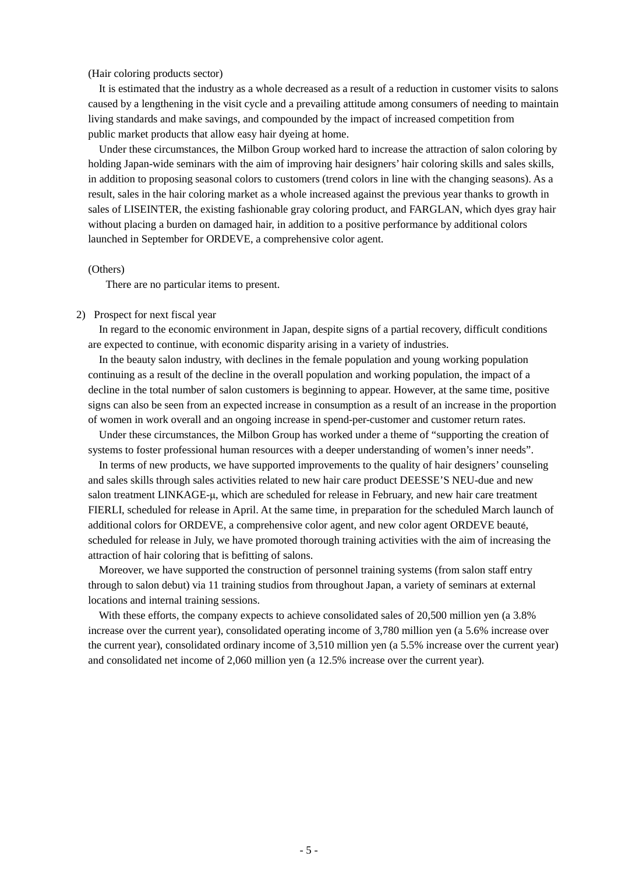### (Hair coloring products sector)

It is estimated that the industry as a whole decreased as a result of a reduction in customer visits to salons caused by a lengthening in the visit cycle and a prevailing attitude among consumers of needing to maintain living standards and make savings, and compounded by the impact of increased competition from public market products that allow easy hair dyeing at home.

Under these circumstances, the Milbon Group worked hard to increase the attraction of salon coloring by holding Japan-wide seminars with the aim of improving hair designers' hair coloring skills and sales skills, in addition to proposing seasonal colors to customers (trend colors in line with the changing seasons). As a result, sales in the hair coloring market as a whole increased against the previous year thanks to growth in sales of LISEINTER, the existing fashionable gray coloring product, and FARGLAN, which dyes gray hair without placing a burden on damaged hair, in addition to a positive performance by additional colors launched in September for ORDEVE, a comprehensive color agent.

### (Others)

There are no particular items to present.

#### 2) Prospect for next fiscal year

In regard to the economic environment in Japan, despite signs of a partial recovery, difficult conditions are expected to continue, with economic disparity arising in a variety of industries.

In the beauty salon industry, with declines in the female population and young working population continuing as a result of the decline in the overall population and working population, the impact of a decline in the total number of salon customers is beginning to appear. However, at the same time, positive signs can also be seen from an expected increase in consumption as a result of an increase in the proportion of women in work overall and an ongoing increase in spend-per-customer and customer return rates.

Under these circumstances, the Milbon Group has worked under a theme of "supporting the creation of systems to foster professional human resources with a deeper understanding of women's inner needs".

In terms of new products, we have supported improvements to the quality of hair designers' counseling and sales skills through sales activities related to new hair care product DEESSE'S NEU-due and new salon treatment LINKAGE-μ, which are scheduled for release in February, and new hair care treatment FIERLI, scheduled for release in April. At the same time, in preparation for the scheduled March launch of additional colors for ORDEVE, a comprehensive color agent, and new color agent ORDEVE beauté, scheduled for release in July, we have promoted thorough training activities with the aim of increasing the attraction of hair coloring that is befitting of salons.

Moreover, we have supported the construction of personnel training systems (from salon staff entry through to salon debut) via 11 training studios from throughout Japan, a variety of seminars at external locations and internal training sessions.

With these efforts, the company expects to achieve consolidated sales of 20,500 million ven (a 3.8%) increase over the current year), consolidated operating income of 3,780 million yen (a 5.6% increase over the current year), consolidated ordinary income of 3,510 million yen (a 5.5% increase over the current year) and consolidated net income of 2,060 million yen (a 12.5% increase over the current year).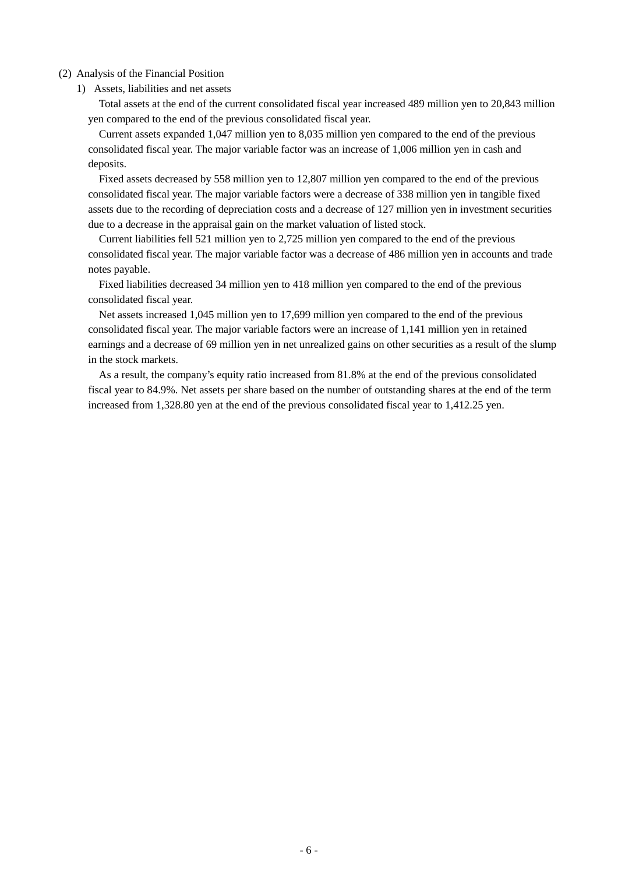### (2) Analysis of the Financial Position

1) Assets, liabilities and net assets

Total assets at the end of the current consolidated fiscal year increased 489 million yen to 20,843 million yen compared to the end of the previous consolidated fiscal year.

Current assets expanded 1,047 million yen to 8,035 million yen compared to the end of the previous consolidated fiscal year. The major variable factor was an increase of 1,006 million yen in cash and deposits.

Fixed assets decreased by 558 million yen to 12,807 million yen compared to the end of the previous consolidated fiscal year. The major variable factors were a decrease of 338 million yen in tangible fixed assets due to the recording of depreciation costs and a decrease of 127 million yen in investment securities due to a decrease in the appraisal gain on the market valuation of listed stock.

Current liabilities fell 521 million yen to 2,725 million yen compared to the end of the previous consolidated fiscal year. The major variable factor was a decrease of 486 million yen in accounts and trade notes payable.

Fixed liabilities decreased 34 million yen to 418 million yen compared to the end of the previous consolidated fiscal year.

Net assets increased 1,045 million yen to 17,699 million yen compared to the end of the previous consolidated fiscal year. The major variable factors were an increase of 1,141 million yen in retained earnings and a decrease of 69 million yen in net unrealized gains on other securities as a result of the slump in the stock markets.

As a result, the company's equity ratio increased from 81.8% at the end of the previous consolidated fiscal year to 84.9%. Net assets per share based on the number of outstanding shares at the end of the term increased from 1,328.80 yen at the end of the previous consolidated fiscal year to 1,412.25 yen.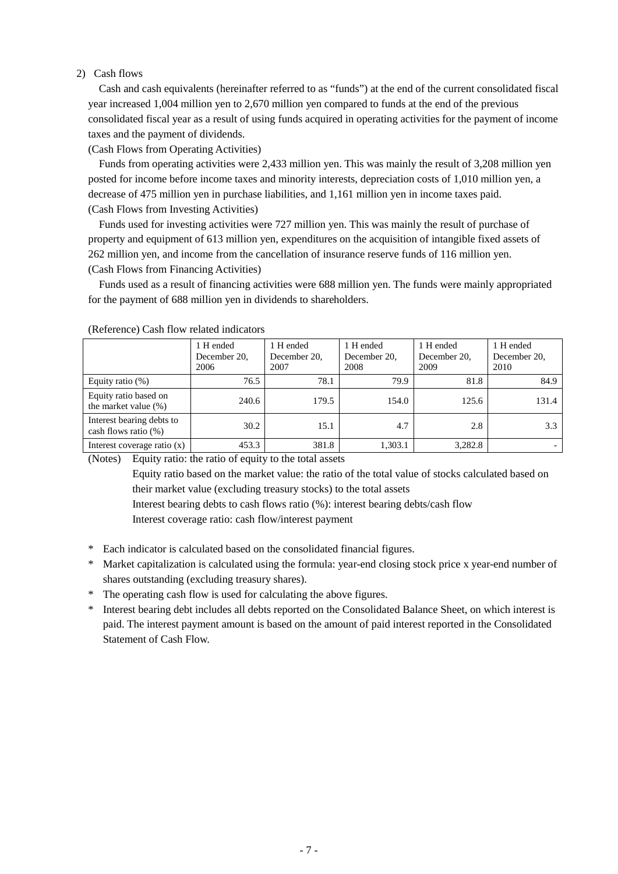### 2) Cash flows

Cash and cash equivalents (hereinafter referred to as "funds") at the end of the current consolidated fiscal year increased 1,004 million yen to 2,670 million yen compared to funds at the end of the previous consolidated fiscal year as a result of using funds acquired in operating activities for the payment of income taxes and the payment of dividends.

(Cash Flows from Operating Activities)

Funds from operating activities were 2,433 million yen. This was mainly the result of 3,208 million yen posted for income before income taxes and minority interests, depreciation costs of 1,010 million yen, a decrease of 475 million yen in purchase liabilities, and 1,161 million yen in income taxes paid. (Cash Flows from Investing Activities)

Funds used for investing activities were 727 million yen. This was mainly the result of purchase of property and equipment of 613 million yen, expenditures on the acquisition of intangible fixed assets of 262 million yen, and income from the cancellation of insurance reserve funds of 116 million yen. (Cash Flows from Financing Activities)

Funds used as a result of financing activities were 688 million yen. The funds were mainly appropriated for the payment of 688 million yen in dividends to shareholders.

|                                                      | 1 H ended<br>December 20.<br>2006 | 1 H ended<br>December 20,<br>2007 | 1 H ended<br>December 20,<br>2008 | 1 H ended<br>December 20.<br>2009 | 1 H ended<br>December 20,<br>2010 |
|------------------------------------------------------|-----------------------------------|-----------------------------------|-----------------------------------|-----------------------------------|-----------------------------------|
| Equity ratio $(\%)$                                  | 76.5                              | 78.1                              | 79.9                              | 81.8                              | 84.9                              |
| Equity ratio based on<br>the market value (%)        | 240.6                             | 179.5                             | 154.0                             | 125.6                             | 131.4                             |
| Interest bearing debts to<br>cash flows ratio $(\%)$ | 30.2                              | 15.1                              | 4.7                               | 2.8                               | 3.3                               |
| Interest coverage ratio $(x)$                        | 453.3                             | 381.8                             | 1,303.1                           | 3,282.8                           | $\overline{\phantom{0}}$          |

(Reference) Cash flow related indicators

(Notes) Equity ratio: the ratio of equity to the total assets

Equity ratio based on the market value: the ratio of the total value of stocks calculated based on their market value (excluding treasury stocks) to the total assets

Interest bearing debts to cash flows ratio (%): interest bearing debts/cash flow

Interest coverage ratio: cash flow/interest payment

- \* Each indicator is calculated based on the consolidated financial figures.
- \* Market capitalization is calculated using the formula: year-end closing stock price x year-end number of shares outstanding (excluding treasury shares).
- \* The operating cash flow is used for calculating the above figures.
- \* Interest bearing debt includes all debts reported on the Consolidated Balance Sheet, on which interest is paid. The interest payment amount is based on the amount of paid interest reported in the Consolidated Statement of Cash Flow.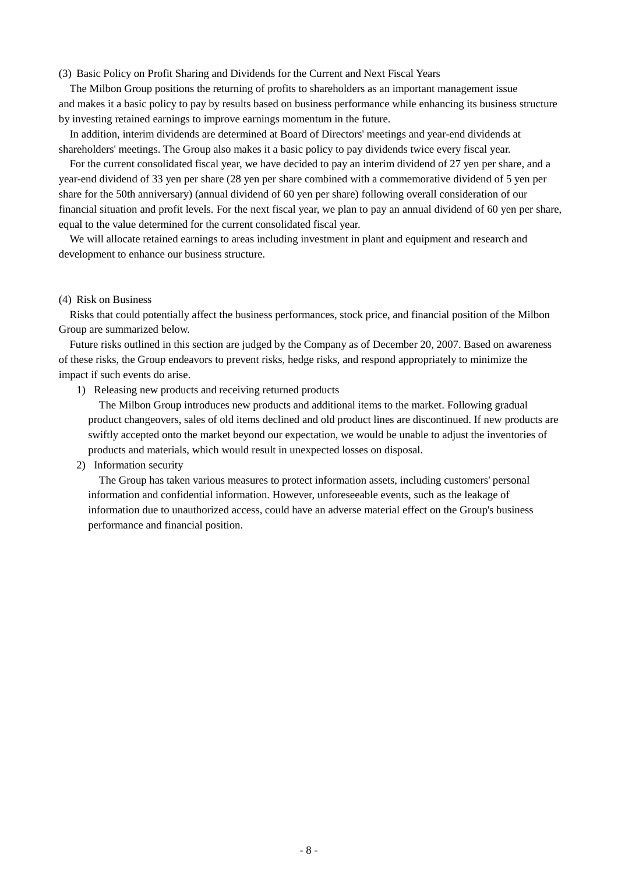#### (3) Basic Policy on Profit Sharing and Dividends for the Current and Next Fiscal Years

The Milbon Group positions the returning of profits to shareholders as an important management issue and makes it a basic policy to pay by results based on business performance while enhancing its business structure by investing retained earnings to improve earnings momentum in the future.

In addition, interim dividends are determined at Board of Directors' meetings and year-end dividends at shareholders' meetings. The Group also makes it a basic policy to pay dividends twice every fiscal year.

For the current consolidated fiscal year, we have decided to pay an interim dividend of 27 yen per share, and a year-end dividend of 33 yen per share (28 yen per share combined with a commemorative dividend of 5 yen per share for the 50th anniversary) (annual dividend of 60 yen per share) following overall consideration of our financial situation and profit levels. For the next fiscal year, we plan to pay an annual dividend of 60 yen per share, equal to the value determined for the current consolidated fiscal year.

We will allocate retained earnings to areas including investment in plant and equipment and research and development to enhance our business structure.

#### (4) Risk on Business

Risks that could potentially affect the business performances, stock price, and financial position of the Milbon Group are summarized below.

Future risks outlined in this section are judged by the Company as of December 20, 2007. Based on awareness of these risks, the Group endeavors to prevent risks, hedge risks, and respond appropriately to minimize the impact if such events do arise.

1) Releasing new products and receiving returned products

The Milbon Group introduces new products and additional items to the market. Following gradual product changeovers, sales of old items declined and old product lines are discontinued. If new products are swiftly accepted onto the market beyond our expectation, we would be unable to adjust the inventories of products and materials, which would result in unexpected losses on disposal.

#### 2) Information security

The Group has taken various measures to protect information assets, including customers' personal information and confidential information. However, unforeseeable events, such as the leakage of information due to unauthorized access, could have an adverse material effect on the Group's business performance and financial position.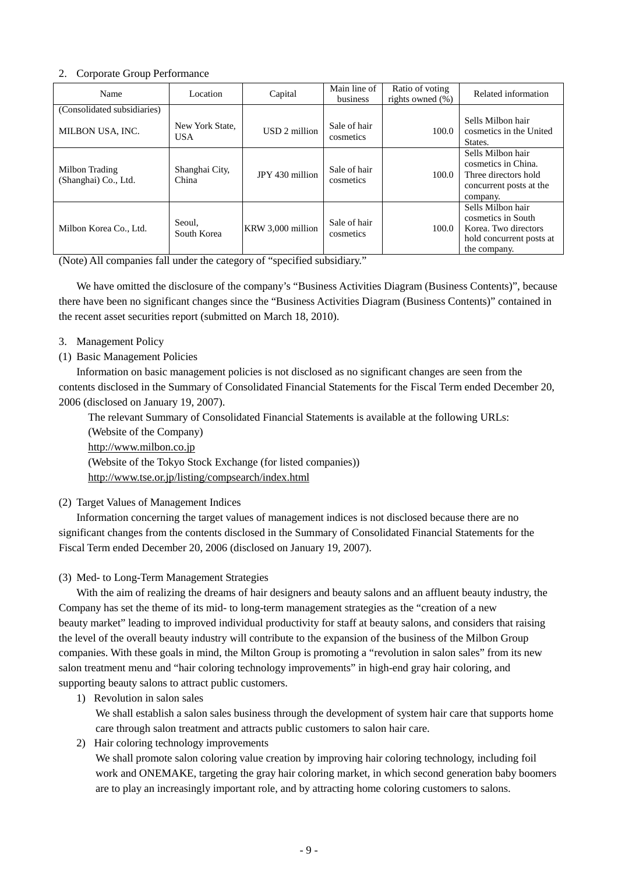## 2. Corporate Group Performance

| Name                                            | Location                      | Capital           | Main line of<br>business  | Ratio of voting<br>rights owned $(\% )$ | Related information                                                                                         |
|-------------------------------------------------|-------------------------------|-------------------|---------------------------|-----------------------------------------|-------------------------------------------------------------------------------------------------------------|
| (Consolidated subsidiaries)<br>MILBON USA, INC. | New York State,<br><b>USA</b> | USD 2 million     | Sale of hair<br>cosmetics | 100.0                                   | Sells Milbon hair<br>cosmetics in the United<br>States.                                                     |
| Milbon Trading<br>(Shanghai) Co., Ltd.          | Shanghai City,<br>China       | JPY 430 million   | Sale of hair<br>cosmetics | 100.0                                   | Sells Milbon hair<br>cosmetics in China.<br>Three directors hold<br>concurrent posts at the<br>company.     |
| Milbon Korea Co., Ltd.                          | Seoul,<br>South Korea         | KRW 3,000 million | Sale of hair<br>cosmetics | 100.0                                   | Sells Milbon hair<br>cosmetics in South<br>Korea. Two directors<br>hold concurrent posts at<br>the company. |

(Note) All companies fall under the category of "specified subsidiary."

We have omitted the disclosure of the company's "Business Activities Diagram (Business Contents)", because there have been no significant changes since the "Business Activities Diagram (Business Contents)" contained in the recent asset securities report (submitted on March 18, 2010).

### 3. Management Policy

# (1) Basic Management Policies

Information on basic management policies is not disclosed as no significant changes are seen from the contents disclosed in the Summary of Consolidated Financial Statements for the Fiscal Term ended December 20, 2006 (disclosed on January 19, 2007).

The relevant Summary of Consolidated Financial Statements is available at the following URLs: (Website of the Company) [http://www.milbon.co.jp](http://www.milbon.co.jp/) (Website of the Tokyo Stock Exchange (for listed companies)) <http://www.tse.or.jp/listing/compsearch/index.html>

### (2) Target Values of Management Indices

Information concerning the target values of management indices is not disclosed because there are no significant changes from the contents disclosed in the Summary of Consolidated Financial Statements for the Fiscal Term ended December 20, 2006 (disclosed on January 19, 2007).

### (3) Med- to Long-Term Management Strategies

With the aim of realizing the dreams of hair designers and beauty salons and an affluent beauty industry, the Company has set the theme of its mid- to long-term management strategies as the "creation of a new beauty market" leading to improved individual productivity for staff at beauty salons, and considers that raising the level of the overall beauty industry will contribute to the expansion of the business of the Milbon Group companies. With these goals in mind, the Milton Group is promoting a "revolution in salon sales" from its new salon treatment menu and "hair coloring technology improvements" in high-end gray hair coloring, and supporting beauty salons to attract public customers.

### 1) Revolution in salon sales

We shall establish a salon sales business through the development of system hair care that supports home care through salon treatment and attracts public customers to salon hair care.

2) Hair coloring technology improvements

We shall promote salon coloring value creation by improving hair coloring technology, including foil work and ONEMAKE, targeting the gray hair coloring market, in which second generation baby boomers are to play an increasingly important role, and by attracting home coloring customers to salons.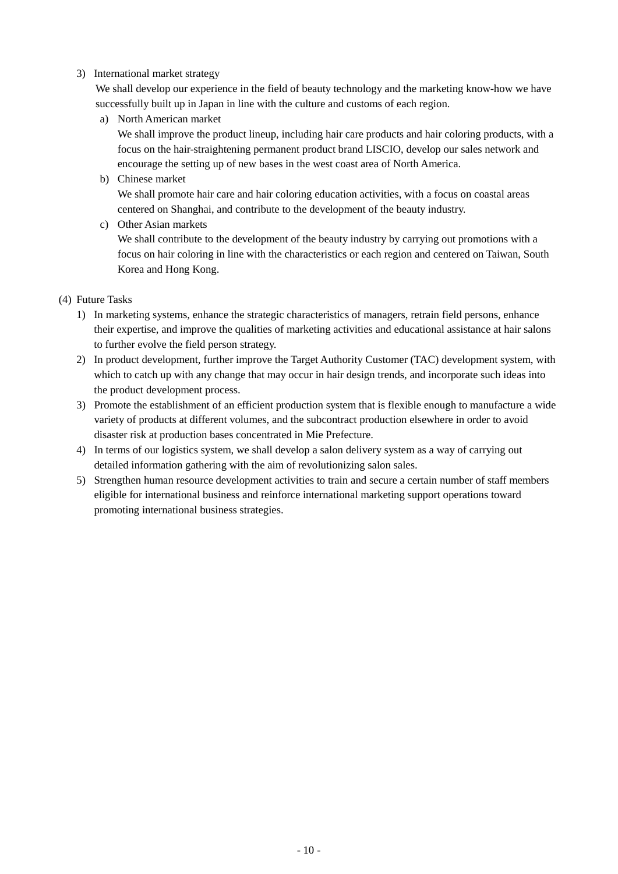## 3) International market strategy

We shall develop our experience in the field of beauty technology and the marketing know-how we have successfully built up in Japan in line with the culture and customs of each region.

a) North American market

We shall improve the product lineup, including hair care products and hair coloring products, with a focus on the hair-straightening permanent product brand LISCIO, develop our sales network and encourage the setting up of new bases in the west coast area of North America.

- b) Chinese market We shall promote hair care and hair coloring education activities, with a focus on coastal areas centered on Shanghai, and contribute to the development of the beauty industry.
- c) Other Asian markets

We shall contribute to the development of the beauty industry by carrying out promotions with a focus on hair coloring in line with the characteristics or each region and centered on Taiwan, South Korea and Hong Kong.

- (4) Future Tasks
	- 1) In marketing systems, enhance the strategic characteristics of managers, retrain field persons, enhance their expertise, and improve the qualities of marketing activities and educational assistance at hair salons to further evolve the field person strategy.
	- 2) In product development, further improve the Target Authority Customer (TAC) development system, with which to catch up with any change that may occur in hair design trends, and incorporate such ideas into the product development process.
	- 3) Promote the establishment of an efficient production system that is flexible enough to manufacture a wide variety of products at different volumes, and the subcontract production elsewhere in order to avoid disaster risk at production bases concentrated in Mie Prefecture.
	- 4) In terms of our logistics system, we shall develop a salon delivery system as a way of carrying out detailed information gathering with the aim of revolutionizing salon sales.
	- 5) Strengthen human resource development activities to train and secure a certain number of staff members eligible for international business and reinforce international marketing support operations toward promoting international business strategies.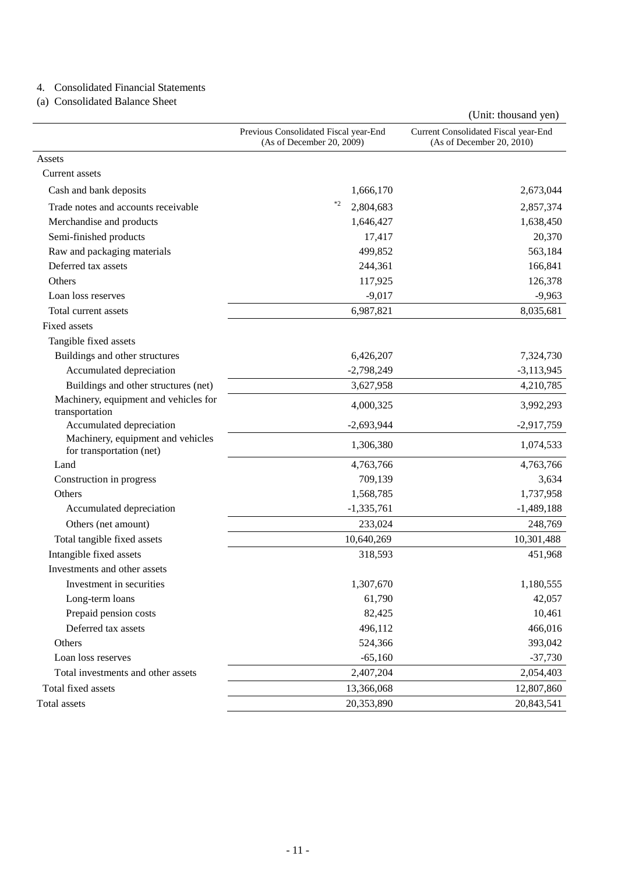# 4. Consolidated Financial Statements

(a) Consolidated Balance Sheet

|                                                               |                                                                    | (Unit: thousand yen)                                              |
|---------------------------------------------------------------|--------------------------------------------------------------------|-------------------------------------------------------------------|
|                                                               | Previous Consolidated Fiscal year-End<br>(As of December 20, 2009) | Current Consolidated Fiscal year-End<br>(As of December 20, 2010) |
| Assets                                                        |                                                                    |                                                                   |
| Current assets                                                |                                                                    |                                                                   |
| Cash and bank deposits                                        | 1,666,170                                                          | 2,673,044                                                         |
| Trade notes and accounts receivable                           | $*2$<br>2,804,683                                                  | 2,857,374                                                         |
| Merchandise and products                                      | 1,646,427                                                          | 1,638,450                                                         |
| Semi-finished products                                        | 17,417                                                             | 20,370                                                            |
| Raw and packaging materials                                   | 499,852                                                            | 563,184                                                           |
| Deferred tax assets                                           | 244,361                                                            | 166,841                                                           |
| Others                                                        | 117,925                                                            | 126,378                                                           |
| Loan loss reserves                                            | $-9,017$                                                           | $-9,963$                                                          |
| Total current assets                                          | 6,987,821                                                          | 8,035,681                                                         |
| Fixed assets                                                  |                                                                    |                                                                   |
| Tangible fixed assets                                         |                                                                    |                                                                   |
| Buildings and other structures                                | 6,426,207                                                          | 7,324,730                                                         |
| Accumulated depreciation                                      | $-2,798,249$                                                       | $-3,113,945$                                                      |
| Buildings and other structures (net)                          | 3,627,958                                                          | 4,210,785                                                         |
| Machinery, equipment and vehicles for<br>transportation       | 4,000,325                                                          | 3,992,293                                                         |
| Accumulated depreciation                                      | $-2,693,944$                                                       | $-2,917,759$                                                      |
| Machinery, equipment and vehicles<br>for transportation (net) | 1,306,380                                                          | 1,074,533                                                         |
| Land                                                          | 4,763,766                                                          | 4,763,766                                                         |
| Construction in progress                                      | 709,139                                                            | 3,634                                                             |
| Others                                                        | 1,568,785                                                          | 1,737,958                                                         |
| Accumulated depreciation                                      | $-1,335,761$                                                       | $-1,489,188$                                                      |
| Others (net amount)                                           | 233,024                                                            | 248,769                                                           |
| Total tangible fixed assets                                   | 10,640,269                                                         | 10,301,488                                                        |
| Intangible fixed assets                                       | 318,593                                                            | 451,968                                                           |
| Investments and other assets                                  |                                                                    |                                                                   |
| Investment in securities                                      | 1,307,670                                                          | 1,180,555                                                         |
| Long-term loans                                               | 61,790                                                             | 42,057                                                            |
| Prepaid pension costs                                         | 82,425                                                             | 10,461                                                            |
| Deferred tax assets                                           | 496,112                                                            | 466,016                                                           |
| Others                                                        | 524,366                                                            | 393,042                                                           |
| Loan loss reserves                                            | $-65,160$                                                          | $-37,730$                                                         |
| Total investments and other assets                            | 2,407,204                                                          | 2,054,403                                                         |
| Total fixed assets                                            | 13,366,068                                                         | 12,807,860                                                        |
| Total assets                                                  | 20,353,890                                                         | 20,843,541                                                        |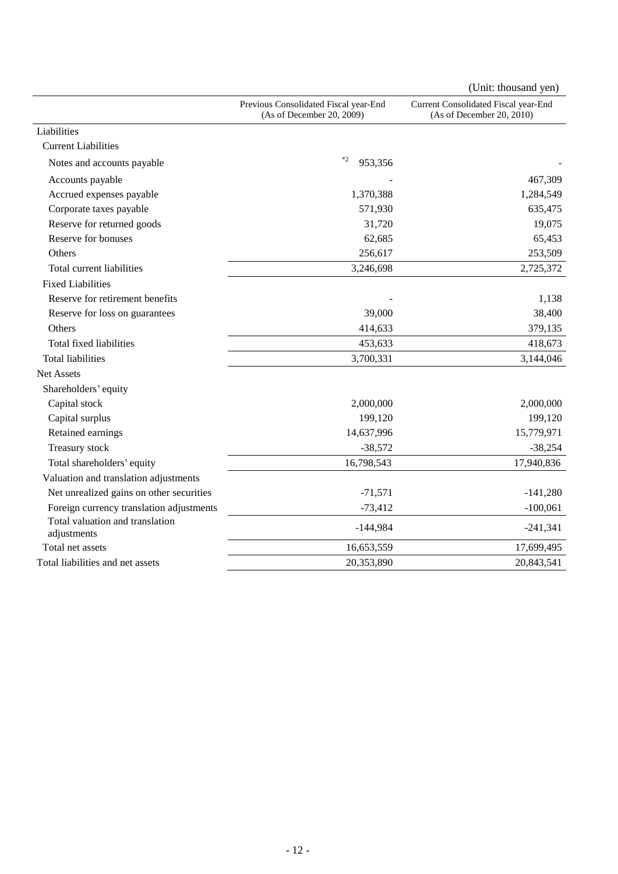|                                                |                                                                    | (Unit: thousand yen)                                              |
|------------------------------------------------|--------------------------------------------------------------------|-------------------------------------------------------------------|
|                                                | Previous Consolidated Fiscal year-End<br>(As of December 20, 2009) | Current Consolidated Fiscal year-End<br>(As of December 20, 2010) |
| Liabilities                                    |                                                                    |                                                                   |
| <b>Current Liabilities</b>                     |                                                                    |                                                                   |
| Notes and accounts payable                     | $\ast 2$<br>953,356                                                |                                                                   |
| Accounts payable                               |                                                                    | 467,309                                                           |
| Accrued expenses payable                       | 1,370,388                                                          | 1,284,549                                                         |
| Corporate taxes payable                        | 571,930                                                            | 635,475                                                           |
| Reserve for returned goods                     | 31,720                                                             | 19,075                                                            |
| Reserve for bonuses                            | 62,685                                                             | 65,453                                                            |
| Others                                         | 256,617                                                            | 253,509                                                           |
| Total current liabilities                      | 3,246,698                                                          | 2,725,372                                                         |
| <b>Fixed Liabilities</b>                       |                                                                    |                                                                   |
| Reserve for retirement benefits                |                                                                    | 1,138                                                             |
| Reserve for loss on guarantees                 | 39,000                                                             | 38,400                                                            |
| Others                                         | 414,633                                                            | 379,135                                                           |
| Total fixed liabilities                        | 453,633                                                            | 418,673                                                           |
| <b>Total liabilities</b>                       | 3,700,331                                                          | 3,144,046                                                         |
| <b>Net Assets</b>                              |                                                                    |                                                                   |
| Shareholders' equity                           |                                                                    |                                                                   |
| Capital stock                                  | 2,000,000                                                          | 2,000,000                                                         |
| Capital surplus                                | 199,120                                                            | 199,120                                                           |
| Retained earnings                              | 14,637,996                                                         | 15,779,971                                                        |
| Treasury stock                                 | $-38,572$                                                          | $-38,254$                                                         |
| Total shareholders' equity                     | 16,798,543                                                         | 17,940,836                                                        |
| Valuation and translation adjustments          |                                                                    |                                                                   |
| Net unrealized gains on other securities       | $-71,571$                                                          | $-141,280$                                                        |
| Foreign currency translation adjustments       | $-73,412$                                                          | $-100,061$                                                        |
| Total valuation and translation<br>adjustments | $-144,984$                                                         | $-241,341$                                                        |
| Total net assets                               | 16,653,559                                                         | 17,699,495                                                        |
| Total liabilities and net assets               | 20,353,890                                                         | 20,843,541                                                        |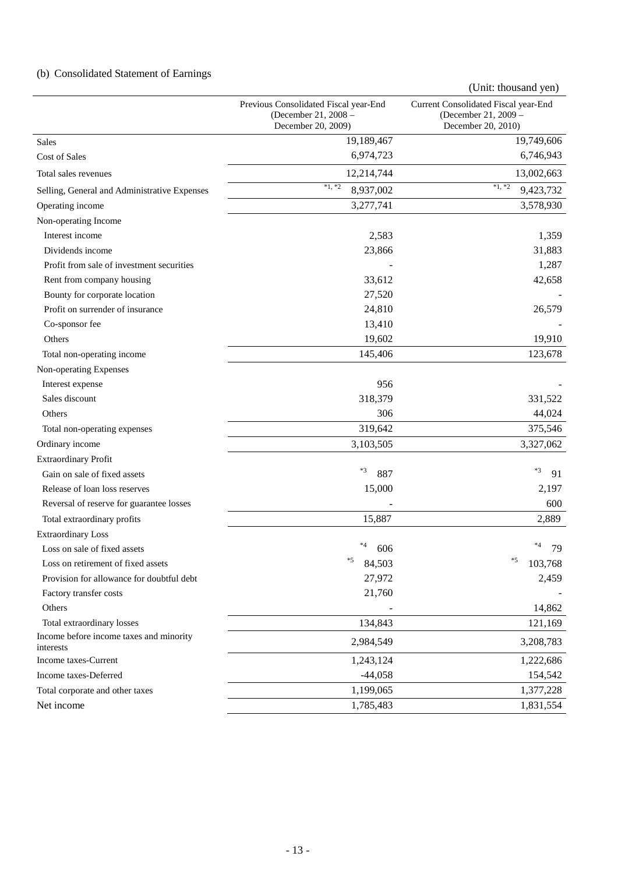# (b) Consolidated Statement of Earnings

Previous Consolidated Fiscal year-End (December 21, 2008 – December 20, 2009) Current Consolidated Fiscal year-End (December 21, 2009 – December 20, 2010) Sales 19,189,467 19,749,606 Cost of Sales 6,746,943

(Unit: thousand yen)

| Total sales revenues                                 | 12,214,744            | 13,002,663            |
|------------------------------------------------------|-----------------------|-----------------------|
| Selling, General and Administrative Expenses         | $*1, *2$<br>8,937,002 | $*1, *2$<br>9,423,732 |
| Operating income                                     | 3,277,741             | 3,578,930             |
| Non-operating Income                                 |                       |                       |
| Interest income                                      | 2,583                 | 1,359                 |
| Dividends income                                     | 23,866                | 31,883                |
| Profit from sale of investment securities            |                       | 1,287                 |
| Rent from company housing                            | 33,612                | 42,658                |
| Bounty for corporate location                        | 27,520                |                       |
| Profit on surrender of insurance                     | 24,810                | 26,579                |
| Co-sponsor fee                                       | 13,410                |                       |
| Others                                               | 19,602                | 19,910                |
| Total non-operating income                           | 145,406               | 123,678               |
| Non-operating Expenses                               |                       |                       |
| Interest expense                                     | 956                   |                       |
| Sales discount                                       | 318,379               | 331,522               |
| Others                                               | 306                   | 44,024                |
| Total non-operating expenses                         | 319,642               | 375,546               |
| Ordinary income                                      | 3,103,505             | 3,327,062             |
| <b>Extraordinary Profit</b>                          |                       |                       |
| Gain on sale of fixed assets                         | *3<br>887             | $*3$<br>91            |
| Release of loan loss reserves                        | 15,000                | 2,197                 |
| Reversal of reserve for guarantee losses             |                       | 600                   |
| Total extraordinary profits                          | 15,887                | 2,889                 |
| <b>Extraordinary Loss</b>                            |                       |                       |
| Loss on sale of fixed assets                         | *4<br>606             | *4<br>79              |
| Loss on retirement of fixed assets                   | $*5$<br>84,503        | $*5$<br>103,768       |
| Provision for allowance for doubtful debt            | 27,972                | 2,459                 |
| Factory transfer costs                               | 21,760                |                       |
| Others                                               |                       | 14,862                |
| Total extraordinary losses                           | 134,843               | 121,169               |
| Income before income taxes and minority<br>interests | 2,984,549             | 3,208,783             |
| Income taxes-Current                                 | 1,243,124             | 1,222,686             |
| Income taxes-Deferred                                | $-44,058$             | 154,542               |
| Total corporate and other taxes                      | 1,199,065             | 1,377,228             |
| Net income                                           | 1,785,483             | 1,831,554             |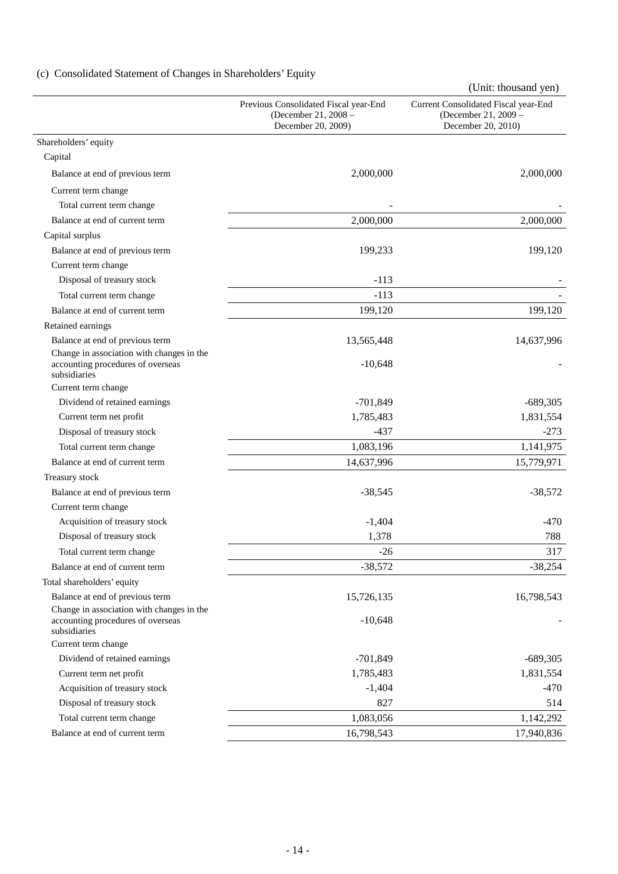# (c) Consolidated Statement of Changes in Shareholders' Equity

|                                                                                                |                                                                                     | (Unit: thousand yen)                                                               |
|------------------------------------------------------------------------------------------------|-------------------------------------------------------------------------------------|------------------------------------------------------------------------------------|
|                                                                                                | Previous Consolidated Fiscal year-End<br>(December 21, 2008 -<br>December 20, 2009) | Current Consolidated Fiscal year-End<br>(December 21, 2009 -<br>December 20, 2010) |
| Shareholders' equity                                                                           |                                                                                     |                                                                                    |
| Capital                                                                                        |                                                                                     |                                                                                    |
| Balance at end of previous term                                                                | 2,000,000                                                                           | 2,000,000                                                                          |
| Current term change                                                                            |                                                                                     |                                                                                    |
| Total current term change                                                                      |                                                                                     |                                                                                    |
| Balance at end of current term                                                                 | 2,000,000                                                                           | 2,000,000                                                                          |
| Capital surplus                                                                                |                                                                                     |                                                                                    |
| Balance at end of previous term                                                                | 199,233                                                                             | 199,120                                                                            |
| Current term change                                                                            |                                                                                     |                                                                                    |
| Disposal of treasury stock                                                                     | $-113$                                                                              |                                                                                    |
| Total current term change                                                                      | $-113$                                                                              |                                                                                    |
| Balance at end of current term                                                                 | 199,120                                                                             | 199,120                                                                            |
| Retained earnings                                                                              |                                                                                     |                                                                                    |
| Balance at end of previous term                                                                | 13,565,448                                                                          | 14,637,996                                                                         |
| Change in association with changes in the<br>accounting procedures of overseas<br>subsidiaries | $-10,648$                                                                           |                                                                                    |
| Current term change                                                                            |                                                                                     |                                                                                    |
| Dividend of retained earnings                                                                  | $-701,849$                                                                          | $-689,305$                                                                         |
| Current term net profit                                                                        | 1,785,483                                                                           | 1,831,554                                                                          |
| Disposal of treasury stock                                                                     | $-437$                                                                              | $-273$                                                                             |
| Total current term change                                                                      | 1,083,196                                                                           | 1,141,975                                                                          |
| Balance at end of current term                                                                 | 14,637,996                                                                          | 15,779,971                                                                         |
| Treasury stock                                                                                 |                                                                                     |                                                                                    |
| Balance at end of previous term                                                                | $-38,545$                                                                           | $-38,572$                                                                          |
| Current term change                                                                            |                                                                                     |                                                                                    |
| Acquisition of treasury stock                                                                  | $-1,404$                                                                            | $-470$                                                                             |
| Disposal of treasury stock                                                                     | 1,378                                                                               | 788                                                                                |
| Total current term change                                                                      | $-26$                                                                               | 317                                                                                |
| Balance at end of current term                                                                 | $-38,572$                                                                           | $-38,254$                                                                          |
| Total shareholders' equity                                                                     |                                                                                     |                                                                                    |
| Balance at end of previous term                                                                | 15,726,135                                                                          | 16,798,543                                                                         |
| Change in association with changes in the<br>accounting procedures of overseas<br>subsidiaries | $-10,648$                                                                           |                                                                                    |
| Current term change                                                                            |                                                                                     |                                                                                    |
| Dividend of retained earnings                                                                  | $-701,849$                                                                          | $-689,305$                                                                         |
| Current term net profit                                                                        | 1,785,483                                                                           | 1,831,554                                                                          |
| Acquisition of treasury stock                                                                  | $-1,404$                                                                            | $-470$                                                                             |
| Disposal of treasury stock                                                                     | 827                                                                                 | 514                                                                                |
| Total current term change                                                                      | 1,083,056                                                                           | 1,142,292                                                                          |
| Balance at end of current term                                                                 | 16,798,543                                                                          | 17,940,836                                                                         |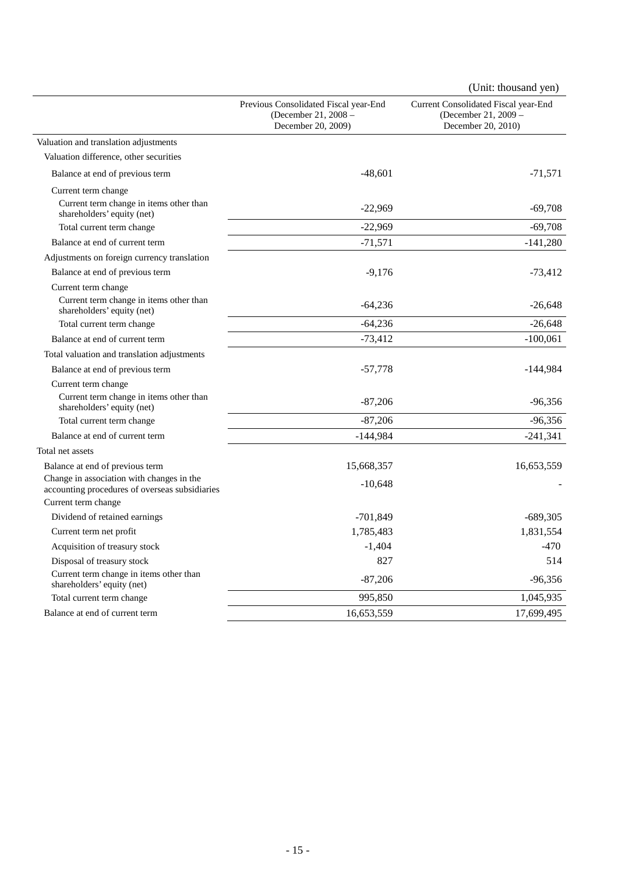|                                                                                             |                                                                                     | (Unit: thousand yen)                                                               |
|---------------------------------------------------------------------------------------------|-------------------------------------------------------------------------------------|------------------------------------------------------------------------------------|
|                                                                                             | Previous Consolidated Fiscal year-End<br>(December 21, 2008 -<br>December 20, 2009) | Current Consolidated Fiscal year-End<br>(December 21, 2009 -<br>December 20, 2010) |
| Valuation and translation adjustments                                                       |                                                                                     |                                                                                    |
| Valuation difference, other securities                                                      |                                                                                     |                                                                                    |
| Balance at end of previous term                                                             | $-48,601$                                                                           | $-71,571$                                                                          |
| Current term change                                                                         |                                                                                     |                                                                                    |
| Current term change in items other than<br>shareholders' equity (net)                       | $-22,969$                                                                           | $-69,708$                                                                          |
| Total current term change                                                                   | $-22,969$                                                                           | $-69,708$                                                                          |
| Balance at end of current term                                                              | $-71,571$                                                                           | $-141,280$                                                                         |
| Adjustments on foreign currency translation                                                 |                                                                                     |                                                                                    |
| Balance at end of previous term                                                             | $-9,176$                                                                            | $-73,412$                                                                          |
| Current term change                                                                         |                                                                                     |                                                                                    |
| Current term change in items other than<br>shareholders' equity (net)                       | $-64,236$                                                                           | $-26,648$                                                                          |
| Total current term change                                                                   | $-64,236$                                                                           | $-26,648$                                                                          |
| Balance at end of current term                                                              | $-73,412$                                                                           | $-100,061$                                                                         |
| Total valuation and translation adjustments                                                 |                                                                                     |                                                                                    |
| Balance at end of previous term                                                             | $-57,778$                                                                           | $-144,984$                                                                         |
| Current term change                                                                         |                                                                                     |                                                                                    |
| Current term change in items other than<br>shareholders' equity (net)                       | $-87,206$                                                                           | $-96,356$                                                                          |
| Total current term change                                                                   | $-87,206$                                                                           | -96,356                                                                            |
| Balance at end of current term                                                              | $-144,984$                                                                          | $-241,341$                                                                         |
| Total net assets                                                                            |                                                                                     |                                                                                    |
| Balance at end of previous term                                                             | 15,668,357                                                                          | 16,653,559                                                                         |
| Change in association with changes in the<br>accounting procedures of overseas subsidiaries | $-10,648$                                                                           |                                                                                    |
| Current term change                                                                         |                                                                                     |                                                                                    |
| Dividend of retained earnings                                                               | $-701,849$                                                                          | $-689,305$                                                                         |
| Current term net profit                                                                     | 1,785,483                                                                           | 1,831,554                                                                          |
| Acquisition of treasury stock                                                               | $-1,404$                                                                            | $-470$                                                                             |
| Disposal of treasury stock                                                                  | 827                                                                                 | 514                                                                                |
| Current term change in items other than<br>shareholders' equity (net)                       | $-87,206$                                                                           | $-96,356$                                                                          |
| Total current term change                                                                   | 995,850                                                                             | 1,045,935                                                                          |
| Balance at end of current term                                                              | 16,653,559                                                                          | 17,699,495                                                                         |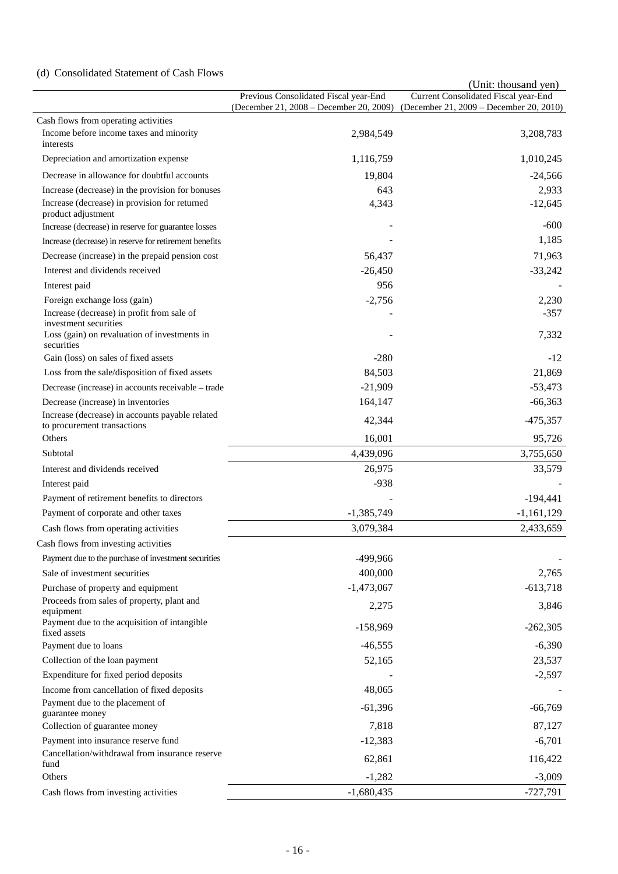# (d) Consolidated Statement of Cash Flows

|                                                                     |                                                                                  | (Unit: thousand yen)                                                            |
|---------------------------------------------------------------------|----------------------------------------------------------------------------------|---------------------------------------------------------------------------------|
|                                                                     | Previous Consolidated Fiscal year-End<br>(December 21, 2008 - December 20, 2009) | Current Consolidated Fiscal year-End<br>(December 21, 2009 – December 20, 2010) |
| Cash flows from operating activities                                |                                                                                  |                                                                                 |
| Income before income taxes and minority<br>interests                | 2,984,549                                                                        | 3,208,783                                                                       |
| Depreciation and amortization expense                               | 1,116,759                                                                        | 1,010,245                                                                       |
| Decrease in allowance for doubtful accounts                         | 19,804                                                                           | $-24,566$                                                                       |
| Increase (decrease) in the provision for bonuses                    | 643                                                                              | 2,933                                                                           |
| Increase (decrease) in provision for returned<br>product adjustment | 4,343                                                                            | $-12,645$                                                                       |
| Increase (decrease) in reserve for guarantee losses                 |                                                                                  | $-600$                                                                          |
| Increase (decrease) in reserve for retirement benefits              |                                                                                  | 1,185                                                                           |
| Decrease (increase) in the prepaid pension cost                     | 56,437                                                                           | 71,963                                                                          |
| Interest and dividends received                                     | $-26,450$                                                                        | $-33,242$                                                                       |
| Interest paid                                                       | 956                                                                              |                                                                                 |
| Foreign exchange loss (gain)                                        | $-2,756$                                                                         | 2,230                                                                           |
| Increase (decrease) in profit from sale of<br>investment securities |                                                                                  | $-357$                                                                          |
| Loss (gain) on revaluation of investments in<br>securities          |                                                                                  | 7,332                                                                           |
| Gain (loss) on sales of fixed assets                                | $-280$                                                                           | $-12$                                                                           |
| Loss from the sale/disposition of fixed assets                      | 84,503                                                                           | 21,869                                                                          |
| Decrease (increase) in accounts receivable – trade                  | $-21,909$                                                                        | $-53,473$                                                                       |
| Decrease (increase) in inventories                                  | 164,147                                                                          | $-66,363$                                                                       |
| Increase (decrease) in accounts payable related                     |                                                                                  |                                                                                 |
| to procurement transactions<br>Others                               | 42,344<br>16,001                                                                 | $-475,357$<br>95,726                                                            |
| Subtotal                                                            | 4,439,096                                                                        | 3,755,650                                                                       |
| Interest and dividends received                                     | 26,975                                                                           | 33,579                                                                          |
| Interest paid                                                       | $-938$                                                                           |                                                                                 |
| Payment of retirement benefits to directors                         |                                                                                  | $-194,441$                                                                      |
| Payment of corporate and other taxes                                | $-1,385,749$                                                                     | $-1,161,129$                                                                    |
| Cash flows from operating activities                                | 3,079,384                                                                        | 2,433,659                                                                       |
| Cash flows from investing activities                                |                                                                                  |                                                                                 |
| Payment due to the purchase of investment securities                | -499,966                                                                         |                                                                                 |
| Sale of investment securities                                       | 400,000                                                                          | 2,765                                                                           |
| Purchase of property and equipment                                  | $-1,473,067$                                                                     | $-613,718$                                                                      |
| Proceeds from sales of property, plant and                          |                                                                                  |                                                                                 |
| equipment<br>Payment due to the acquisition of intangible           | 2,275<br>$-158,969$                                                              | 3,846<br>$-262,305$                                                             |
| fixed assets                                                        |                                                                                  |                                                                                 |
| Payment due to loans                                                | $-46,555$                                                                        | $-6,390$                                                                        |
| Collection of the loan payment                                      | 52,165                                                                           | 23,537                                                                          |
| Expenditure for fixed period deposits                               |                                                                                  | $-2,597$                                                                        |
| Income from cancellation of fixed deposits                          | 48,065                                                                           |                                                                                 |
| Payment due to the placement of<br>guarantee money                  | $-61,396$                                                                        | $-66,769$                                                                       |
| Collection of guarantee money                                       | 7,818                                                                            | 87,127                                                                          |
| Payment into insurance reserve fund                                 | $-12,383$                                                                        | $-6,701$                                                                        |
| Cancellation/withdrawal from insurance reserve<br>fund              | 62,861                                                                           | 116,422                                                                         |
| Others                                                              | $-1,282$                                                                         | $-3,009$                                                                        |
| Cash flows from investing activities                                | $-1,680,435$                                                                     | $-727,791$                                                                      |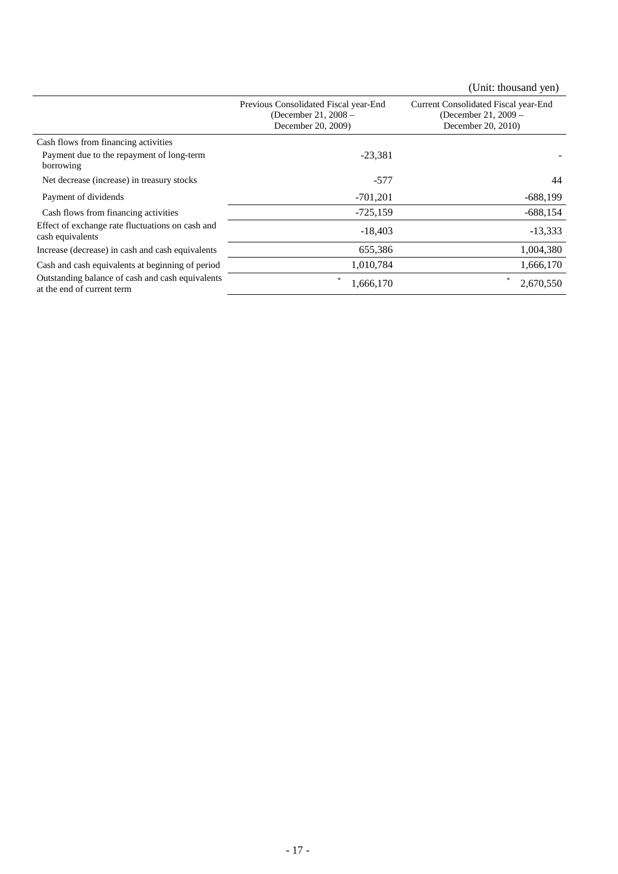|                                                                                |                                                                                     | (Unit: thousand yen)                                                               |
|--------------------------------------------------------------------------------|-------------------------------------------------------------------------------------|------------------------------------------------------------------------------------|
|                                                                                | Previous Consolidated Fiscal year-End<br>(December 21, 2008 -<br>December 20, 2009) | Current Consolidated Fiscal year-End<br>(December 21, 2009 –<br>December 20, 2010) |
| Cash flows from financing activities                                           |                                                                                     |                                                                                    |
| Payment due to the repayment of long-term<br>borrowing                         | $-23,381$                                                                           |                                                                                    |
| Net decrease (increase) in treasury stocks                                     | $-577$                                                                              | 44                                                                                 |
| Payment of dividends                                                           | $-701,201$                                                                          | $-688,199$                                                                         |
| Cash flows from financing activities                                           | $-725,159$                                                                          | $-688,154$                                                                         |
| Effect of exchange rate fluctuations on cash and<br>cash equivalents           | $-18,403$                                                                           | $-13,333$                                                                          |
| Increase (decrease) in cash and cash equivalents                               | 655,386                                                                             | 1,004,380                                                                          |
| Cash and cash equivalents at beginning of period                               | 1,010,784                                                                           | 1,666,170                                                                          |
| Outstanding balance of cash and cash equivalents<br>at the end of current term | *<br>1,666,170                                                                      | 宋<br>2,670,550                                                                     |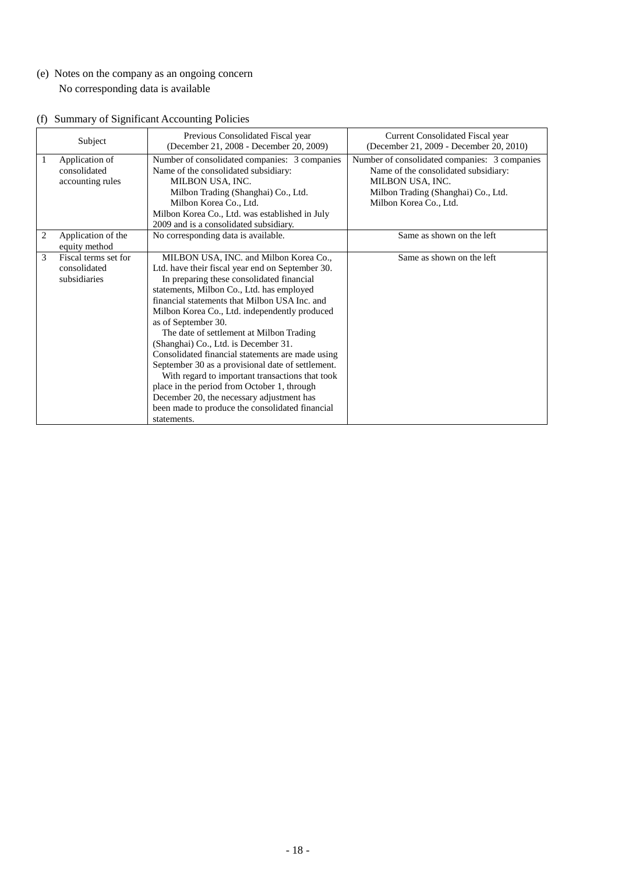(e) Notes on the company as an ongoing concern No corresponding data is available

|  |  | (f) Summary of Significant Accounting Policies |  |  |
|--|--|------------------------------------------------|--|--|
|--|--|------------------------------------------------|--|--|

|   | Subject                                              | Previous Consolidated Fiscal year<br>(December 21, 2008 - December 20, 2009)                                                                                                                                                                                                                                                                                                                                                                                                                                                                                                                                                                                                                                                | <b>Current Consolidated Fiscal year</b><br>(December 21, 2009 - December 20, 2010)                                                                                         |
|---|------------------------------------------------------|-----------------------------------------------------------------------------------------------------------------------------------------------------------------------------------------------------------------------------------------------------------------------------------------------------------------------------------------------------------------------------------------------------------------------------------------------------------------------------------------------------------------------------------------------------------------------------------------------------------------------------------------------------------------------------------------------------------------------------|----------------------------------------------------------------------------------------------------------------------------------------------------------------------------|
| 1 | Application of<br>consolidated<br>accounting rules   | Number of consolidated companies: 3 companies<br>Name of the consolidated subsidiary:<br>MILBON USA, INC.<br>Milbon Trading (Shanghai) Co., Ltd.<br>Milbon Korea Co., Ltd.<br>Milbon Korea Co., Ltd. was established in July<br>2009 and is a consolidated subsidiary.                                                                                                                                                                                                                                                                                                                                                                                                                                                      | Number of consolidated companies: 3 companies<br>Name of the consolidated subsidiary:<br>MILBON USA, INC.<br>Milbon Trading (Shanghai) Co., Ltd.<br>Milbon Korea Co., Ltd. |
| 2 | Application of the<br>equity method                  | No corresponding data is available.                                                                                                                                                                                                                                                                                                                                                                                                                                                                                                                                                                                                                                                                                         | Same as shown on the left                                                                                                                                                  |
| 3 | Fiscal terms set for<br>consolidated<br>subsidiaries | MILBON USA, INC. and Milbon Korea Co.,<br>Ltd. have their fiscal year end on September 30.<br>In preparing these consolidated financial<br>statements, Milbon Co., Ltd. has employed<br>financial statements that Milbon USA Inc. and<br>Milbon Korea Co., Ltd. independently produced<br>as of September 30.<br>The date of settlement at Milbon Trading<br>(Shanghai) Co., Ltd. is December 31.<br>Consolidated financial statements are made using<br>September 30 as a provisional date of settlement.<br>With regard to important transactions that took<br>place in the period from October 1, through<br>December 20, the necessary adjustment has<br>been made to produce the consolidated financial<br>statements. | Same as shown on the left                                                                                                                                                  |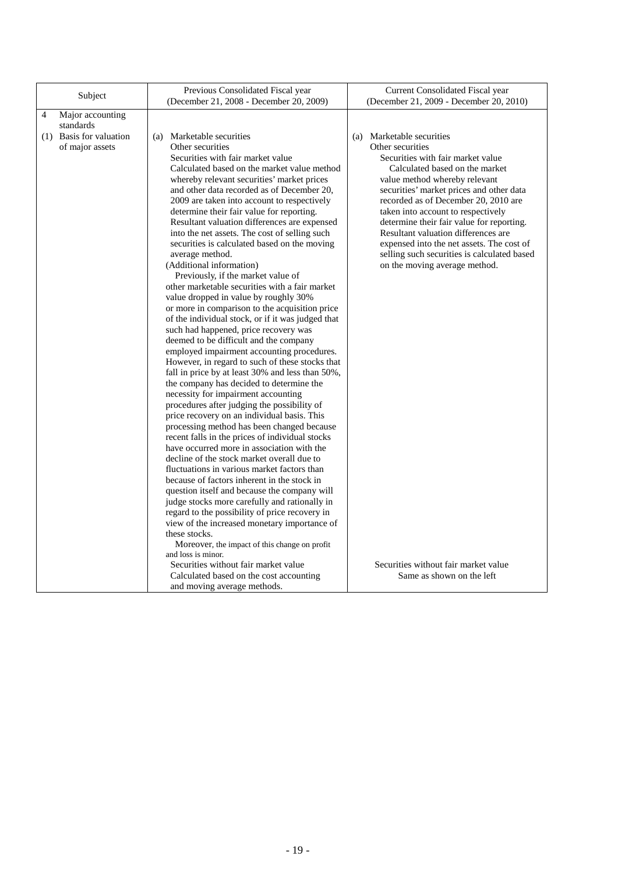| Subject                                    | Previous Consolidated Fiscal year<br>(December 21, 2008 - December 20, 2009)                                                                                                                                                                                                                                                                                                                                                                                                                                                                                                                                                                                                                                                                                                                                                                                                                                                                                                                                                                                                                                                                                                                                                                                                                                                                                                                                                                                                                                                                                                                                                                                                                                                                                                     | Current Consolidated Fiscal year<br>(December 21, 2009 - December 20, 2010)                                                                                                                                                                                                                                                                                                                                                                                                                      |
|--------------------------------------------|----------------------------------------------------------------------------------------------------------------------------------------------------------------------------------------------------------------------------------------------------------------------------------------------------------------------------------------------------------------------------------------------------------------------------------------------------------------------------------------------------------------------------------------------------------------------------------------------------------------------------------------------------------------------------------------------------------------------------------------------------------------------------------------------------------------------------------------------------------------------------------------------------------------------------------------------------------------------------------------------------------------------------------------------------------------------------------------------------------------------------------------------------------------------------------------------------------------------------------------------------------------------------------------------------------------------------------------------------------------------------------------------------------------------------------------------------------------------------------------------------------------------------------------------------------------------------------------------------------------------------------------------------------------------------------------------------------------------------------------------------------------------------------|--------------------------------------------------------------------------------------------------------------------------------------------------------------------------------------------------------------------------------------------------------------------------------------------------------------------------------------------------------------------------------------------------------------------------------------------------------------------------------------------------|
| 4<br>Major accounting<br>standards         |                                                                                                                                                                                                                                                                                                                                                                                                                                                                                                                                                                                                                                                                                                                                                                                                                                                                                                                                                                                                                                                                                                                                                                                                                                                                                                                                                                                                                                                                                                                                                                                                                                                                                                                                                                                  |                                                                                                                                                                                                                                                                                                                                                                                                                                                                                                  |
| (1) Basis for valuation<br>of major assets | (a) Marketable securities<br>Other securities<br>Securities with fair market value<br>Calculated based on the market value method<br>whereby relevant securities' market prices<br>and other data recorded as of December 20,<br>2009 are taken into account to respectively<br>determine their fair value for reporting.<br>Resultant valuation differences are expensed<br>into the net assets. The cost of selling such<br>securities is calculated based on the moving<br>average method.<br>(Additional information)<br>Previously, if the market value of<br>other marketable securities with a fair market<br>value dropped in value by roughly 30%<br>or more in comparison to the acquisition price<br>of the individual stock, or if it was judged that<br>such had happened, price recovery was<br>deemed to be difficult and the company<br>employed impairment accounting procedures.<br>However, in regard to such of these stocks that<br>fall in price by at least 30% and less than 50%,<br>the company has decided to determine the<br>necessity for impairment accounting<br>procedures after judging the possibility of<br>price recovery on an individual basis. This<br>processing method has been changed because<br>recent falls in the prices of individual stocks<br>have occurred more in association with the<br>decline of the stock market overall due to<br>fluctuations in various market factors than<br>because of factors inherent in the stock in<br>question itself and because the company will<br>judge stocks more carefully and rationally in<br>regard to the possibility of price recovery in<br>view of the increased monetary importance of<br>these stocks.<br>Moreover, the impact of this change on profit<br>and loss is minor. | (a) Marketable securities<br>Other securities<br>Securities with fair market value<br>Calculated based on the market<br>value method whereby relevant<br>securities' market prices and other data<br>recorded as of December 20, 2010 are<br>taken into account to respectively<br>determine their fair value for reporting.<br>Resultant valuation differences are<br>expensed into the net assets. The cost of<br>selling such securities is calculated based<br>on the moving average method. |
|                                            | Securities without fair market value<br>Calculated based on the cost accounting<br>and moving average methods.                                                                                                                                                                                                                                                                                                                                                                                                                                                                                                                                                                                                                                                                                                                                                                                                                                                                                                                                                                                                                                                                                                                                                                                                                                                                                                                                                                                                                                                                                                                                                                                                                                                                   | Securities without fair market value<br>Same as shown on the left                                                                                                                                                                                                                                                                                                                                                                                                                                |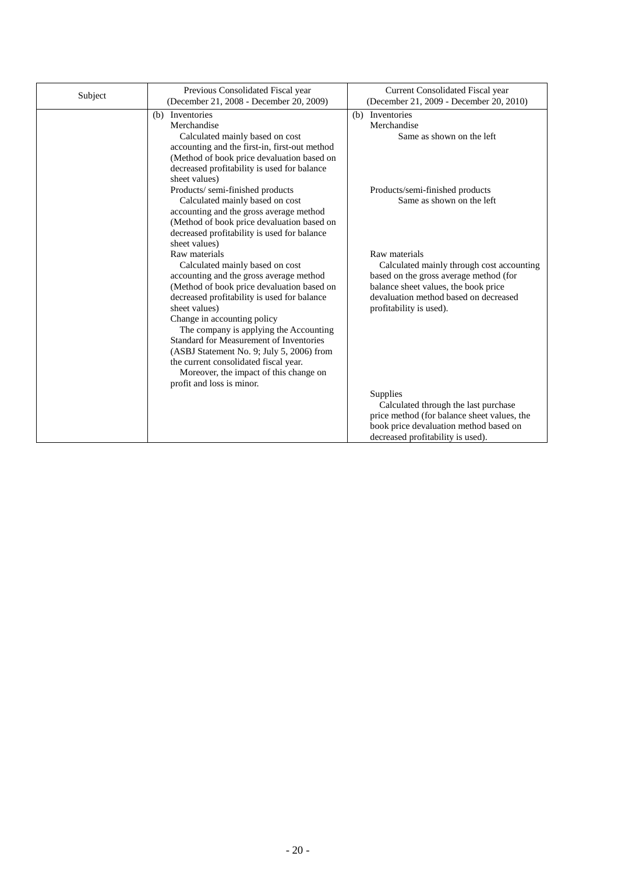| Previous Consolidated Fiscal year<br>Subject<br>(December 21, 2008 - December 20, 2009) |                                                                                                                                                                                                                                                                                                                                                                                                                                                                                            | Current Consolidated Fiscal year<br>(December 21, 2009 - December 20, 2010)                                                                                                                                      |  |  |
|-----------------------------------------------------------------------------------------|--------------------------------------------------------------------------------------------------------------------------------------------------------------------------------------------------------------------------------------------------------------------------------------------------------------------------------------------------------------------------------------------------------------------------------------------------------------------------------------------|------------------------------------------------------------------------------------------------------------------------------------------------------------------------------------------------------------------|--|--|
|                                                                                         | (b) Inventories<br>Merchandise<br>Calculated mainly based on cost<br>accounting and the first-in, first-out method<br>(Method of book price devaluation based on<br>decreased profitability is used for balance<br>sheet values)                                                                                                                                                                                                                                                           | (b) Inventories<br>Merchandise<br>Same as shown on the left                                                                                                                                                      |  |  |
|                                                                                         | Products/semi-finished products<br>Calculated mainly based on cost<br>accounting and the gross average method<br>(Method of book price devaluation based on<br>decreased profitability is used for balance<br>sheet values)                                                                                                                                                                                                                                                                | Products/semi-finished products<br>Same as shown on the left                                                                                                                                                     |  |  |
|                                                                                         | Raw materials<br>Calculated mainly based on cost<br>accounting and the gross average method<br>(Method of book price devaluation based on<br>decreased profitability is used for balance<br>sheet values)<br>Change in accounting policy<br>The company is applying the Accounting<br>Standard for Measurement of Inventories<br>(ASBJ Statement No. 9; July 5, 2006) from<br>the current consolidated fiscal year.<br>Moreover, the impact of this change on<br>profit and loss is minor. | Raw materials<br>Calculated mainly through cost accounting<br>based on the gross average method (for<br>balance sheet values, the book price<br>devaluation method based on decreased<br>profitability is used). |  |  |
|                                                                                         |                                                                                                                                                                                                                                                                                                                                                                                                                                                                                            | Supplies<br>Calculated through the last purchase<br>price method (for balance sheet values, the<br>book price devaluation method based on<br>decreased profitability is used).                                   |  |  |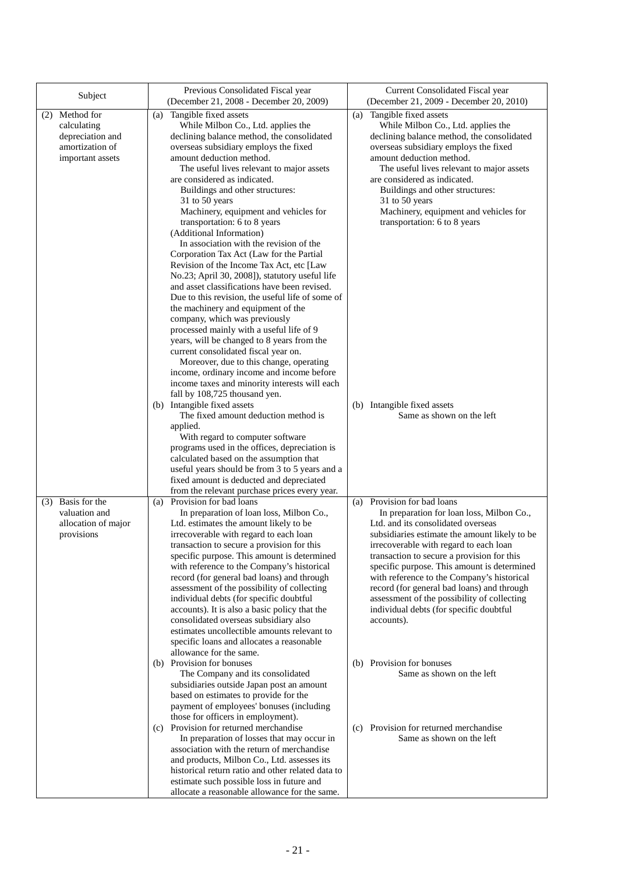| Subject                                                                                  | Previous Consolidated Fiscal year<br>(December 21, 2008 - December 20, 2009)                                                                                                                                                                                                                                                                                                                                                                                                                                                                                                                                                                                                                                                                                                                                                                                                                                                                                                                                                                                                                                                                                                                                                                        | Current Consolidated Fiscal year<br>(December 21, 2009 - December 20, 2010)                                                                                                                                                                                                                                                                                                                                                                                                                                                                                                                                                                    |  |  |
|------------------------------------------------------------------------------------------|-----------------------------------------------------------------------------------------------------------------------------------------------------------------------------------------------------------------------------------------------------------------------------------------------------------------------------------------------------------------------------------------------------------------------------------------------------------------------------------------------------------------------------------------------------------------------------------------------------------------------------------------------------------------------------------------------------------------------------------------------------------------------------------------------------------------------------------------------------------------------------------------------------------------------------------------------------------------------------------------------------------------------------------------------------------------------------------------------------------------------------------------------------------------------------------------------------------------------------------------------------|------------------------------------------------------------------------------------------------------------------------------------------------------------------------------------------------------------------------------------------------------------------------------------------------------------------------------------------------------------------------------------------------------------------------------------------------------------------------------------------------------------------------------------------------------------------------------------------------------------------------------------------------|--|--|
| (2) Method for<br>calculating<br>depreciation and<br>amortization of<br>important assets | Tangible fixed assets<br>(a)<br>While Milbon Co., Ltd. applies the<br>declining balance method, the consolidated<br>overseas subsidiary employs the fixed<br>amount deduction method.<br>The useful lives relevant to major assets<br>are considered as indicated.<br>Buildings and other structures:<br>31 to 50 years<br>Machinery, equipment and vehicles for<br>transportation: 6 to 8 years<br>(Additional Information)<br>In association with the revision of the<br>Corporation Tax Act (Law for the Partial<br>Revision of the Income Tax Act, etc [Law<br>No.23; April 30, 2008]), statutory useful life<br>and asset classifications have been revised.<br>Due to this revision, the useful life of some of<br>the machinery and equipment of the<br>company, which was previously<br>processed mainly with a useful life of 9<br>years, will be changed to 8 years from the<br>current consolidated fiscal year on.<br>Moreover, due to this change, operating<br>income, ordinary income and income before<br>income taxes and minority interests will each                                                                                                                                                                             | (a) Tangible fixed assets<br>While Milbon Co., Ltd. applies the<br>declining balance method, the consolidated<br>overseas subsidiary employs the fixed<br>amount deduction method.<br>The useful lives relevant to major assets<br>are considered as indicated.<br>Buildings and other structures:<br>31 to 50 years<br>Machinery, equipment and vehicles for<br>transportation: 6 to 8 years                                                                                                                                                                                                                                                  |  |  |
|                                                                                          | fall by 108,725 thousand yen.<br>(b) Intangible fixed assets<br>The fixed amount deduction method is<br>applied.<br>With regard to computer software<br>programs used in the offices, depreciation is<br>calculated based on the assumption that<br>useful years should be from 3 to 5 years and a<br>fixed amount is deducted and depreciated<br>from the relevant purchase prices every year.                                                                                                                                                                                                                                                                                                                                                                                                                                                                                                                                                                                                                                                                                                                                                                                                                                                     | (b) Intangible fixed assets<br>Same as shown on the left                                                                                                                                                                                                                                                                                                                                                                                                                                                                                                                                                                                       |  |  |
| $(3)$ Basis for the<br>valuation and<br>allocation of major<br>provisions                | Provision for bad loans<br>(a)<br>In preparation of loan loss, Milbon Co.,<br>Ltd. estimates the amount likely to be<br>irrecoverable with regard to each loan<br>transaction to secure a provision for this<br>specific purpose. This amount is determined<br>with reference to the Company's historical<br>record (for general bad loans) and through<br>assessment of the possibility of collecting<br>individual debts (for specific doubtful<br>accounts). It is also a basic policy that the<br>consolidated overseas subsidiary also<br>estimates uncollectible amounts relevant to<br>specific loans and allocates a reasonable<br>allowance for the same.<br>(b) Provision for bonuses<br>The Company and its consolidated<br>subsidiaries outside Japan post an amount<br>based on estimates to provide for the<br>payment of employees' bonuses (including<br>those for officers in employment).<br>(c) Provision for returned merchandise<br>In preparation of losses that may occur in<br>association with the return of merchandise<br>and products, Milbon Co., Ltd. assesses its<br>historical return ratio and other related data to<br>estimate such possible loss in future and<br>allocate a reasonable allowance for the same. | (a) Provision for bad loans<br>In preparation for loan loss, Milbon Co.,<br>Ltd. and its consolidated overseas<br>subsidiaries estimate the amount likely to be<br>irrecoverable with regard to each loan<br>transaction to secure a provision for this<br>specific purpose. This amount is determined<br>with reference to the Company's historical<br>record (for general bad loans) and through<br>assessment of the possibility of collecting<br>individual debts (for specific doubtful<br>accounts).<br>(b) Provision for bonuses<br>Same as shown on the left<br>Provision for returned merchandise<br>(c)<br>Same as shown on the left |  |  |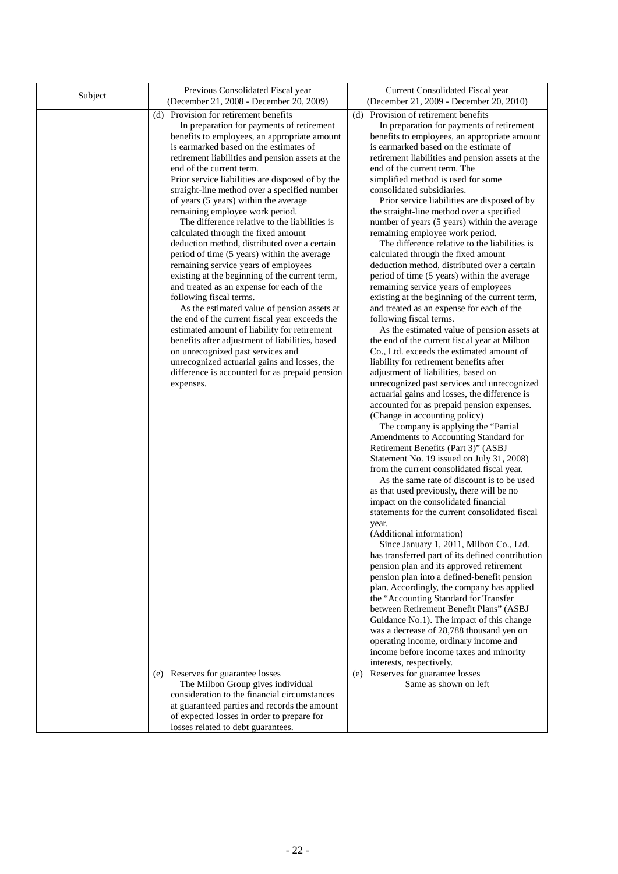| Subject | Previous Consolidated Fiscal year<br>(December 21, 2008 - December 20, 2009)                                                                                                                                                                                                                                                                                                                                                                                                                                                                                                                                                                                                                                                                                                                                                                                                                                                                                                                                                                                                                                                                                                                       | Current Consolidated Fiscal year<br>(December 21, 2009 - December 20, 2010)                                                                                                                                                                                                                                                                                                                                                                                                                                                                                                                                                                                                                                                                                                                                                                                                                                                                                                                                                                                                                                                                                                                                                                                                                                                                                                                                                                                                                                                                                                                                                                                                                                                                                                                                                                                                                                                                                                                                                                                                                                                                                                                                                                                                                                     |
|---------|----------------------------------------------------------------------------------------------------------------------------------------------------------------------------------------------------------------------------------------------------------------------------------------------------------------------------------------------------------------------------------------------------------------------------------------------------------------------------------------------------------------------------------------------------------------------------------------------------------------------------------------------------------------------------------------------------------------------------------------------------------------------------------------------------------------------------------------------------------------------------------------------------------------------------------------------------------------------------------------------------------------------------------------------------------------------------------------------------------------------------------------------------------------------------------------------------|-----------------------------------------------------------------------------------------------------------------------------------------------------------------------------------------------------------------------------------------------------------------------------------------------------------------------------------------------------------------------------------------------------------------------------------------------------------------------------------------------------------------------------------------------------------------------------------------------------------------------------------------------------------------------------------------------------------------------------------------------------------------------------------------------------------------------------------------------------------------------------------------------------------------------------------------------------------------------------------------------------------------------------------------------------------------------------------------------------------------------------------------------------------------------------------------------------------------------------------------------------------------------------------------------------------------------------------------------------------------------------------------------------------------------------------------------------------------------------------------------------------------------------------------------------------------------------------------------------------------------------------------------------------------------------------------------------------------------------------------------------------------------------------------------------------------------------------------------------------------------------------------------------------------------------------------------------------------------------------------------------------------------------------------------------------------------------------------------------------------------------------------------------------------------------------------------------------------------------------------------------------------------------------------------------------------|
|         | (d) Provision for retirement benefits<br>In preparation for payments of retirement<br>benefits to employees, an appropriate amount<br>is earmarked based on the estimates of<br>retirement liabilities and pension assets at the<br>end of the current term.<br>Prior service liabilities are disposed of by the<br>straight-line method over a specified number<br>of years (5 years) within the average<br>remaining employee work period.<br>The difference relative to the liabilities is<br>calculated through the fixed amount<br>deduction method, distributed over a certain<br>period of time (5 years) within the average<br>remaining service years of employees<br>existing at the beginning of the current term,<br>and treated as an expense for each of the<br>following fiscal terms.<br>As the estimated value of pension assets at<br>the end of the current fiscal year exceeds the<br>estimated amount of liability for retirement<br>benefits after adjustment of liabilities, based<br>on unrecognized past services and<br>unrecognized actuarial gains and losses, the<br>difference is accounted for as prepaid pension<br>expenses.<br>(e) Reserves for guarantee losses | (d) Provision of retirement benefits<br>In preparation for payments of retirement<br>benefits to employees, an appropriate amount<br>is earmarked based on the estimate of<br>retirement liabilities and pension assets at the<br>end of the current term. The<br>simplified method is used for some<br>consolidated subsidiaries.<br>Prior service liabilities are disposed of by<br>the straight-line method over a specified<br>number of years (5 years) within the average<br>remaining employee work period.<br>The difference relative to the liabilities is<br>calculated through the fixed amount<br>deduction method, distributed over a certain<br>period of time (5 years) within the average<br>remaining service years of employees<br>existing at the beginning of the current term,<br>and treated as an expense for each of the<br>following fiscal terms.<br>As the estimated value of pension assets at<br>the end of the current fiscal year at Milbon<br>Co., Ltd. exceeds the estimated amount of<br>liability for retirement benefits after<br>adjustment of liabilities, based on<br>unrecognized past services and unrecognized<br>actuarial gains and losses, the difference is<br>accounted for as prepaid pension expenses.<br>(Change in accounting policy)<br>The company is applying the "Partial<br>Amendments to Accounting Standard for<br>Retirement Benefits (Part 3)" (ASBJ<br>Statement No. 19 issued on July 31, 2008)<br>from the current consolidated fiscal year.<br>As the same rate of discount is to be used<br>as that used previously, there will be no<br>impact on the consolidated financial<br>statements for the current consolidated fiscal<br>year.<br>(Additional information)<br>Since January 1, 2011, Milbon Co., Ltd.<br>has transferred part of its defined contribution<br>pension plan and its approved retirement<br>pension plan into a defined-benefit pension<br>plan. Accordingly, the company has applied<br>the "Accounting Standard for Transfer<br>between Retirement Benefit Plans" (ASBJ<br>Guidance No.1). The impact of this change<br>was a decrease of 28,788 thousand yen on<br>operating income, ordinary income and<br>income before income taxes and minority<br>interests, respectively.<br>(e) Reserves for guarantee losses |
|         | The Milbon Group gives individual<br>consideration to the financial circumstances<br>at guaranteed parties and records the amount<br>of expected losses in order to prepare for<br>losses related to debt guarantees.                                                                                                                                                                                                                                                                                                                                                                                                                                                                                                                                                                                                                                                                                                                                                                                                                                                                                                                                                                              | Same as shown on left                                                                                                                                                                                                                                                                                                                                                                                                                                                                                                                                                                                                                                                                                                                                                                                                                                                                                                                                                                                                                                                                                                                                                                                                                                                                                                                                                                                                                                                                                                                                                                                                                                                                                                                                                                                                                                                                                                                                                                                                                                                                                                                                                                                                                                                                                           |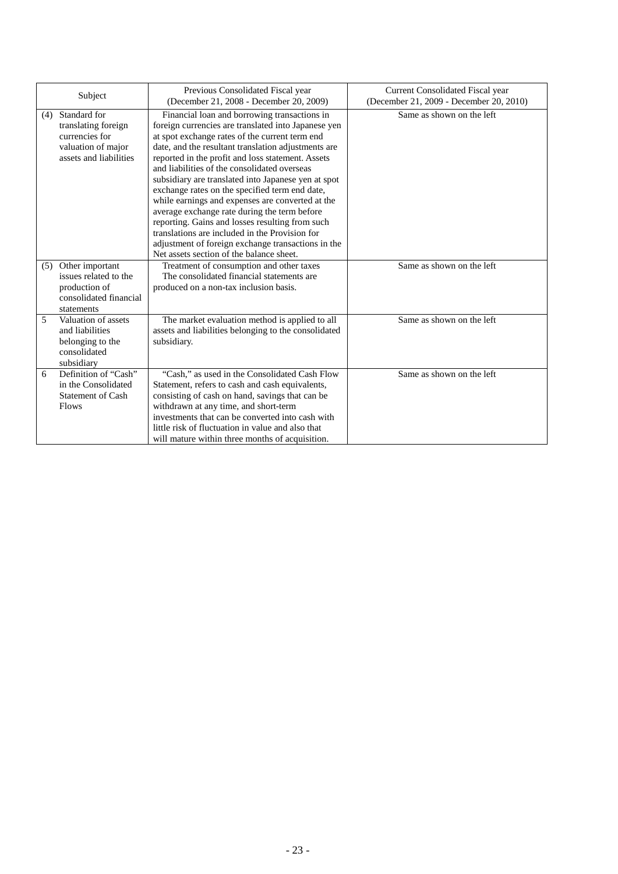| Subject |                                                                                                       | Previous Consolidated Fiscal year<br>(December 21, 2008 - December 20, 2009)                                                                                                                                                                                                                                                                                                                                                                                                                                                                                                                                                                                                                                                          | <b>Current Consolidated Fiscal year</b><br>(December 21, 2009 - December 20, 2010) |  |
|---------|-------------------------------------------------------------------------------------------------------|---------------------------------------------------------------------------------------------------------------------------------------------------------------------------------------------------------------------------------------------------------------------------------------------------------------------------------------------------------------------------------------------------------------------------------------------------------------------------------------------------------------------------------------------------------------------------------------------------------------------------------------------------------------------------------------------------------------------------------------|------------------------------------------------------------------------------------|--|
| (4)     | Standard for<br>translating foreign<br>currencies for<br>valuation of major<br>assets and liabilities | Financial loan and borrowing transactions in<br>foreign currencies are translated into Japanese yen<br>at spot exchange rates of the current term end<br>date, and the resultant translation adjustments are<br>reported in the profit and loss statement. Assets<br>and liabilities of the consolidated overseas<br>subsidiary are translated into Japanese yen at spot<br>exchange rates on the specified term end date,<br>while earnings and expenses are converted at the<br>average exchange rate during the term before<br>reporting. Gains and losses resulting from such<br>translations are included in the Provision for<br>adjustment of foreign exchange transactions in the<br>Net assets section of the balance sheet. | Same as shown on the left                                                          |  |
| (5)     | Other important<br>issues related to the<br>production of<br>consolidated financial<br>statements     | Treatment of consumption and other taxes<br>The consolidated financial statements are<br>produced on a non-tax inclusion basis.                                                                                                                                                                                                                                                                                                                                                                                                                                                                                                                                                                                                       | Same as shown on the left                                                          |  |
| 5       | Valuation of assets<br>and liabilities<br>belonging to the<br>consolidated<br>subsidiary              | The market evaluation method is applied to all<br>assets and liabilities belonging to the consolidated<br>subsidiary.                                                                                                                                                                                                                                                                                                                                                                                                                                                                                                                                                                                                                 | Same as shown on the left                                                          |  |
| 6       | Definition of "Cash"<br>in the Consolidated<br><b>Statement of Cash</b><br>Flows                      | "Cash," as used in the Consolidated Cash Flow<br>Statement, refers to cash and cash equivalents,<br>consisting of cash on hand, savings that can be<br>withdrawn at any time, and short-term<br>investments that can be converted into cash with<br>little risk of fluctuation in value and also that<br>will mature within three months of acquisition.                                                                                                                                                                                                                                                                                                                                                                              | Same as shown on the left                                                          |  |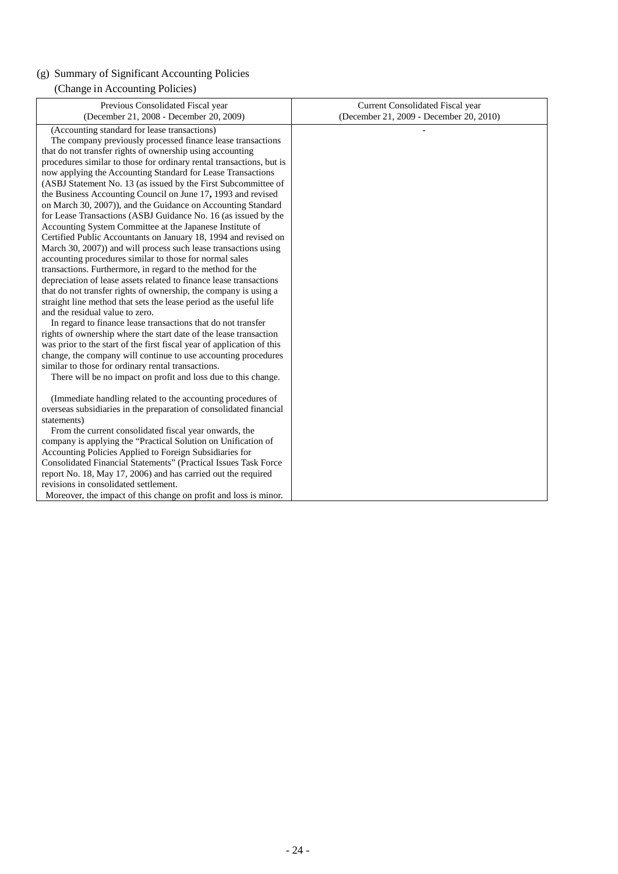# (g) Summary of Significant Accounting Policies

# (Change in Accounting Policies)

| Previous Consolidated Fiscal year<br>(December 21, 2008 - December 20, 2009)                                                                                                                                                                                                                                                                                                                                                                                                                                                                                                                                                                                                                                                                                                                                                                                                                                                                                                                                                                                                                                                                                                                                                                                                                                                                                                                                                                                                                                                                                               | Current Consolidated Fiscal year<br>(December 21, 2009 - December 20, 2010) |
|----------------------------------------------------------------------------------------------------------------------------------------------------------------------------------------------------------------------------------------------------------------------------------------------------------------------------------------------------------------------------------------------------------------------------------------------------------------------------------------------------------------------------------------------------------------------------------------------------------------------------------------------------------------------------------------------------------------------------------------------------------------------------------------------------------------------------------------------------------------------------------------------------------------------------------------------------------------------------------------------------------------------------------------------------------------------------------------------------------------------------------------------------------------------------------------------------------------------------------------------------------------------------------------------------------------------------------------------------------------------------------------------------------------------------------------------------------------------------------------------------------------------------------------------------------------------------|-----------------------------------------------------------------------------|
| (Accounting standard for lease transactions)<br>The company previously processed finance lease transactions<br>that do not transfer rights of ownership using accounting<br>procedures similar to those for ordinary rental transactions, but is<br>now applying the Accounting Standard for Lease Transactions<br>(ASBJ Statement No. 13 (as issued by the First Subcommittee of<br>the Business Accounting Council on June 17, 1993 and revised<br>on March 30, 2007)), and the Guidance on Accounting Standard<br>for Lease Transactions (ASBJ Guidance No. 16 (as issued by the<br>Accounting System Committee at the Japanese Institute of<br>Certified Public Accountants on January 18, 1994 and revised on<br>March 30, 2007)) and will process such lease transactions using<br>accounting procedures similar to those for normal sales<br>transactions. Furthermore, in regard to the method for the<br>depreciation of lease assets related to finance lease transactions<br>that do not transfer rights of ownership, the company is using a<br>straight line method that sets the lease period as the useful life<br>and the residual value to zero.<br>In regard to finance lease transactions that do not transfer<br>rights of ownership where the start date of the lease transaction<br>was prior to the start of the first fiscal year of application of this<br>change, the company will continue to use accounting procedures<br>similar to those for ordinary rental transactions.<br>There will be no impact on profit and loss due to this change. |                                                                             |
| (Immediate handling related to the accounting procedures of<br>overseas subsidiaries in the preparation of consolidated financial<br>statements)<br>From the current consolidated fiscal year onwards, the<br>company is applying the "Practical Solution on Unification of<br>Accounting Policies Applied to Foreign Subsidiaries for<br>Consolidated Financial Statements" (Practical Issues Task Force<br>report No. 18, May 17, 2006) and has carried out the required<br>revisions in consolidated settlement.<br>Moreover, the impact of this change on profit and loss is minor.                                                                                                                                                                                                                                                                                                                                                                                                                                                                                                                                                                                                                                                                                                                                                                                                                                                                                                                                                                                    |                                                                             |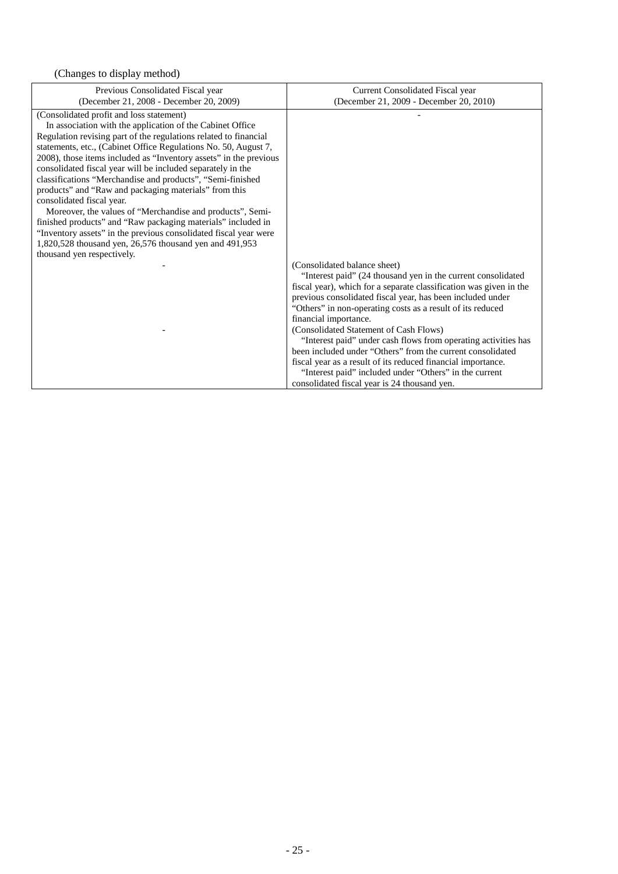| Previous Consolidated Fiscal year                                                                                                                                                                                                                                                                                                                                                                                                                                                                                                                                                                                                                                                                                                                                                                                                                                         | Current Consolidated Fiscal year                                                                                                                                                                                                                                                                                                          |
|---------------------------------------------------------------------------------------------------------------------------------------------------------------------------------------------------------------------------------------------------------------------------------------------------------------------------------------------------------------------------------------------------------------------------------------------------------------------------------------------------------------------------------------------------------------------------------------------------------------------------------------------------------------------------------------------------------------------------------------------------------------------------------------------------------------------------------------------------------------------------|-------------------------------------------------------------------------------------------------------------------------------------------------------------------------------------------------------------------------------------------------------------------------------------------------------------------------------------------|
| (December 21, 2008 - December 20, 2009)<br>(Consolidated profit and loss statement)<br>In association with the application of the Cabinet Office<br>Regulation revising part of the regulations related to financial<br>statements, etc., (Cabinet Office Regulations No. 50, August 7,<br>2008), those items included as "Inventory assets" in the previous<br>consolidated fiscal year will be included separately in the<br>classifications "Merchandise and products", "Semi-finished<br>products" and "Raw and packaging materials" from this<br>consolidated fiscal year.<br>Moreover, the values of "Merchandise and products", Semi-<br>finished products" and "Raw packaging materials" included in<br>"Inventory assets" in the previous consolidated fiscal year were<br>1,820,528 thousand yen, 26,576 thousand yen and 491,953<br>thousand yen respectively. | (December 21, 2009 - December 20, 2010)<br>(Consolidated balance sheet)<br>"Interest paid" (24 thousand yen in the current consolidated<br>fiscal year), which for a separate classification was given in the<br>previous consolidated fiscal year, has been included under<br>"Others" in non-operating costs as a result of its reduced |
|                                                                                                                                                                                                                                                                                                                                                                                                                                                                                                                                                                                                                                                                                                                                                                                                                                                                           | financial importance.                                                                                                                                                                                                                                                                                                                     |
|                                                                                                                                                                                                                                                                                                                                                                                                                                                                                                                                                                                                                                                                                                                                                                                                                                                                           | (Consolidated Statement of Cash Flows)<br>"Interest paid" under cash flows from operating activities has                                                                                                                                                                                                                                  |
|                                                                                                                                                                                                                                                                                                                                                                                                                                                                                                                                                                                                                                                                                                                                                                                                                                                                           | been included under "Others" from the current consolidated<br>fiscal year as a result of its reduced financial importance.                                                                                                                                                                                                                |
|                                                                                                                                                                                                                                                                                                                                                                                                                                                                                                                                                                                                                                                                                                                                                                                                                                                                           | "Interest paid" included under "Others" in the current<br>consolidated fiscal year is 24 thousand yen.                                                                                                                                                                                                                                    |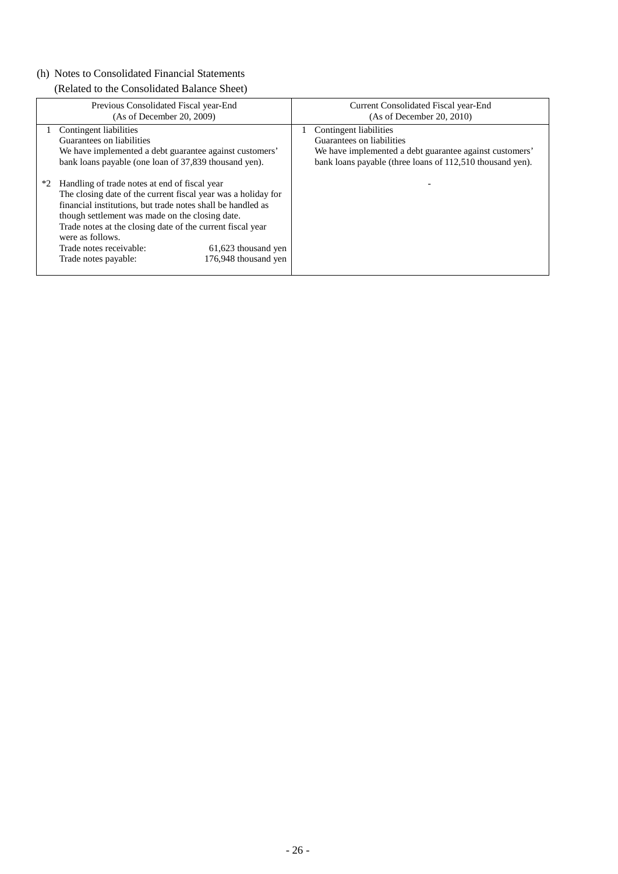# (h) Notes to Consolidated Financial Statements

(Related to the Consolidated Balance Sheet)

|      | Previous Consolidated Fiscal year-End<br>(As of December 20, 2009)                                                                                                                                                                                                                                                                                                  | Current Consolidated Fiscal year-End<br>(As of December 20, 2010)                                                                                                           |
|------|---------------------------------------------------------------------------------------------------------------------------------------------------------------------------------------------------------------------------------------------------------------------------------------------------------------------------------------------------------------------|-----------------------------------------------------------------------------------------------------------------------------------------------------------------------------|
| $*2$ | Contingent liabilities<br>Guarantees on liabilities<br>We have implemented a debt guarantee against customers'<br>bank loans payable (one loan of 37,839 thousand yen).<br>Handling of trade notes at end of fiscal year                                                                                                                                            | Contingent liabilities<br>Guarantees on liabilities<br>We have implemented a debt guarantee against customers'<br>bank loans payable (three loans of 112,510 thousand yen). |
|      | The closing date of the current fiscal year was a holiday for<br>financial institutions, but trade notes shall be handled as<br>though settlement was made on the closing date.<br>Trade notes at the closing date of the current fiscal year<br>were as follows.<br>Trade notes receivable:<br>61,623 thousand yen<br>176,948 thousand yen<br>Trade notes payable: |                                                                                                                                                                             |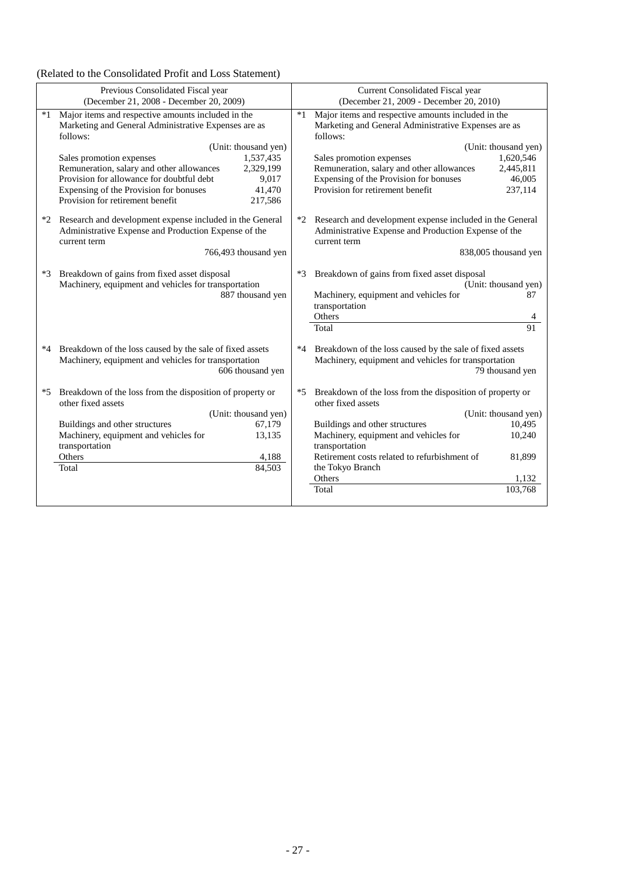# (Related to the Consolidated Profit and Loss Statement)

| Previous Consolidated Fiscal year<br>(December 21, 2008 - December 20, 2009) |                                                                                                                                                                                                                                                                                                                                                                                                            |      | <b>Current Consolidated Fiscal year</b><br>(December 21, 2009 - December 20, 2010)                                                                                                                                                                                            |                                                                        |
|------------------------------------------------------------------------------|------------------------------------------------------------------------------------------------------------------------------------------------------------------------------------------------------------------------------------------------------------------------------------------------------------------------------------------------------------------------------------------------------------|------|-------------------------------------------------------------------------------------------------------------------------------------------------------------------------------------------------------------------------------------------------------------------------------|------------------------------------------------------------------------|
| $*1$                                                                         | Major items and respective amounts included in the<br>Marketing and General Administrative Expenses are as<br>follows:<br>(Unit: thousand yen)<br>1,537,435<br>Sales promotion expenses<br>Remuneration, salary and other allowances<br>2,329,199<br>Provision for allowance for doubtful debt<br>9,017<br>Expensing of the Provision for bonuses<br>41,470<br>Provision for retirement benefit<br>217,586 | $*1$ | Major items and respective amounts included in the<br>Marketing and General Administrative Expenses are as<br>follows:<br>Sales promotion expenses<br>Remuneration, salary and other allowances<br>Expensing of the Provision for bonuses<br>Provision for retirement benefit | (Unit: thousand yen)<br>1,620,546<br>2,445,811<br>46,005<br>237,114    |
| $*2$                                                                         | Research and development expense included in the General<br>Administrative Expense and Production Expense of the<br>current term<br>766,493 thousand yen                                                                                                                                                                                                                                                   |      | Research and development expense included in the General<br>Administrative Expense and Production Expense of the<br>current term                                                                                                                                              | 838,005 thousand yen                                                   |
| *3                                                                           | Breakdown of gains from fixed asset disposal<br>Machinery, equipment and vehicles for transportation<br>887 thousand yen                                                                                                                                                                                                                                                                                   | $*3$ | Breakdown of gains from fixed asset disposal<br>Machinery, equipment and vehicles for<br>transportation<br>Others<br>Total                                                                                                                                                    | (Unit: thousand yen)<br>87<br>91                                       |
| *4                                                                           | Breakdown of the loss caused by the sale of fixed assets<br>Machinery, equipment and vehicles for transportation<br>606 thousand yen                                                                                                                                                                                                                                                                       | *4   | Breakdown of the loss caused by the sale of fixed assets<br>Machinery, equipment and vehicles for transportation                                                                                                                                                              | 79 thousand yen                                                        |
| *5                                                                           | Breakdown of the loss from the disposition of property or<br>other fixed assets<br>(Unit: thousand yen)<br>Buildings and other structures<br>67,179<br>Machinery, equipment and vehicles for<br>13,135<br>transportation<br>Others<br>4,188<br>84,503<br>Total                                                                                                                                             | *5   | Breakdown of the loss from the disposition of property or<br>other fixed assets<br>Buildings and other structures<br>Machinery, equipment and vehicles for<br>transportation<br>Retirement costs related to refurbishment of<br>the Tokyo Branch<br>Others<br>Total           | (Unit: thousand yen)<br>10,495<br>10,240<br>81.899<br>1.132<br>103,768 |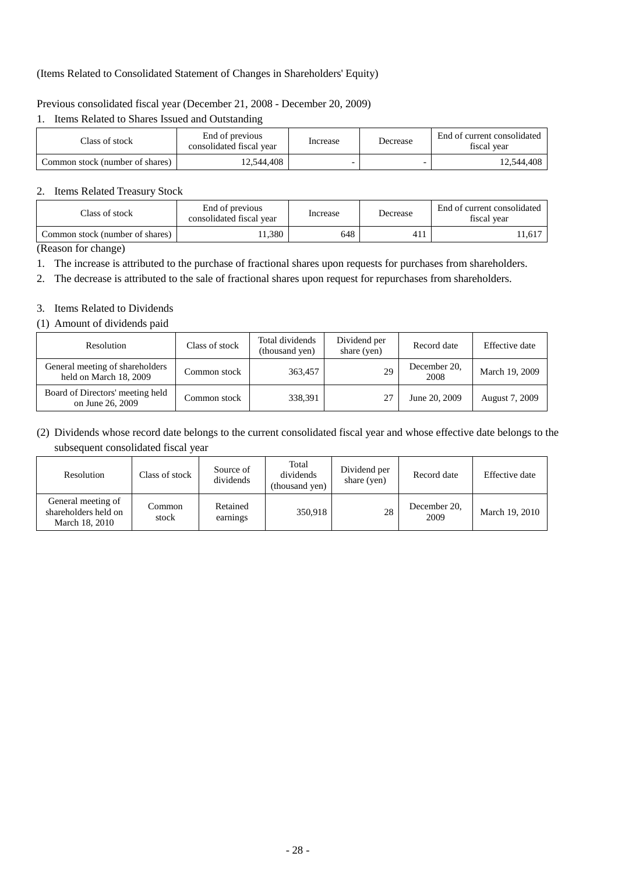# (Items Related to Consolidated Statement of Changes in Shareholders' Equity)

# Previous consolidated fiscal year (December 21, 2008 - December 20, 2009)

# 1. Items Related to Shares Issued and Outstanding

| Class of stock                  | End of previous<br>consolidated fiscal year | Increase | Decrease | End of current consolidated<br>fiscal year |
|---------------------------------|---------------------------------------------|----------|----------|--------------------------------------------|
| Common stock (number of shares) | 12.544.408                                  | -        |          | 12,544,408                                 |

### 2. Items Related Treasury Stock

| Class of stock                  | End of previous<br>consolidated fiscal year | Increase | Decrease | End of current consolidated<br>fiscal year |
|---------------------------------|---------------------------------------------|----------|----------|--------------------------------------------|
| Common stock (number of shares) | 1.380                                       | 648      | 411      | .1,617                                     |

(Reason for change)

1. The increase is attributed to the purchase of fractional shares upon requests for purchases from shareholders.

2. The decrease is attributed to the sale of fractional shares upon request for repurchases from shareholders.

# 3. Items Related to Dividends

### (1) Amount of dividends paid

| Resolution                                                | Class of stock | Total dividends<br>(thousand yen) | Dividend per<br>share (yen) | Record date          | Effective date |
|-----------------------------------------------------------|----------------|-----------------------------------|-----------------------------|----------------------|----------------|
| General meeting of shareholders<br>held on March 18, 2009 | Common stock   | 363,457                           | 29                          | December 20,<br>2008 | March 19, 2009 |
| Board of Directors' meeting held<br>on June 26, 2009      | Common stock   | 338.391                           | 27                          | June 20, 2009        | August 7, 2009 |

# (2) Dividends whose record date belongs to the current consolidated fiscal year and whose effective date belongs to the subsequent consolidated fiscal year

| Resolution                                                   | Class of stock  | Source of<br>dividends | Total<br>dividends<br>(thousand yen) | Dividend per<br>share (yen) | Record date          | Effective date |
|--------------------------------------------------------------|-----------------|------------------------|--------------------------------------|-----------------------------|----------------------|----------------|
| General meeting of<br>shareholders held on<br>March 18, 2010 | Common<br>stock | Retained<br>earnings   | 350,918                              | 28                          | December 20,<br>2009 | March 19, 2010 |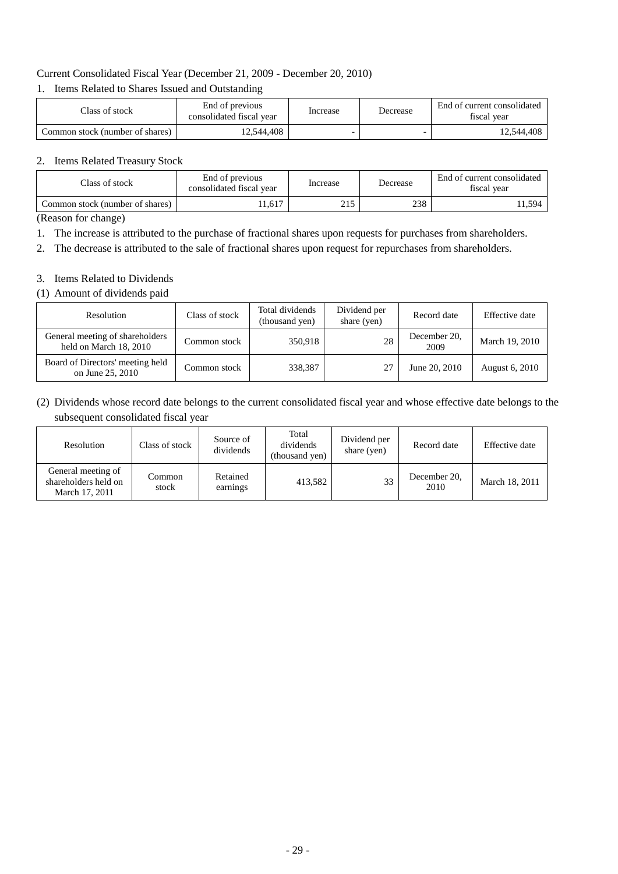# Current Consolidated Fiscal Year (December 21, 2009 - December 20, 2010)

## 1. Items Related to Shares Issued and Outstanding

| Class of stock                  | End of previous<br>consolidated fiscal year | Increase | Decrease | End of current consolidated<br>fiscal year |
|---------------------------------|---------------------------------------------|----------|----------|--------------------------------------------|
| Common stock (number of shares) | 12,544,408                                  |          |          | 12,544,408                                 |

### 2. Items Related Treasury Stock

| End of previous<br>Class of stock<br>consolidated fiscal year |        | Increase | Decrease | End of current consolidated<br>fiscal year |
|---------------------------------------------------------------|--------|----------|----------|--------------------------------------------|
| Common stock (number of shares)                               | 11,617 | 215      | 238      | .1.594                                     |

(Reason for change)

- 1. The increase is attributed to the purchase of fractional shares upon requests for purchases from shareholders.
- 2. The decrease is attributed to the sale of fractional shares upon request for repurchases from shareholders.

### 3. Items Related to Dividends

(1) Amount of dividends paid

| Resolution                                                | Class of stock | Total dividends<br>(thousand yen) | Dividend per<br>share (yen) | Record date          | Effective date |
|-----------------------------------------------------------|----------------|-----------------------------------|-----------------------------|----------------------|----------------|
| General meeting of shareholders<br>held on March 18, 2010 | Common stock   | 350.918                           | 28                          | December 20,<br>2009 | March 19, 2010 |
| Board of Directors' meeting held<br>on June 25, 2010      | Common stock   | 338,387                           | 27                          | June 20, 2010        | August 6, 2010 |

(2) Dividends whose record date belongs to the current consolidated fiscal year and whose effective date belongs to the subsequent consolidated fiscal year

| Resolution                                                   | Class of stock  | Source of<br>dividends | Total<br>dividends<br>(thousand yen) | Dividend per<br>share (yen) | Record date          | Effective date |
|--------------------------------------------------------------|-----------------|------------------------|--------------------------------------|-----------------------------|----------------------|----------------|
| General meeting of<br>shareholders held on<br>March 17, 2011 | Common<br>stock | Retained<br>earnings   | 413,582                              | 33                          | December 20.<br>2010 | March 18, 2011 |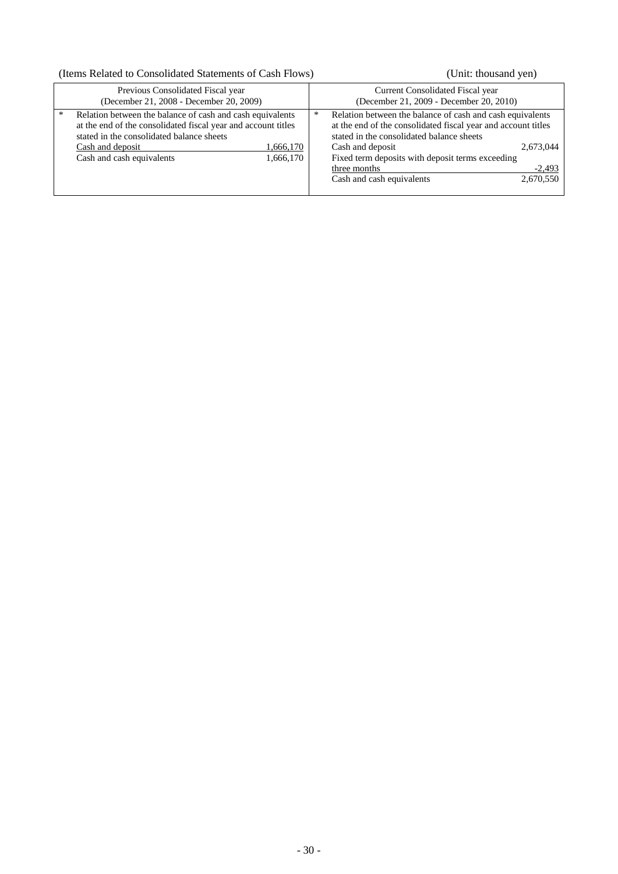# (Items Related to Consolidated Statements of Cash Flows) (Unit: thousand yen)

| Previous Consolidated Fiscal year                                                                                                                                                                                                                       | Current Consolidated Fiscal year                                                                                                                                                                                                                                                                                                        |
|---------------------------------------------------------------------------------------------------------------------------------------------------------------------------------------------------------------------------------------------------------|-----------------------------------------------------------------------------------------------------------------------------------------------------------------------------------------------------------------------------------------------------------------------------------------------------------------------------------------|
| (December 21, 2008 - December 20, 2009)                                                                                                                                                                                                                 | (December 21, 2009 - December 20, 2010)                                                                                                                                                                                                                                                                                                 |
| Relation between the balance of cash and cash equivalents<br>*<br>at the end of the consolidated fiscal year and account titles<br>stated in the consolidated balance sheets<br>Cash and deposit<br>1,666,170<br>Cash and cash equivalents<br>1,666,170 | Relation between the balance of cash and cash equivalents<br>∗<br>at the end of the consolidated fiscal year and account titles<br>stated in the consolidated balance sheets<br>Cash and deposit<br>2,673,044<br>Fixed term deposits with deposit terms exceeding<br>three months<br>$-2,493$<br>2,670,550<br>Cash and cash equivalents |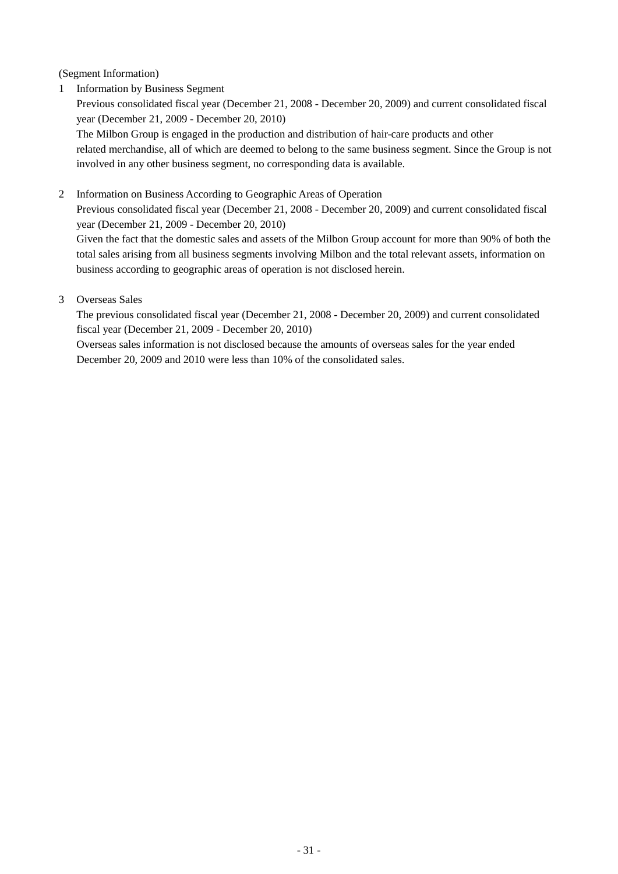(Segment Information)

1 Information by Business Segment

Previous consolidated fiscal year (December 21, 2008 - December 20, 2009) and current consolidated fiscal year (December 21, 2009 - December 20, 2010)

The Milbon Group is engaged in the production and distribution of hair-care products and other related merchandise, all of which are deemed to belong to the same business segment. Since the Group is not involved in any other business segment, no corresponding data is available.

2 Information on Business According to Geographic Areas of Operation

Previous consolidated fiscal year (December 21, 2008 - December 20, 2009) and current consolidated fiscal year (December 21, 2009 - December 20, 2010)

Given the fact that the domestic sales and assets of the Milbon Group account for more than 90% of both the total sales arising from all business segments involving Milbon and the total relevant assets, information on business according to geographic areas of operation is not disclosed herein.

3 Overseas Sales

The previous consolidated fiscal year (December 21, 2008 - December 20, 2009) and current consolidated fiscal year (December 21, 2009 - December 20, 2010)

Overseas sales information is not disclosed because the amounts of overseas sales for the year ended December 20, 2009 and 2010 were less than 10% of the consolidated sales.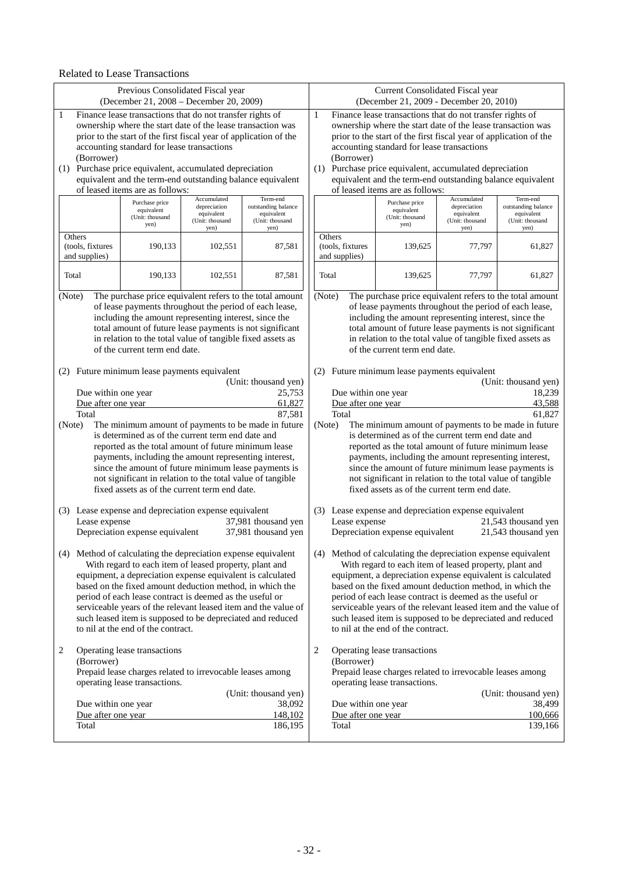### Related to Lease Transactions

|                                                                | Previous Consolidated Fiscal year<br>(December 21, 2008 – December 20, 2009)                                            |                            |                                                          |                                                                   | Current Consolidated Fiscal year<br>(December 21, 2009 - December 20, 2010) |                                                                                                                         |                            |                                                                |
|----------------------------------------------------------------|-------------------------------------------------------------------------------------------------------------------------|----------------------------|----------------------------------------------------------|-------------------------------------------------------------------|-----------------------------------------------------------------------------|-------------------------------------------------------------------------------------------------------------------------|----------------------------|----------------------------------------------------------------|
| $\mathbf{1}$                                                   | Finance lease transactions that do not transfer rights of                                                               |                            |                                                          | $\mathbf{1}$                                                      | Finance lease transactions that do not transfer rights of                   |                                                                                                                         |                            |                                                                |
|                                                                | ownership where the start date of the lease transaction was                                                             |                            |                                                          |                                                                   |                                                                             | ownership where the start date of the lease transaction was                                                             |                            |                                                                |
|                                                                | prior to the start of the first fiscal year of application of the                                                       |                            |                                                          | prior to the start of the first fiscal year of application of the |                                                                             |                                                                                                                         |                            |                                                                |
|                                                                | accounting standard for lease transactions                                                                              |                            |                                                          |                                                                   |                                                                             | accounting standard for lease transactions                                                                              |                            |                                                                |
| (Borrower)                                                     |                                                                                                                         |                            |                                                          |                                                                   | (Borrower)                                                                  |                                                                                                                         |                            |                                                                |
|                                                                | (1) Purchase price equivalent, accumulated depreciation                                                                 |                            |                                                          |                                                                   |                                                                             | (1) Purchase price equivalent, accumulated depreciation                                                                 |                            |                                                                |
|                                                                | equivalent and the term-end outstanding balance equivalent<br>of leased items are as follows:                           |                            |                                                          |                                                                   |                                                                             | equivalent and the term-end outstanding balance equivalent<br>of leased items are as follows:                           |                            |                                                                |
|                                                                |                                                                                                                         | Accumulated                | Term-end                                                 |                                                                   |                                                                             |                                                                                                                         | Accumulated                | Term-end                                                       |
|                                                                | Purchase price<br>equivalent                                                                                            | depreciation<br>equivalent | outstanding balance<br>equivalent                        |                                                                   |                                                                             | Purchase price<br>equivalent                                                                                            | depreciation<br>equivalent | outstanding balance<br>equivalent                              |
|                                                                | (Unit: thousand<br>yen)                                                                                                 | (Unit: thousand            | (Unit: thousand                                          |                                                                   |                                                                             | (Unit: thousand<br>yen)                                                                                                 | (Unit: thousand            | (Unit: thousand                                                |
| Others                                                         |                                                                                                                         | yen)                       | yen)                                                     |                                                                   | Others                                                                      |                                                                                                                         | yen)                       | yen)                                                           |
| (tools, fixtures                                               | 190,133                                                                                                                 | 102,551                    | 87,581                                                   |                                                                   | (tools, fixtures                                                            | 139,625                                                                                                                 | 77,797                     | 61,827                                                         |
| and supplies)                                                  |                                                                                                                         |                            |                                                          |                                                                   | and supplies)                                                               |                                                                                                                         |                            |                                                                |
|                                                                |                                                                                                                         |                            |                                                          |                                                                   |                                                                             |                                                                                                                         |                            |                                                                |
| Total                                                          | 190,133                                                                                                                 | 102,551                    | 87,581                                                   | Total                                                             |                                                                             | 139,625                                                                                                                 | 77,797                     | 61,827                                                         |
| (Note)                                                         |                                                                                                                         |                            | The purchase price equivalent refers to the total amount | (Note)                                                            |                                                                             |                                                                                                                         |                            | The purchase price equivalent refers to the total amount       |
|                                                                | of lease payments throughout the period of each lease,                                                                  |                            |                                                          |                                                                   |                                                                             | of lease payments throughout the period of each lease,                                                                  |                            |                                                                |
|                                                                | including the amount representing interest, since the                                                                   |                            |                                                          |                                                                   |                                                                             | including the amount representing interest, since the                                                                   |                            |                                                                |
|                                                                | total amount of future lease payments is not significant                                                                |                            |                                                          |                                                                   |                                                                             | total amount of future lease payments is not significant                                                                |                            |                                                                |
|                                                                | in relation to the total value of tangible fixed assets as                                                              |                            |                                                          |                                                                   |                                                                             | in relation to the total value of tangible fixed assets as                                                              |                            |                                                                |
|                                                                | of the current term end date.                                                                                           |                            |                                                          |                                                                   |                                                                             | of the current term end date.                                                                                           |                            |                                                                |
|                                                                |                                                                                                                         |                            |                                                          |                                                                   |                                                                             |                                                                                                                         |                            |                                                                |
|                                                                | (2) Future minimum lease payments equivalent                                                                            |                            | (Unit: thousand yen)                                     |                                                                   |                                                                             | (2) Future minimum lease payments equivalent                                                                            |                            | (Unit: thousand yen)                                           |
| Due within one year                                            |                                                                                                                         |                            | 25,753                                                   |                                                                   | Due within one year<br>18,239                                               |                                                                                                                         |                            |                                                                |
| Due after one year                                             |                                                                                                                         |                            | 61,827                                                   | Due after one year<br>43,588                                      |                                                                             |                                                                                                                         |                            |                                                                |
| Total                                                          |                                                                                                                         |                            | 87,581                                                   |                                                                   | Total                                                                       |                                                                                                                         |                            | 61,827                                                         |
| (Note)                                                         |                                                                                                                         |                            | The minimum amount of payments to be made in future      | (Note)                                                            |                                                                             |                                                                                                                         |                            | The minimum amount of payments to be made in future            |
|                                                                | is determined as of the current term end date and                                                                       |                            |                                                          |                                                                   |                                                                             | is determined as of the current term end date and                                                                       |                            |                                                                |
|                                                                | reported as the total amount of future minimum lease                                                                    |                            |                                                          |                                                                   |                                                                             | reported as the total amount of future minimum lease                                                                    |                            |                                                                |
|                                                                | payments, including the amount representing interest,                                                                   |                            |                                                          |                                                                   |                                                                             | payments, including the amount representing interest,                                                                   |                            |                                                                |
|                                                                | since the amount of future minimum lease payments is<br>not significant in relation to the total value of tangible      |                            |                                                          |                                                                   |                                                                             | since the amount of future minimum lease payments is<br>not significant in relation to the total value of tangible      |                            |                                                                |
|                                                                | fixed assets as of the current term end date.                                                                           |                            |                                                          |                                                                   |                                                                             | fixed assets as of the current term end date.                                                                           |                            |                                                                |
|                                                                |                                                                                                                         |                            |                                                          |                                                                   |                                                                             |                                                                                                                         |                            |                                                                |
|                                                                | (3) Lease expense and depreciation expense equivalent                                                                   |                            |                                                          |                                                                   |                                                                             | (3) Lease expense and depreciation expense equivalent                                                                   |                            |                                                                |
| Lease expense                                                  |                                                                                                                         |                            | 37,981 thousand yen                                      |                                                                   | Lease expense                                                               |                                                                                                                         |                            | 21,543 thousand yen                                            |
|                                                                | Depreciation expense equivalent                                                                                         |                            | 37,981 thousand yen                                      |                                                                   |                                                                             | Depreciation expense equivalent                                                                                         |                            | 21,543 thousand yen                                            |
|                                                                |                                                                                                                         |                            |                                                          |                                                                   |                                                                             |                                                                                                                         |                            |                                                                |
|                                                                | (4) Method of calculating the depreciation expense equivalent<br>With regard to each item of leased property, plant and |                            |                                                          |                                                                   |                                                                             | (4) Method of calculating the depreciation expense equivalent<br>With regard to each item of leased property, plant and |                            |                                                                |
|                                                                | equipment, a depreciation expense equivalent is calculated                                                              |                            |                                                          |                                                                   |                                                                             | equipment, a depreciation expense equivalent is calculated                                                              |                            |                                                                |
|                                                                | based on the fixed amount deduction method, in which the                                                                |                            |                                                          |                                                                   |                                                                             | based on the fixed amount deduction method, in which the                                                                |                            |                                                                |
|                                                                | period of each lease contract is deemed as the useful or                                                                |                            |                                                          |                                                                   |                                                                             | period of each lease contract is deemed as the useful or                                                                |                            |                                                                |
| serviceable years of the relevant leased item and the value of |                                                                                                                         |                            |                                                          |                                                                   |                                                                             |                                                                                                                         |                            | serviceable years of the relevant leased item and the value of |
| such leased item is supposed to be depreciated and reduced     |                                                                                                                         |                            |                                                          |                                                                   |                                                                             | such leased item is supposed to be depreciated and reduced                                                              |                            |                                                                |
|                                                                | to nil at the end of the contract.                                                                                      |                            |                                                          |                                                                   |                                                                             | to nil at the end of the contract.                                                                                      |                            |                                                                |
|                                                                |                                                                                                                         |                            |                                                          | 2                                                                 |                                                                             |                                                                                                                         |                            |                                                                |
| 2<br>(Borrower)                                                | Operating lease transactions                                                                                            |                            |                                                          |                                                                   | (Borrower)                                                                  | Operating lease transactions                                                                                            |                            |                                                                |
|                                                                | Prepaid lease charges related to irrevocable leases among                                                               |                            |                                                          |                                                                   |                                                                             | Prepaid lease charges related to irrevocable leases among                                                               |                            |                                                                |
|                                                                | operating lease transactions.                                                                                           |                            |                                                          |                                                                   |                                                                             | operating lease transactions.                                                                                           |                            |                                                                |
|                                                                |                                                                                                                         |                            | (Unit: thousand yen)                                     |                                                                   |                                                                             |                                                                                                                         |                            | (Unit: thousand yen)                                           |
| Due within one year                                            |                                                                                                                         |                            | 38,092                                                   |                                                                   | Due within one year                                                         |                                                                                                                         |                            | 38,499                                                         |
| Due after one year                                             |                                                                                                                         |                            | 148,102                                                  |                                                                   | Due after one year                                                          |                                                                                                                         |                            | 100,666                                                        |
| Total                                                          |                                                                                                                         |                            | 186,195                                                  |                                                                   | Total                                                                       |                                                                                                                         |                            | 139,166                                                        |
|                                                                |                                                                                                                         |                            |                                                          |                                                                   |                                                                             |                                                                                                                         |                            |                                                                |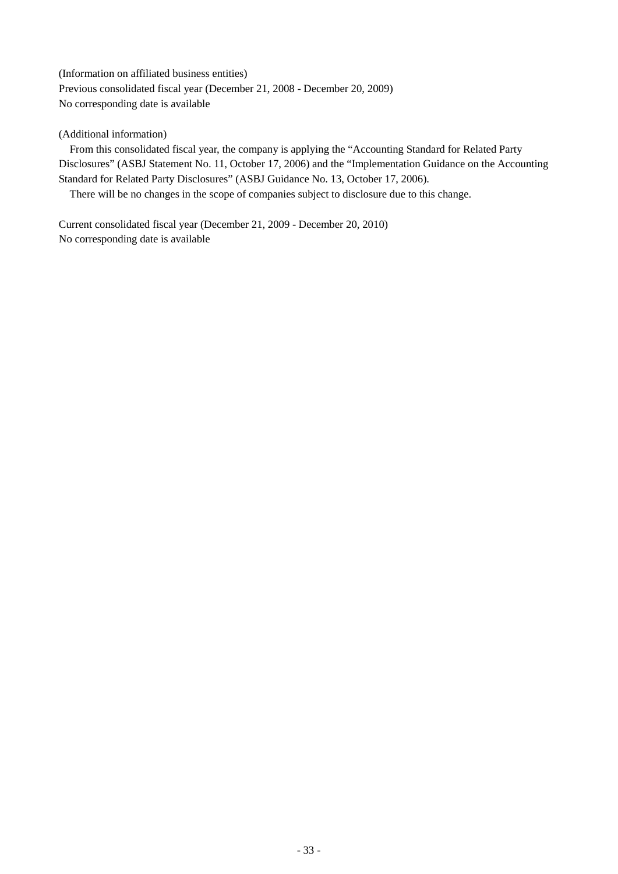(Information on affiliated business entities) Previous consolidated fiscal year (December 21, 2008 - December 20, 2009) No corresponding date is available

## (Additional information)

From this consolidated fiscal year, the company is applying the "Accounting Standard for Related Party Disclosures" (ASBJ Statement No. 11, October 17, 2006) and the "Implementation Guidance on the Accounting Standard for Related Party Disclosures" (ASBJ Guidance No. 13, October 17, 2006).

There will be no changes in the scope of companies subject to disclosure due to this change.

Current consolidated fiscal year (December 21, 2009 - December 20, 2010) No corresponding date is available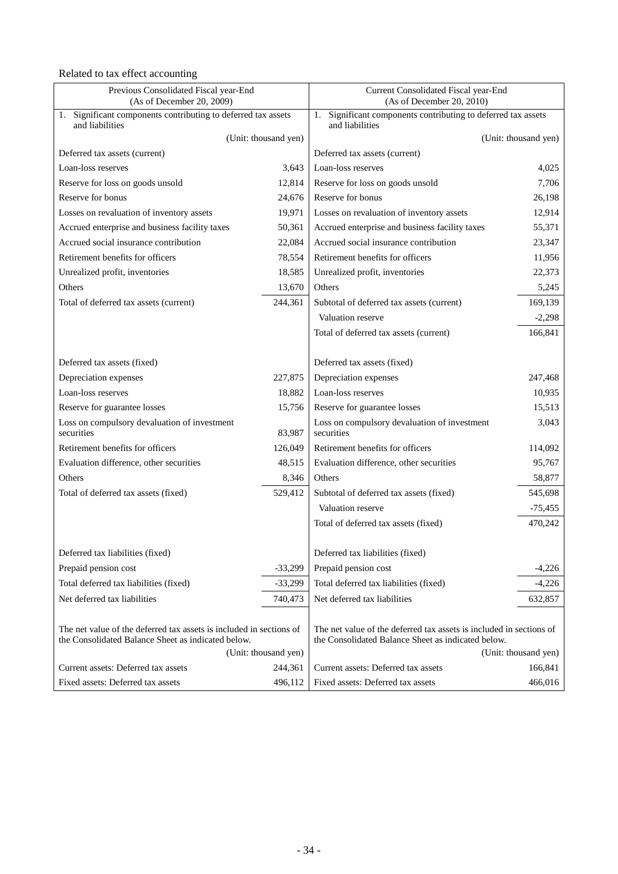# Related to tax effect accounting

| 1. Significant components contributing to deferred tax assets<br>Significant components contributing to deferred tax assets<br>1.<br>and liabilities<br>and liabilities                                                                                |           |
|--------------------------------------------------------------------------------------------------------------------------------------------------------------------------------------------------------------------------------------------------------|-----------|
| (Unit: thousand yen)<br>(Unit: thousand yen)                                                                                                                                                                                                           |           |
| Deferred tax assets (current)<br>Deferred tax assets (current)                                                                                                                                                                                         |           |
| 3,643<br>Loan-loss reserves<br>Loan-loss reserves                                                                                                                                                                                                      | 4,025     |
| 12,814<br>Reserve for loss on goods unsold<br>Reserve for loss on goods unsold                                                                                                                                                                         | 7,706     |
| Reserve for bonus<br>Reserve for bonus<br>24,676                                                                                                                                                                                                       | 26,198    |
| 19,971<br>Losses on revaluation of inventory assets<br>Losses on revaluation of inventory assets                                                                                                                                                       | 12,914    |
| Accrued enterprise and business facility taxes<br>50,361<br>Accrued enterprise and business facility taxes                                                                                                                                             | 55,371    |
| Accrued social insurance contribution<br>Accrued social insurance contribution<br>22,084                                                                                                                                                               | 23,347    |
| Retirement benefits for officers<br>78,554<br>Retirement benefits for officers                                                                                                                                                                         | 11,956    |
| Unrealized profit, inventories<br>18,585<br>Unrealized profit, inventories                                                                                                                                                                             | 22,373    |
| Others<br>13,670<br>Others                                                                                                                                                                                                                             | 5,245     |
| 244,361<br>Subtotal of deferred tax assets (current)<br>Total of deferred tax assets (current)                                                                                                                                                         | 169,139   |
| Valuation reserve                                                                                                                                                                                                                                      | $-2,298$  |
| Total of deferred tax assets (current)                                                                                                                                                                                                                 | 166,841   |
|                                                                                                                                                                                                                                                        |           |
| Deferred tax assets (fixed)<br>Deferred tax assets (fixed)                                                                                                                                                                                             |           |
| Depreciation expenses<br>227,875<br>Depreciation expenses                                                                                                                                                                                              | 247,468   |
| Loan-loss reserves<br>18,882<br>Loan-loss reserves                                                                                                                                                                                                     | 10,935    |
| 15,756<br>Reserve for guarantee losses<br>Reserve for guarantee losses                                                                                                                                                                                 | 15,513    |
| Loss on compulsory devaluation of investment<br>Loss on compulsory devaluation of investment<br>securities<br>83,987<br>securities                                                                                                                     | 3,043     |
| Retirement benefits for officers<br>Retirement benefits for officers<br>126,049                                                                                                                                                                        | 114,092   |
| Evaluation difference, other securities<br>48,515<br>Evaluation difference, other securities                                                                                                                                                           | 95,767    |
| Others<br>8,346<br>Others                                                                                                                                                                                                                              | 58,877    |
| 529,412<br>Total of deferred tax assets (fixed)<br>Subtotal of deferred tax assets (fixed)                                                                                                                                                             | 545,698   |
| Valuation reserve                                                                                                                                                                                                                                      | $-75,455$ |
| Total of deferred tax assets (fixed)                                                                                                                                                                                                                   | 470,242   |
|                                                                                                                                                                                                                                                        |           |
| Deferred tax liabilities (fixed)<br>Deferred tax liabilities (fixed)                                                                                                                                                                                   |           |
| Prepaid pension cost<br>Prepaid pension cost<br>$-33,299$                                                                                                                                                                                              | $-4,226$  |
| Total deferred tax liabilities (fixed)<br>Total deferred tax liabilities (fixed)<br>$-33,299$                                                                                                                                                          | $-4,226$  |
| Net deferred tax liabilities<br>740,473<br>Net deferred tax liabilities                                                                                                                                                                                | 632,857   |
|                                                                                                                                                                                                                                                        |           |
| The net value of the deferred tax assets is included in sections of<br>The net value of the deferred tax assets is included in sections of<br>the Consolidated Balance Sheet as indicated below.<br>the Consolidated Balance Sheet as indicated below. |           |
| (Unit: thousand yen)<br>(Unit: thousand yen)                                                                                                                                                                                                           |           |
| Current assets: Deferred tax assets<br>244,361<br>Current assets: Deferred tax assets                                                                                                                                                                  | 166,841   |
| Fixed assets: Deferred tax assets<br>496,112<br>Fixed assets: Deferred tax assets                                                                                                                                                                      | 466,016   |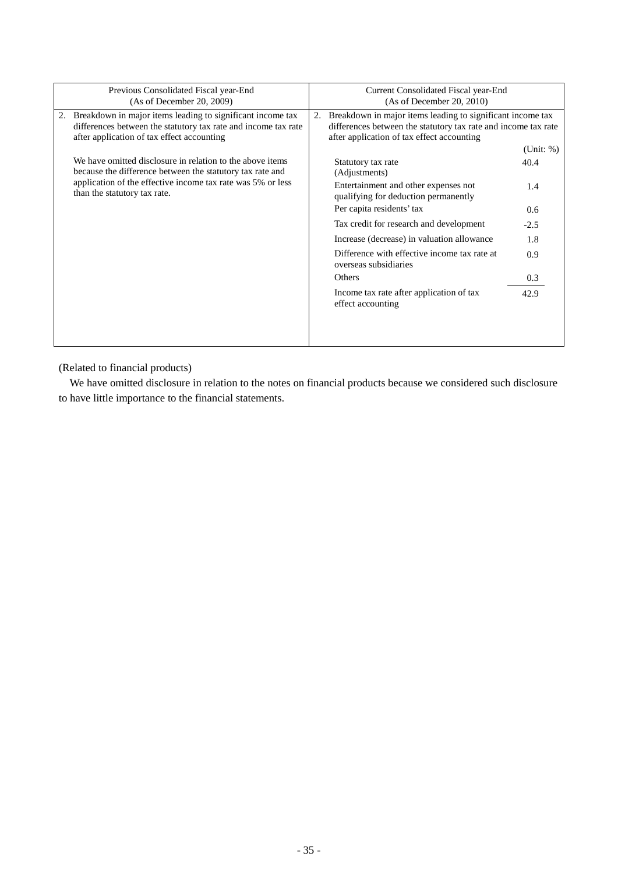| Previous Consolidated Fiscal year-End<br>(As of December 20, 2009)                                                                                                            | Current Consolidated Fiscal year-End<br>(As of December 20, 2010)                                                                                                                |
|-------------------------------------------------------------------------------------------------------------------------------------------------------------------------------|----------------------------------------------------------------------------------------------------------------------------------------------------------------------------------|
| 2. Breakdown in major items leading to significant income tax<br>differences between the statutory tax rate and income tax rate<br>after application of tax effect accounting | Breakdown in major items leading to significant income tax<br>2.<br>differences between the statutory tax rate and income tax rate<br>after application of tax effect accounting |
|                                                                                                                                                                               | (Unit: %)                                                                                                                                                                        |
| We have omitted disclosure in relation to the above items<br>because the difference between the statutory tax rate and                                                        | Statutory tax rate<br>40.4<br>(Adjustments)                                                                                                                                      |
| application of the effective income tax rate was 5% or less<br>than the statutory tax rate.                                                                                   | Entertainment and other expenses not<br>1.4<br>qualifying for deduction permanently                                                                                              |
|                                                                                                                                                                               | Per capita residents' tax<br>0.6                                                                                                                                                 |
|                                                                                                                                                                               | Tax credit for research and development<br>$-2.5$                                                                                                                                |
|                                                                                                                                                                               | Increase (decrease) in valuation allowance<br>1.8                                                                                                                                |
|                                                                                                                                                                               | Difference with effective income tax rate at<br>0.9<br>overseas subsidiaries                                                                                                     |
|                                                                                                                                                                               | Others<br>0.3                                                                                                                                                                    |
|                                                                                                                                                                               | Income tax rate after application of tax<br>42.9<br>effect accounting                                                                                                            |
|                                                                                                                                                                               |                                                                                                                                                                                  |

(Related to financial products)

We have omitted disclosure in relation to the notes on financial products because we considered such disclosure to have little importance to the financial statements.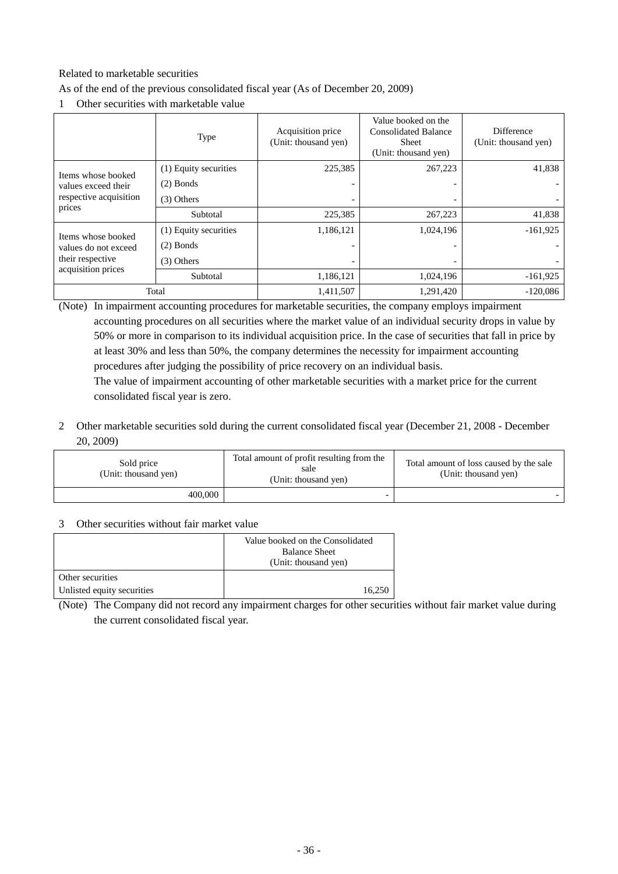# Related to marketable securities

As of the end of the previous consolidated fiscal year (As of December 20, 2009)

1 Other securities with marketable value

|                                                                | <b>Type</b>           | Acquisition price<br>(Unit: thousand yen) | Value booked on the<br><b>Consolidated Balance</b><br><b>Sheet</b><br>(Unit: thousand yen) | <b>Difference</b><br>(Unit: thousand yen) |
|----------------------------------------------------------------|-----------------------|-------------------------------------------|--------------------------------------------------------------------------------------------|-------------------------------------------|
| Items whose booked                                             | (1) Equity securities | 225,385                                   | 267,223                                                                                    | 41,838                                    |
| values exceed their                                            | $(2)$ Bonds           |                                           |                                                                                            |                                           |
| respective acquisition<br>prices                               | $(3)$ Others          |                                           |                                                                                            |                                           |
|                                                                | Subtotal              | 225,385                                   | 267,223                                                                                    | 41,838                                    |
| Items whose booked                                             | (1) Equity securities | 1,186,121                                 | 1,024,196                                                                                  | $-161,925$                                |
| values do not exceed<br>their respective<br>acquisition prices | $(2)$ Bonds           |                                           |                                                                                            |                                           |
|                                                                | $(3)$ Others          |                                           |                                                                                            |                                           |
|                                                                | Subtotal              | 1,186,121                                 | 1,024,196                                                                                  | $-161,925$                                |
|                                                                | Total                 | 1,411,507                                 | 1,291,420                                                                                  | $-120,086$                                |

(Note) In impairment accounting procedures for marketable securities, the company employs impairment accounting procedures on all securities where the market value of an individual security drops in value by 50% or more in comparison to its individual acquisition price. In the case of securities that fall in price by at least 30% and less than 50%, the company determines the necessity for impairment accounting procedures after judging the possibility of price recovery on an individual basis. The value of impairment accounting of other marketable securities with a market price for the current consolidated fiscal year is zero.

2 Other marketable securities sold during the current consolidated fiscal year (December 21, 2008 - December 20, 2009)

| Sold price<br>(Unit: thousand yen) | Total amount of profit resulting from the<br>sale<br>(Unit: thousand yen) | Total amount of loss caused by the sale<br>(Unit: thousand yen) |
|------------------------------------|---------------------------------------------------------------------------|-----------------------------------------------------------------|
| 400,000                            |                                                                           |                                                                 |

### 3 Other securities without fair market value

|                            | Value booked on the Consolidated<br><b>Balance Sheet</b><br>(Unit: thousand yen) |
|----------------------------|----------------------------------------------------------------------------------|
| Other securities           |                                                                                  |
| Unlisted equity securities | 16.250                                                                           |

(Note) The Company did not record any impairment charges for other securities without fair market value during the current consolidated fiscal year.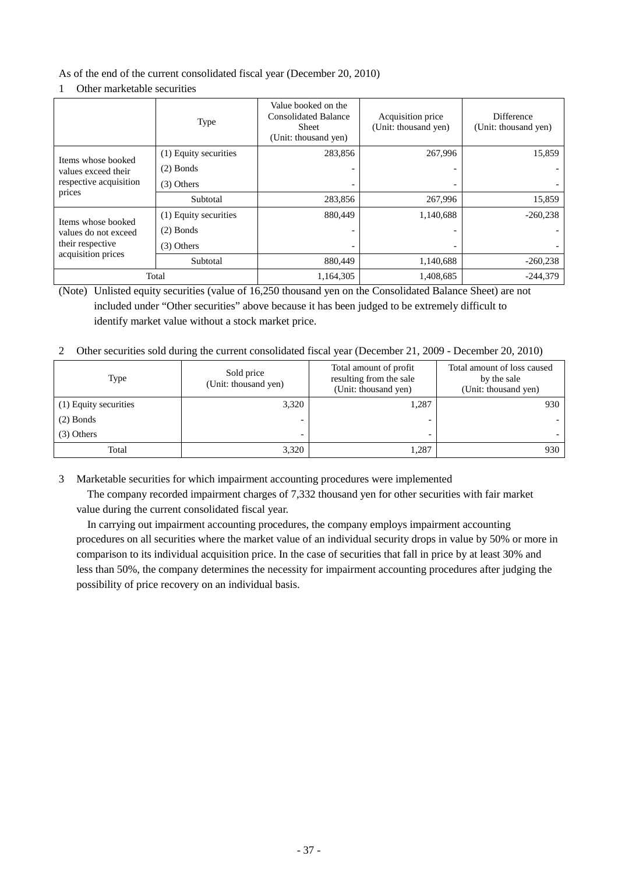As of the end of the current consolidated fiscal year (December 20, 2010)

# 1 Other marketable securities

|                                                                                      | <b>Type</b>           | Value booked on the<br><b>Consolidated Balance</b><br><b>Sheet</b><br>(Unit: thousand yen) | Acquisition price<br>(Unit: thousand yen) | Difference<br>(Unit: thousand yen) |
|--------------------------------------------------------------------------------------|-----------------------|--------------------------------------------------------------------------------------------|-------------------------------------------|------------------------------------|
| Items whose booked                                                                   | (1) Equity securities | 283,856                                                                                    | 267,996                                   | 15,859                             |
| values exceed their                                                                  | $(2)$ Bonds           |                                                                                            |                                           |                                    |
| respective acquisition<br>prices                                                     | $(3)$ Others          |                                                                                            |                                           |                                    |
|                                                                                      | Subtotal              | 283,856                                                                                    | 267,996                                   | 15,859                             |
| Items whose booked<br>values do not exceed<br>their respective<br>acquisition prices | (1) Equity securities | 880,449                                                                                    | 1,140,688                                 | $-260,238$                         |
|                                                                                      | $(2)$ Bonds           |                                                                                            |                                           |                                    |
|                                                                                      | $(3)$ Others          |                                                                                            |                                           |                                    |
|                                                                                      | Subtotal              | 880,449                                                                                    | 1,140,688                                 | $-260,238$                         |
|                                                                                      | Total                 | 1,164,305                                                                                  | 1,408,685                                 | $-244.379$                         |

(Note) Unlisted equity securities (value of 16,250 thousand yen on the Consolidated Balance Sheet) are not included under "Other securities" above because it has been judged to be extremely difficult to identify market value without a stock market price.

2 Other securities sold during the current consolidated fiscal year (December 21, 2009 - December 20, 2010)

| Type                  | Sold price<br>(Unit: thousand yen) | Total amount of profit<br>resulting from the sale<br>(Unit: thousand yen) | Total amount of loss caused<br>by the sale<br>(Unit: thousand yen) |
|-----------------------|------------------------------------|---------------------------------------------------------------------------|--------------------------------------------------------------------|
| (1) Equity securities | 3,320                              | 1,287                                                                     | 930                                                                |
| $(2)$ Bonds           | $\overline{\phantom{0}}$           |                                                                           |                                                                    |
| $(3)$ Others          | $\overline{\phantom{0}}$           |                                                                           |                                                                    |
| Total                 | 3,320                              | 1.287                                                                     | 930                                                                |

3 Marketable securities for which impairment accounting procedures were implemented

The company recorded impairment charges of 7,332 thousand yen for other securities with fair market value during the current consolidated fiscal year.

In carrying out impairment accounting procedures, the company employs impairment accounting procedures on all securities where the market value of an individual security drops in value by 50% or more in comparison to its individual acquisition price. In the case of securities that fall in price by at least 30% and less than 50%, the company determines the necessity for impairment accounting procedures after judging the possibility of price recovery on an individual basis.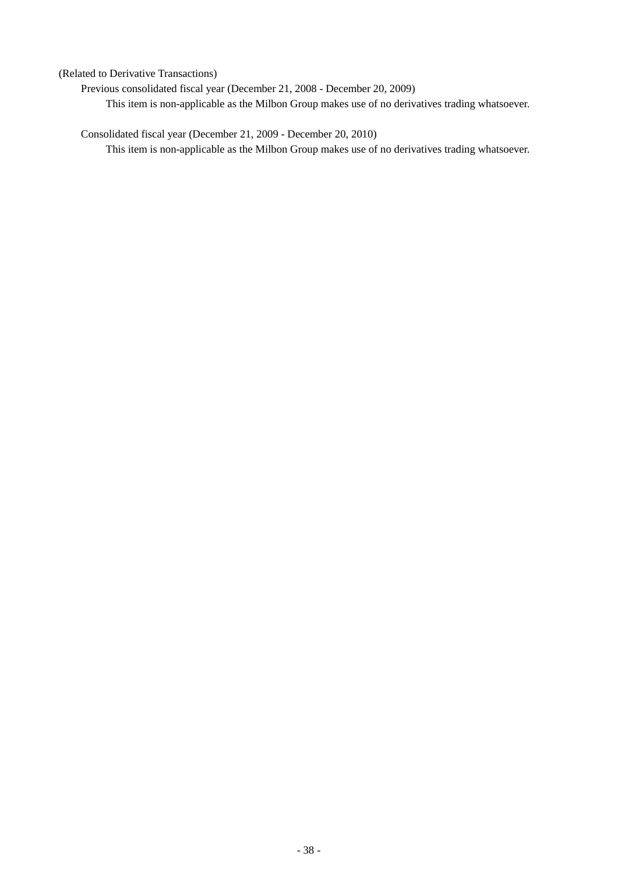(Related to Derivative Transactions)

Previous consolidated fiscal year (December 21, 2008 - December 20, 2009) This item is non-applicable as the Milbon Group makes use of no derivatives trading whatsoever.

Consolidated fiscal year (December 21, 2009 - December 20, 2010) This item is non-applicable as the Milbon Group makes use of no derivatives trading whatsoever.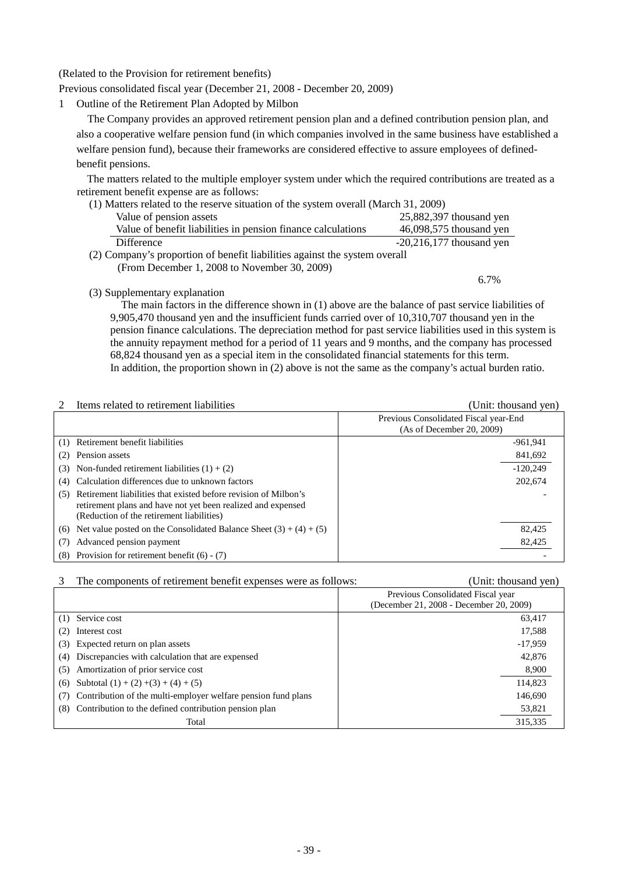### (Related to the Provision for retirement benefits)

Previous consolidated fiscal year (December 21, 2008 - December 20, 2009)

1 Outline of the Retirement Plan Adopted by Milbon

The Company provides an approved retirement pension plan and a defined contribution pension plan, and also a cooperative welfare pension fund (in which companies involved in the same business have established a welfare pension fund), because their frameworks are considered effective to assure employees of definedbenefit pensions.

The matters related to the multiple employer system under which the required contributions are treated as a retirement benefit expense are as follows:

| (1) Matters related to the reserve situation of the system overall (March 31, 2009) |                            |  |  |
|-------------------------------------------------------------------------------------|----------------------------|--|--|
| Value of pension assets                                                             | 25,882,397 thousand yen    |  |  |
| Value of benefit liabilities in pension finance calculations                        | 46,098,575 thousand yen    |  |  |
| Difference                                                                          | $-20,216,177$ thousand yen |  |  |
| (2) Company's proportion of benefit liabilities against the system overall          |                            |  |  |
| (From December 1, 2008 to November 30, 2009)                                        |                            |  |  |

(3) Supplementary explanation

The main factors in the difference shown in (1) above are the balance of past service liabilities of 9,905,470 thousand yen and the insufficient funds carried over of 10,310,707 thousand yen in the pension finance calculations. The depreciation method for past service liabilities used in this system is the annuity repayment method for a period of 11 years and 9 months, and the company has processed 68,824 thousand yen as a special item in the consolidated financial statements for this term. In addition, the proportion shown in (2) above is not the same as the company's actual burden ratio.

#### 2 Items related to retirement liabilities (Unit: thousand yen)

6.7%

|                                                                                                                                                                                     | Previous Consolidated Fiscal year-End<br>(As of December 20, 2009) |  |
|-------------------------------------------------------------------------------------------------------------------------------------------------------------------------------------|--------------------------------------------------------------------|--|
| Retirement benefit liabilities<br>(1)                                                                                                                                               | $-961.941$                                                         |  |
| Pension assets                                                                                                                                                                      | 841,692                                                            |  |
| Non-funded retirement liabilities $(1) + (2)$<br>(3)                                                                                                                                | $-120.249$                                                         |  |
| Calculation differences due to unknown factors<br>(4)                                                                                                                               | 202,674                                                            |  |
| Retirement liabilities that existed before revision of Milbon's<br>(5)<br>retirement plans and have not yet been realized and expensed<br>(Reduction of the retirement liabilities) |                                                                    |  |
| Net value posted on the Consolidated Balance Sheet $(3) + (4) + (5)$<br>(6)                                                                                                         | 82,425                                                             |  |
| Advanced pension payment                                                                                                                                                            | 82,425                                                             |  |
| Provision for retirement benefit $(6) - (7)$<br>(8)                                                                                                                                 |                                                                    |  |

#### 3 The components of retirement benefit expenses were as follows: (Unit: thousand yen)

Previous Consolidated Fiscal year

|                                                               | Previous Consondated Fiscal year<br>(December 21, 2008 - December 20, 2009) |
|---------------------------------------------------------------|-----------------------------------------------------------------------------|
| (1) Service cost                                              | 63,417                                                                      |
| Interest cost                                                 | 17,588                                                                      |
| Expected return on plan assets<br>(3)                         | $-17,959$                                                                   |
| Discrepancies with calculation that are expensed<br>(4)       | 42,876                                                                      |
| Amortization of prior service cost<br>(5)                     | 8,900                                                                       |
| Subtotal $(1) + (2) + (3) + (4) + (5)$<br>(6)                 | 114,823                                                                     |
| Contribution of the multi-employer welfare pension fund plans | 146,690                                                                     |
| (8) Contribution to the defined contribution pension plan     | 53,821                                                                      |
| Total                                                         | 315,335                                                                     |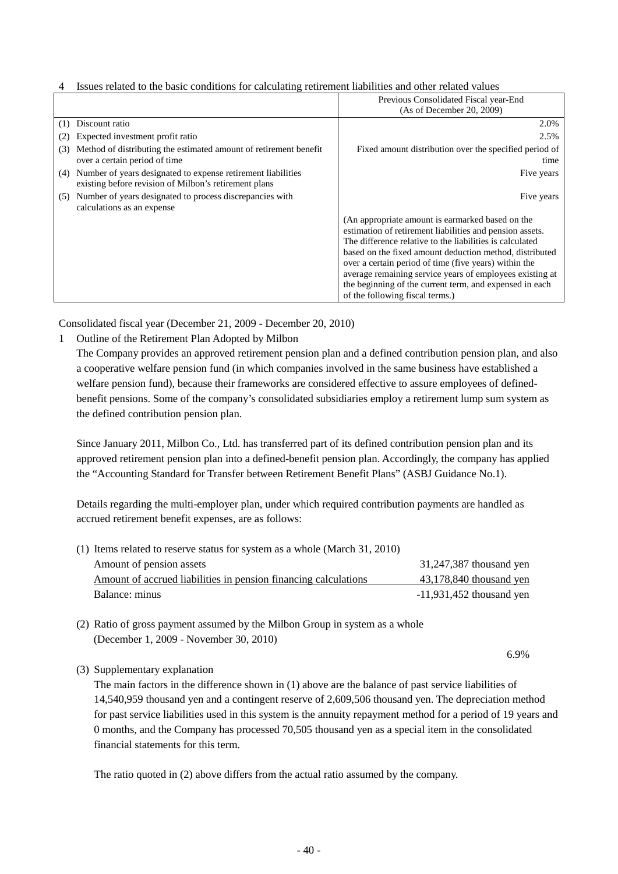|                                                                                                                              | Previous Consolidated Fiscal year-End<br>(As of December 20, 2009)                                                                                                                                                                                                                                                                                                                                                                                     |
|------------------------------------------------------------------------------------------------------------------------------|--------------------------------------------------------------------------------------------------------------------------------------------------------------------------------------------------------------------------------------------------------------------------------------------------------------------------------------------------------------------------------------------------------------------------------------------------------|
| Discount ratio<br>(1)                                                                                                        | 2.0%                                                                                                                                                                                                                                                                                                                                                                                                                                                   |
| Expected investment profit ratio<br>(2)                                                                                      | 2.5%                                                                                                                                                                                                                                                                                                                                                                                                                                                   |
| Method of distributing the estimated amount of retirement benefit<br>(3)<br>over a certain period of time                    | Fixed amount distribution over the specified period of<br>time                                                                                                                                                                                                                                                                                                                                                                                         |
| Number of years designated to expense retirement liabilities<br>(4)<br>existing before revision of Milbon's retirement plans | Five years                                                                                                                                                                                                                                                                                                                                                                                                                                             |
| (5) Number of years designated to process discrepancies with<br>calculations as an expense                                   | Five years                                                                                                                                                                                                                                                                                                                                                                                                                                             |
|                                                                                                                              | (An appropriate amount is earmarked based on the<br>estimation of retirement liabilities and pension assets.<br>The difference relative to the liabilities is calculated<br>based on the fixed amount deduction method, distributed<br>over a certain period of time (five years) within the<br>average remaining service years of employees existing at<br>the beginning of the current term, and expensed in each<br>of the following fiscal terms.) |

# 4 Issues related to the basic conditions for calculating retirement liabilities and other related values

Consolidated fiscal year (December 21, 2009 - December 20, 2010)

1 Outline of the Retirement Plan Adopted by Milbon

The Company provides an approved retirement pension plan and a defined contribution pension plan, and also a cooperative welfare pension fund (in which companies involved in the same business have established a welfare pension fund), because their frameworks are considered effective to assure employees of definedbenefit pensions. Some of the company's consolidated subsidiaries employ a retirement lump sum system as the defined contribution pension plan.

Since January 2011, Milbon Co., Ltd. has transferred part of its defined contribution pension plan and its approved retirement pension plan into a defined-benefit pension plan. Accordingly, the company has applied the "Accounting Standard for Transfer between Retirement Benefit Plans" (ASBJ Guidance No.1).

Details regarding the multi-employer plan, under which required contribution payments are handled as accrued retirement benefit expenses, are as follows:

| (1) Items related to reserve status for system as a whole (March 31, 2010) |                            |
|----------------------------------------------------------------------------|----------------------------|
| Amount of pension assets                                                   | 31,247,387 thousand yen    |
| Amount of accrued liabilities in pension financing calculations            | 43,178,840 thousand yen    |
| Balance: minus                                                             | $-11,931,452$ thousand yen |

- (2) Ratio of gross payment assumed by the Milbon Group in system as a whole (December 1, 2009 - November 30, 2010)
- 6.9%

(3) Supplementary explanation

The main factors in the difference shown in (1) above are the balance of past service liabilities of 14,540,959 thousand yen and a contingent reserve of 2,609,506 thousand yen. The depreciation method for past service liabilities used in this system is the annuity repayment method for a period of 19 years and 0 months, and the Company has processed 70,505 thousand yen as a special item in the consolidated financial statements for this term.

The ratio quoted in (2) above differs from the actual ratio assumed by the company.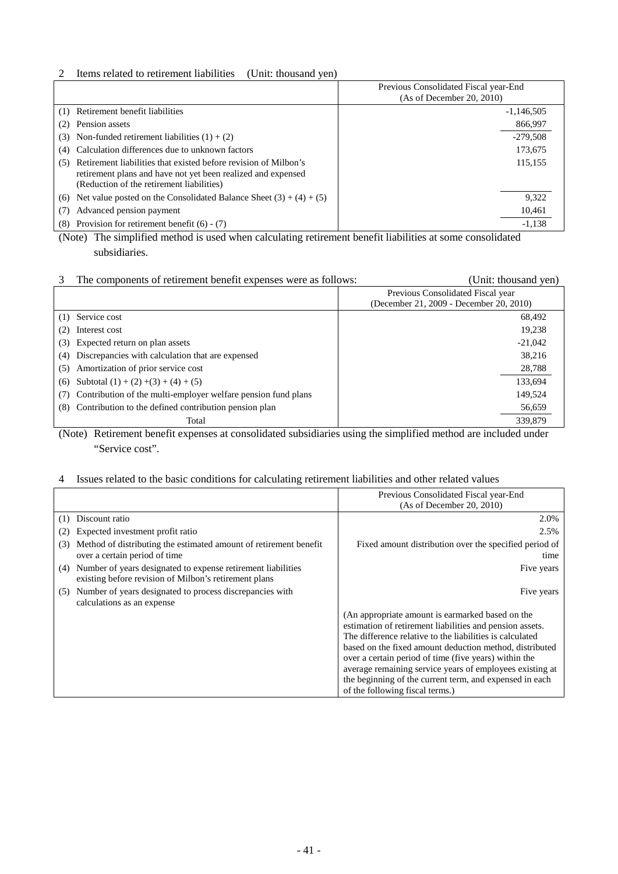# 2 Items related to retirement liabilities (Unit: thousand yen)

|                                                                                                                                                                                     | Previous Consolidated Fiscal year-End<br>(As of December 20, 2010) |
|-------------------------------------------------------------------------------------------------------------------------------------------------------------------------------------|--------------------------------------------------------------------|
| Retirement benefit liabilities<br>(1)                                                                                                                                               | $-1,146,505$                                                       |
| Pension assets                                                                                                                                                                      | 866,997                                                            |
| Non-funded retirement liabilities $(1) + (2)$<br>(3)                                                                                                                                | $-279.508$                                                         |
| Calculation differences due to unknown factors<br>(4)                                                                                                                               | 173,675                                                            |
| Retirement liabilities that existed before revision of Milbon's<br>(5)<br>retirement plans and have not yet been realized and expensed<br>(Reduction of the retirement liabilities) | 115.155                                                            |
| Net value posted on the Consolidated Balance Sheet $(3) + (4) + (5)$<br>(6)                                                                                                         | 9,322                                                              |
| Advanced pension payment                                                                                                                                                            | 10,461                                                             |
| Provision for retirement benefit $(6) - (7)$<br>(8)                                                                                                                                 | $-1,138$                                                           |

(Note) The simplified method is used when calculating retirement benefit liabilities at some consolidated subsidiaries.

|     | The components of retirement benefit expenses were as follows: | (Unit: thousand yen)                    |
|-----|----------------------------------------------------------------|-----------------------------------------|
|     |                                                                | Previous Consolidated Fiscal year       |
|     |                                                                | (December 21, 2009 - December 20, 2010) |
| (1) | Service cost                                                   | 68,492                                  |
| (2) | Interest cost                                                  | 19.238                                  |
| (3) | Expected return on plan assets                                 | $-21,042$                               |
| (4) | Discrepancies with calculation that are expensed               | 38.216                                  |
| (5) | Amortization of prior service cost                             | 28,788                                  |
| (6) | Subtotal $(1) + (2) + (3) + (4) + (5)$                         | 133,694                                 |
|     | Contribution of the multi-employer welfare pension fund plans  | 149,524                                 |
| (8) | Contribution to the defined contribution pension plan          | 56,659                                  |
|     | Total                                                          | 339,879                                 |

(Note) Retirement benefit expenses at consolidated subsidiaries using the simplified method are included under "Service cost".

### 4 Issues related to the basic conditions for calculating retirement liabilities and other related values

|                                                                                                                              | Previous Consolidated Fiscal year-End                                                                                                                                                                                                                                                                                                                                                                                                                  |
|------------------------------------------------------------------------------------------------------------------------------|--------------------------------------------------------------------------------------------------------------------------------------------------------------------------------------------------------------------------------------------------------------------------------------------------------------------------------------------------------------------------------------------------------------------------------------------------------|
|                                                                                                                              | (As of December 20, 2010)                                                                                                                                                                                                                                                                                                                                                                                                                              |
| Discount ratio<br>(1)                                                                                                        | 2.0%                                                                                                                                                                                                                                                                                                                                                                                                                                                   |
| Expected investment profit ratio<br>(2)                                                                                      | 2.5%                                                                                                                                                                                                                                                                                                                                                                                                                                                   |
| Method of distributing the estimated amount of retirement benefit<br>(3)<br>over a certain period of time                    | Fixed amount distribution over the specified period of<br>time                                                                                                                                                                                                                                                                                                                                                                                         |
| Number of years designated to expense retirement liabilities<br>(4)<br>existing before revision of Milbon's retirement plans | Five years                                                                                                                                                                                                                                                                                                                                                                                                                                             |
| Number of years designated to process discrepancies with<br>(5)<br>calculations as an expense                                | Five years                                                                                                                                                                                                                                                                                                                                                                                                                                             |
|                                                                                                                              | (An appropriate amount is earmarked based on the<br>estimation of retirement liabilities and pension assets.<br>The difference relative to the liabilities is calculated<br>based on the fixed amount deduction method, distributed<br>over a certain period of time (five years) within the<br>average remaining service years of employees existing at<br>the beginning of the current term, and expensed in each<br>of the following fiscal terms.) |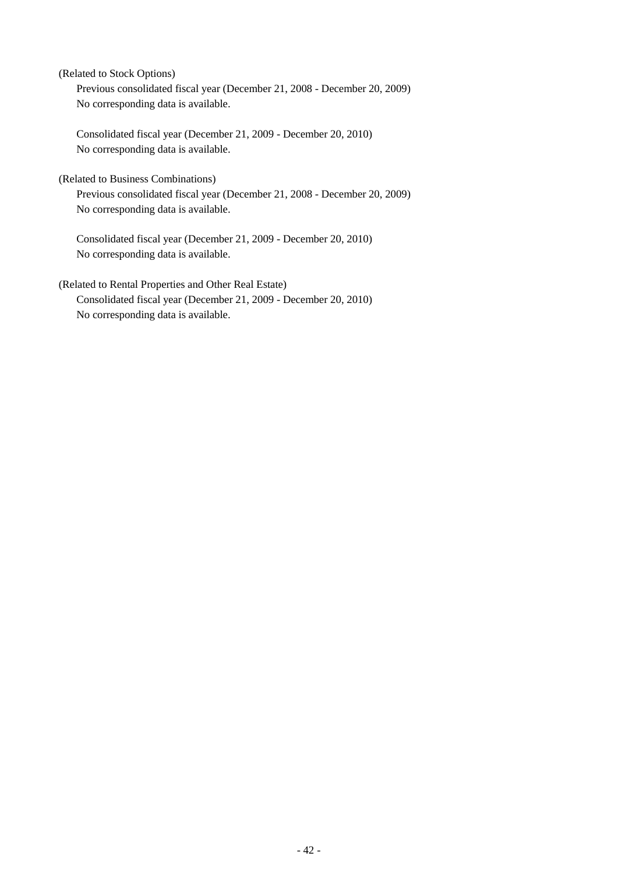(Related to Stock Options) Previous consolidated fiscal year (December 21, 2008 - December 20, 2009) No corresponding data is available.

Consolidated fiscal year (December 21, 2009 - December 20, 2010) No corresponding data is available.

(Related to Business Combinations)

Previous consolidated fiscal year (December 21, 2008 - December 20, 2009) No corresponding data is available.

Consolidated fiscal year (December 21, 2009 - December 20, 2010) No corresponding data is available.

(Related to Rental Properties and Other Real Estate) Consolidated fiscal year (December 21, 2009 - December 20, 2010) No corresponding data is available.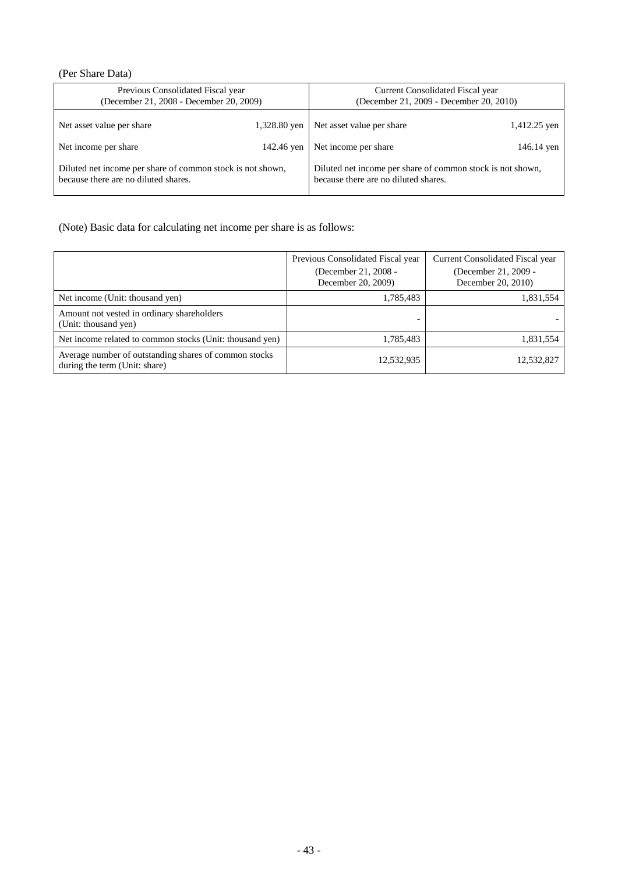# (Per Share Data)

| Previous Consolidated Fiscal year                          |              | Current Consolidated Fiscal year                           |              |
|------------------------------------------------------------|--------------|------------------------------------------------------------|--------------|
| (December 21, 2008 - December 20, 2009)                    |              | (December 21, 2009 - December 20, 2010)                    |              |
| Net asset value per share                                  | 1,328.80 yen | Net asset value per share                                  | 1,412.25 yen |
| Net income per share                                       | 142.46 yen   | Net income per share                                       | 146.14 yen   |
| Diluted net income per share of common stock is not shown, |              | Diluted net income per share of common stock is not shown, |              |
| because there are no diluted shares.                       |              | because there are no diluted shares.                       |              |

(Note) Basic data for calculating net income per share is as follows:

|                                                                                        | Previous Consolidated Fiscal year<br>(December 21, 2008 -<br>December 20, 2009) | Current Consolidated Fiscal year<br>(December 21, 2009 -<br>December 20, 2010) |
|----------------------------------------------------------------------------------------|---------------------------------------------------------------------------------|--------------------------------------------------------------------------------|
| Net income (Unit: thousand yen)                                                        | 1,785,483                                                                       | 1,831,554                                                                      |
| Amount not vested in ordinary shareholders<br>(Unit: thousand yen)                     |                                                                                 |                                                                                |
| Net income related to common stocks (Unit: thousand yen)                               | 1,785,483                                                                       | 1,831,554                                                                      |
| Average number of outstanding shares of common stocks<br>during the term (Unit: share) | 12,532,935                                                                      | 12,532,827                                                                     |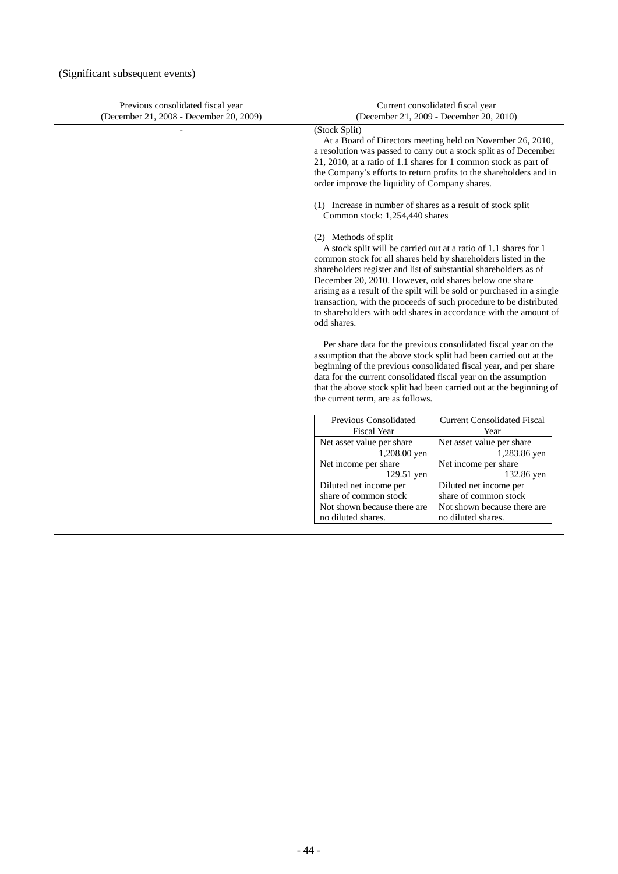# (Significant subsequent events)

| Previous consolidated fiscal year<br>(December 21, 2008 - December 20, 2009) | Current consolidated fiscal year<br>(December 21, 2009 - December 20, 2010)                                                                                                                                                                                                                                                                                                                                                                                                                                                 |                                                                     |
|------------------------------------------------------------------------------|-----------------------------------------------------------------------------------------------------------------------------------------------------------------------------------------------------------------------------------------------------------------------------------------------------------------------------------------------------------------------------------------------------------------------------------------------------------------------------------------------------------------------------|---------------------------------------------------------------------|
|                                                                              | (Stock Split)<br>At a Board of Directors meeting held on November 26, 2010,<br>a resolution was passed to carry out a stock split as of December<br>21, 2010, at a ratio of 1.1 shares for 1 common stock as part of<br>the Company's efforts to return profits to the shareholders and in<br>order improve the liquidity of Company shares.                                                                                                                                                                                |                                                                     |
|                                                                              | (1) Increase in number of shares as a result of stock split<br>Common stock: 1,254,440 shares                                                                                                                                                                                                                                                                                                                                                                                                                               |                                                                     |
|                                                                              | (2) Methods of split<br>A stock split will be carried out at a ratio of 1.1 shares for 1<br>common stock for all shares held by shareholders listed in the<br>shareholders register and list of substantial shareholders as of<br>December 20, 2010. However, odd shares below one share<br>arising as a result of the spilt will be sold or purchased in a single<br>transaction, with the proceeds of such procedure to be distributed<br>to shareholders with odd shares in accordance with the amount of<br>odd shares. |                                                                     |
|                                                                              | Per share data for the previous consolidated fiscal year on the<br>assumption that the above stock split had been carried out at the<br>beginning of the previous consolidated fiscal year, and per share                                                                                                                                                                                                                                                                                                                   |                                                                     |
|                                                                              | data for the current consolidated fiscal year on the assumption<br>the current term, are as follows.                                                                                                                                                                                                                                                                                                                                                                                                                        | that the above stock split had been carried out at the beginning of |
|                                                                              | Previous Consolidated<br><b>Fiscal Year</b>                                                                                                                                                                                                                                                                                                                                                                                                                                                                                 | <b>Current Consolidated Fiscal</b><br>Year                          |
|                                                                              | Net asset value per share<br>1,208.00 yen                                                                                                                                                                                                                                                                                                                                                                                                                                                                                   | Net asset value per share<br>1,283.86 yen                           |
|                                                                              | Net income per share                                                                                                                                                                                                                                                                                                                                                                                                                                                                                                        | Net income per share                                                |
|                                                                              | 129.51 yen<br>Diluted net income per                                                                                                                                                                                                                                                                                                                                                                                                                                                                                        | 132.86 yen<br>Diluted net income per                                |
|                                                                              | share of common stock                                                                                                                                                                                                                                                                                                                                                                                                                                                                                                       | share of common stock                                               |
|                                                                              | Not shown because there are                                                                                                                                                                                                                                                                                                                                                                                                                                                                                                 | Not shown because there are                                         |
|                                                                              | no diluted shares.                                                                                                                                                                                                                                                                                                                                                                                                                                                                                                          | no diluted shares.                                                  |
|                                                                              |                                                                                                                                                                                                                                                                                                                                                                                                                                                                                                                             |                                                                     |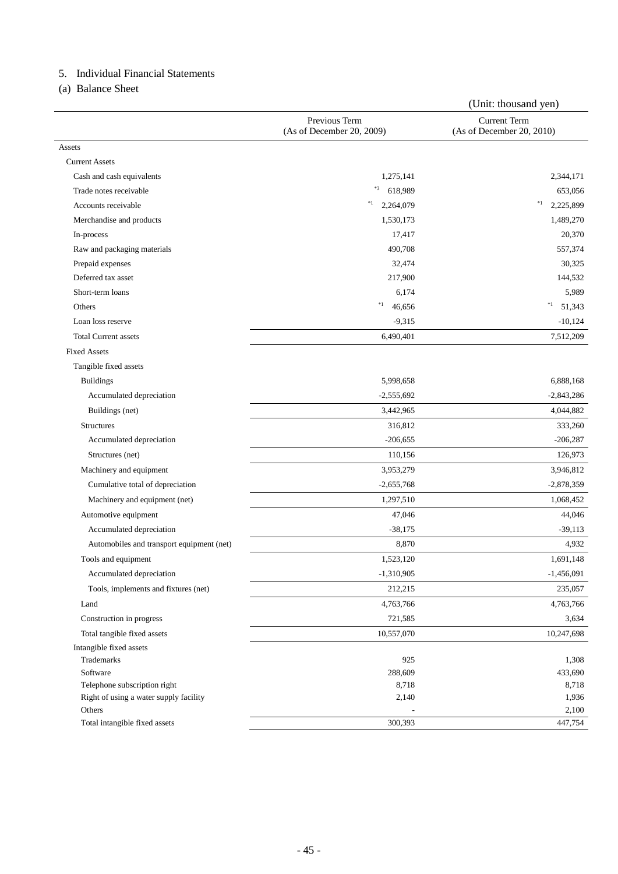# 5. Individual Financial Statements

(a) Balance Sheet

|                                           |                                            | (Unit: thousand yen)                             |
|-------------------------------------------|--------------------------------------------|--------------------------------------------------|
|                                           | Previous Term<br>(As of December 20, 2009) | <b>Current Term</b><br>(As of December 20, 2010) |
| Assets                                    |                                            |                                                  |
| <b>Current Assets</b>                     |                                            |                                                  |
| Cash and cash equivalents                 | 1,275,141                                  | 2,344,171                                        |
| Trade notes receivable                    | $*3$<br>618,989                            | 653,056                                          |
| Accounts receivable                       | $*1$<br>2,264,079                          | $^\ast1$<br>2,225,899                            |
| Merchandise and products                  | 1,530,173                                  | 1,489,270                                        |
| In-process                                | 17,417                                     | 20,370                                           |
| Raw and packaging materials               | 490,708                                    | 557,374                                          |
| Prepaid expenses                          | 32,474                                     | 30,325                                           |
| Deferred tax asset                        | 217,900                                    | 144,532                                          |
| Short-term loans                          | 6,174                                      | 5,989                                            |
| Others                                    | $\ast_1$<br>46,656                         | $*1$<br>51,343                                   |
| Loan loss reserve                         | $-9,315$                                   | $-10,124$                                        |
| <b>Total Current assets</b>               | 6,490,401                                  | 7,512,209                                        |
| <b>Fixed Assets</b>                       |                                            |                                                  |
| Tangible fixed assets                     |                                            |                                                  |
| <b>Buildings</b>                          | 5,998,658                                  | 6,888,168                                        |
| Accumulated depreciation                  | $-2,555,692$                               | $-2,843,286$                                     |
| Buildings (net)                           | 3,442,965                                  | 4,044,882                                        |
| <b>Structures</b>                         | 316,812                                    | 333,260                                          |
| Accumulated depreciation                  | $-206,655$                                 | $-206,287$                                       |
| Structures (net)                          | 110,156                                    | 126,973                                          |
| Machinery and equipment                   | 3,953,279                                  | 3,946,812                                        |
| Cumulative total of depreciation          | $-2,655,768$                               | $-2,878,359$                                     |
| Machinery and equipment (net)             | 1,297,510                                  | 1,068,452                                        |
| Automotive equipment                      | 47,046                                     | 44,046                                           |
| Accumulated depreciation                  | $-38,175$                                  | $-39,113$                                        |
| Automobiles and transport equipment (net) | 8,870                                      | 4,932                                            |
| Tools and equipment                       | 1,523,120                                  | 1,691,148                                        |
| Accumulated depreciation                  | $-1,310,905$                               | $-1,456,091$                                     |
| Tools, implements and fixtures (net)      | 212,215                                    | 235,057                                          |
| Land                                      | 4,763,766                                  | 4,763,766                                        |
| Construction in progress                  | 721,585                                    | 3,634                                            |
| Total tangible fixed assets               | 10,557,070                                 | 10,247,698                                       |
| Intangible fixed assets                   |                                            |                                                  |
| Trademarks                                | 925                                        | 1,308                                            |
| Software                                  | 288,609                                    | 433,690                                          |
| Telephone subscription right              | 8,718                                      | 8,718                                            |
| Right of using a water supply facility    | 2,140                                      | 1,936                                            |
| Others                                    |                                            | 2,100                                            |
| Total intangible fixed assets             | 300,393                                    | 447,754                                          |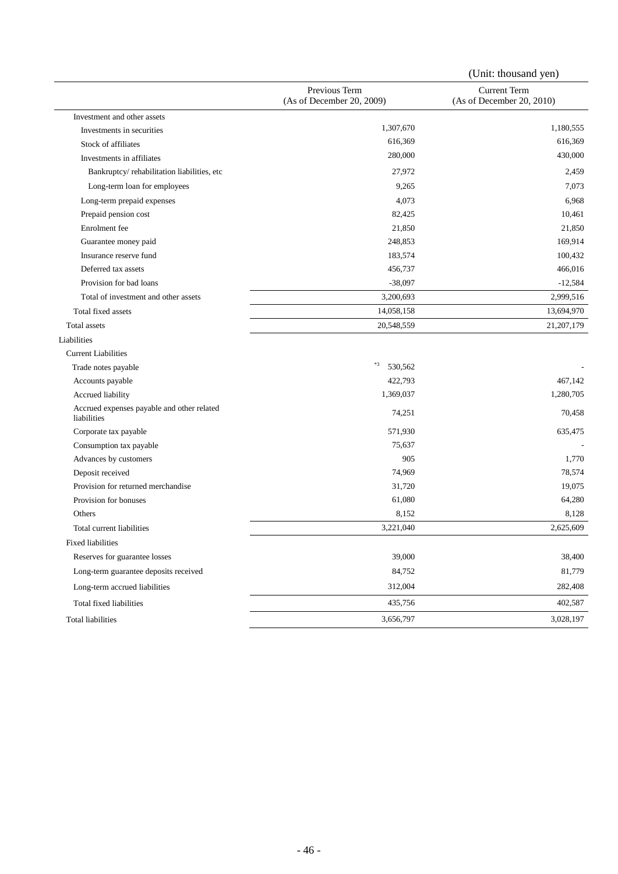|                                                           |                                            | (Unit: thousand yen)                             |
|-----------------------------------------------------------|--------------------------------------------|--------------------------------------------------|
|                                                           | Previous Term<br>(As of December 20, 2009) | <b>Current Term</b><br>(As of December 20, 2010) |
| Investment and other assets                               |                                            |                                                  |
| Investments in securities                                 | 1,307,670                                  | 1,180,555                                        |
| Stock of affiliates                                       | 616,369                                    | 616,369                                          |
| Investments in affiliates                                 | 280,000                                    | 430,000                                          |
| Bankruptcy/rehabilitation liabilities, etc                | 27,972                                     | 2,459                                            |
| Long-term loan for employees                              | 9,265                                      | 7,073                                            |
| Long-term prepaid expenses                                | 4,073                                      | 6,968                                            |
| Prepaid pension cost                                      | 82,425                                     | 10,461                                           |
| Enrolment fee                                             | 21,850                                     | 21,850                                           |
| Guarantee money paid                                      | 248,853                                    | 169,914                                          |
| Insurance reserve fund                                    | 183,574                                    | 100,432                                          |
| Deferred tax assets                                       | 456,737                                    | 466,016                                          |
| Provision for bad loans                                   | $-38,097$                                  | $-12,584$                                        |
| Total of investment and other assets                      | 3,200,693                                  | 2,999,516                                        |
| Total fixed assets                                        | 14,058,158                                 | 13,694,970                                       |
| <b>Total assets</b>                                       | 20,548,559                                 | 21, 207, 179                                     |
| Liabilities                                               |                                            |                                                  |
| <b>Current Liabilities</b>                                |                                            |                                                  |
| Trade notes payable                                       | $\ast 3$<br>530,562                        |                                                  |
| Accounts payable                                          | 422,793                                    | 467,142                                          |
| Accrued liability                                         | 1,369,037                                  | 1,280,705                                        |
| Accrued expenses payable and other related<br>liabilities | 74,251                                     | 70,458                                           |
| Corporate tax payable                                     | 571,930                                    | 635,475                                          |
| Consumption tax payable                                   | 75,637                                     |                                                  |
| Advances by customers                                     | 905                                        | 1,770                                            |
| Deposit received                                          | 74,969                                     | 78,574                                           |
| Provision for returned merchandise                        | 31,720                                     | 19,075                                           |
| Provision for bonuses                                     | 61,080                                     | 64,280                                           |
| Others                                                    | 8,152                                      | 8,128                                            |
| Total current liabilities                                 | 3,221,040                                  | 2,625,609                                        |
| <b>Fixed liabilities</b>                                  |                                            |                                                  |
| Reserves for guarantee losses                             | 39,000                                     | 38,400                                           |
| Long-term guarantee deposits received                     | 84,752                                     | 81,779                                           |
| Long-term accrued liabilities                             | 312,004                                    | 282,408                                          |
| Total fixed liabilities                                   | 435,756                                    | 402,587                                          |
| <b>Total liabilities</b>                                  | 3,656,797                                  | 3,028,197                                        |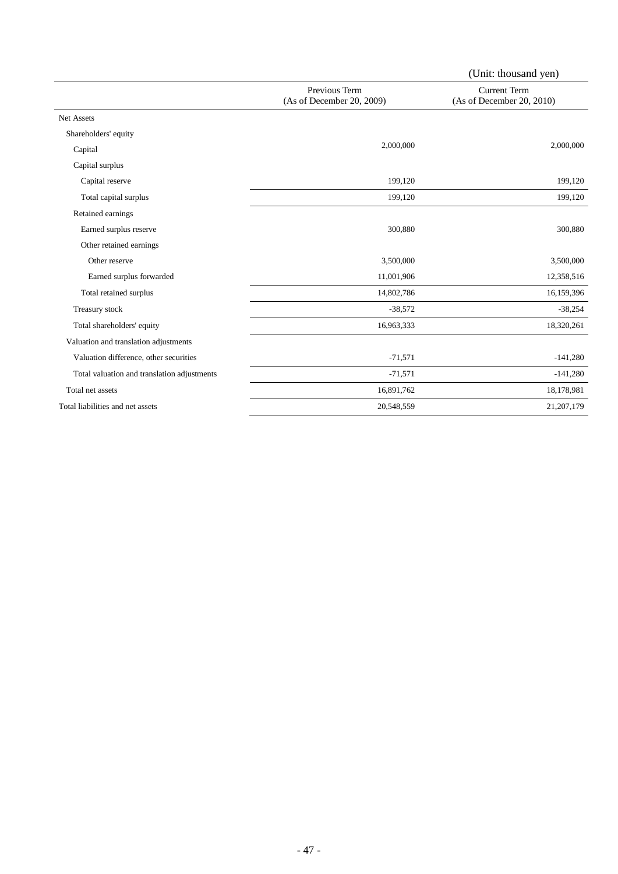|                                             |                                            | (Unit: thousand yen)                             |
|---------------------------------------------|--------------------------------------------|--------------------------------------------------|
|                                             | Previous Term<br>(As of December 20, 2009) | <b>Current Term</b><br>(As of December 20, 2010) |
| <b>Net Assets</b>                           |                                            |                                                  |
| Shareholders' equity                        |                                            |                                                  |
| Capital                                     | 2,000,000                                  | 2,000,000                                        |
| Capital surplus                             |                                            |                                                  |
| Capital reserve                             | 199,120                                    | 199,120                                          |
| Total capital surplus                       | 199,120                                    | 199,120                                          |
| Retained earnings                           |                                            |                                                  |
| Earned surplus reserve                      | 300,880                                    | 300,880                                          |
| Other retained earnings                     |                                            |                                                  |
| Other reserve                               | 3,500,000                                  | 3,500,000                                        |
| Earned surplus forwarded                    | 11,001,906                                 | 12,358,516                                       |
| Total retained surplus                      | 14,802,786                                 | 16,159,396                                       |
| Treasury stock                              | $-38,572$                                  | $-38,254$                                        |
| Total shareholders' equity                  | 16,963,333                                 | 18,320,261                                       |
| Valuation and translation adjustments       |                                            |                                                  |
| Valuation difference, other securities      | $-71,571$                                  | $-141,280$                                       |
| Total valuation and translation adjustments | $-71,571$                                  | $-141,280$                                       |
| Total net assets                            | 16,891,762                                 | 18,178,981                                       |
| Total liabilities and net assets            | 20,548,559                                 | 21, 207, 179                                     |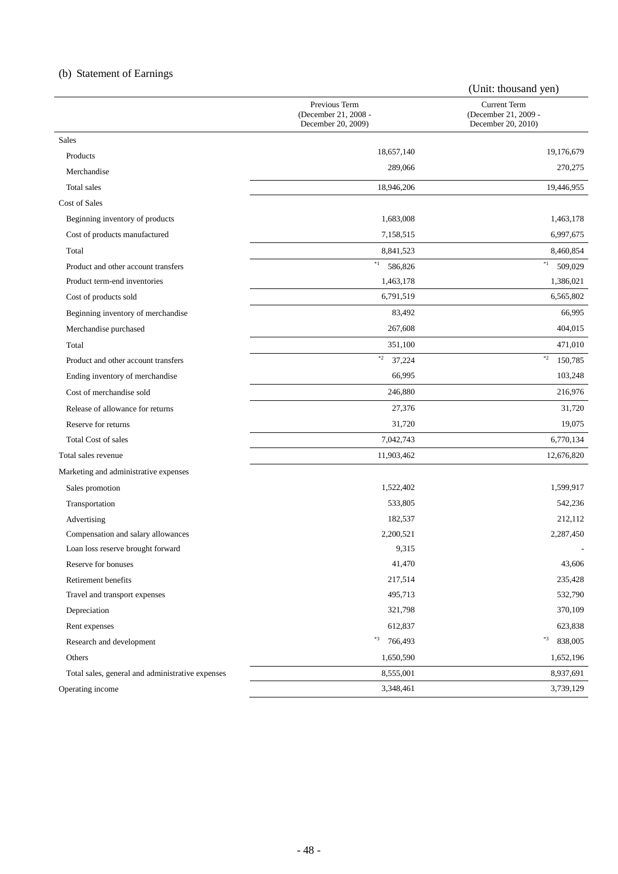# (b) Statement of Earnings

|                                                  |                                                             | (Unit: thousand yen)                                              |
|--------------------------------------------------|-------------------------------------------------------------|-------------------------------------------------------------------|
|                                                  | Previous Term<br>(December 21, 2008 -<br>December 20, 2009) | <b>Current Term</b><br>(December 21, 2009 -<br>December 20, 2010) |
| <b>Sales</b>                                     |                                                             |                                                                   |
| Products                                         | 18,657,140                                                  | 19,176,679                                                        |
| Merchandise                                      | 289,066                                                     | 270,275                                                           |
| <b>Total</b> sales                               | 18,946,206                                                  | 19,446,955                                                        |
| Cost of Sales                                    |                                                             |                                                                   |
| Beginning inventory of products                  | 1,683,008                                                   | 1,463,178                                                         |
| Cost of products manufactured                    | 7,158,515                                                   | 6,997,675                                                         |
| Total                                            | 8,841,523                                                   | 8,460,854                                                         |
| Product and other account transfers              | $\ast_1$<br>586,826                                         | $\ast_1$<br>509,029                                               |
| Product term-end inventories                     | 1,463,178                                                   | 1,386,021                                                         |
| Cost of products sold                            | 6,791,519                                                   | 6,565,802                                                         |
| Beginning inventory of merchandise               | 83,492                                                      | 66,995                                                            |
| Merchandise purchased                            | 267,608                                                     | 404,015                                                           |
| Total                                            | 351,100                                                     | 471,010                                                           |
| Product and other account transfers              | $\ast_2$<br>37,224                                          | $\ast_2$<br>150,785                                               |
| Ending inventory of merchandise                  | 66,995                                                      | 103,248                                                           |
| Cost of merchandise sold                         | 246,880                                                     | 216,976                                                           |
| Release of allowance for returns                 | 27,376                                                      | 31,720                                                            |
| Reserve for returns                              | 31,720                                                      | 19,075                                                            |
| <b>Total Cost of sales</b>                       | 7,042,743                                                   | 6,770,134                                                         |
| Total sales revenue                              | 11,903,462                                                  | 12,676,820                                                        |
| Marketing and administrative expenses            |                                                             |                                                                   |
| Sales promotion                                  | 1,522,402                                                   | 1,599,917                                                         |
| Transportation                                   | 533,805                                                     | 542,236                                                           |
| Advertising                                      | 182,537                                                     | 212,112                                                           |
| Compensation and salary allowances               | 2,200,521                                                   | 2,287,450                                                         |
| Loan loss reserve brought forward                | 9,315                                                       |                                                                   |
| Reserve for bonuses                              | 41,470                                                      | 43,606                                                            |
| Retirement benefits                              | 217,514                                                     | 235,428                                                           |
| Travel and transport expenses                    | 495,713                                                     | 532,790                                                           |
| Depreciation                                     | 321,798                                                     | 370,109                                                           |
| Rent expenses                                    | 612,837                                                     | 623,838                                                           |
| Research and development                         | *3<br>766,493                                               | $\ast 3$<br>838,005                                               |
| Others                                           | 1,650,590                                                   | 1,652,196                                                         |
| Total sales, general and administrative expenses | 8,555,001                                                   | 8,937,691                                                         |
| Operating income                                 | 3,348,461                                                   | 3,739,129                                                         |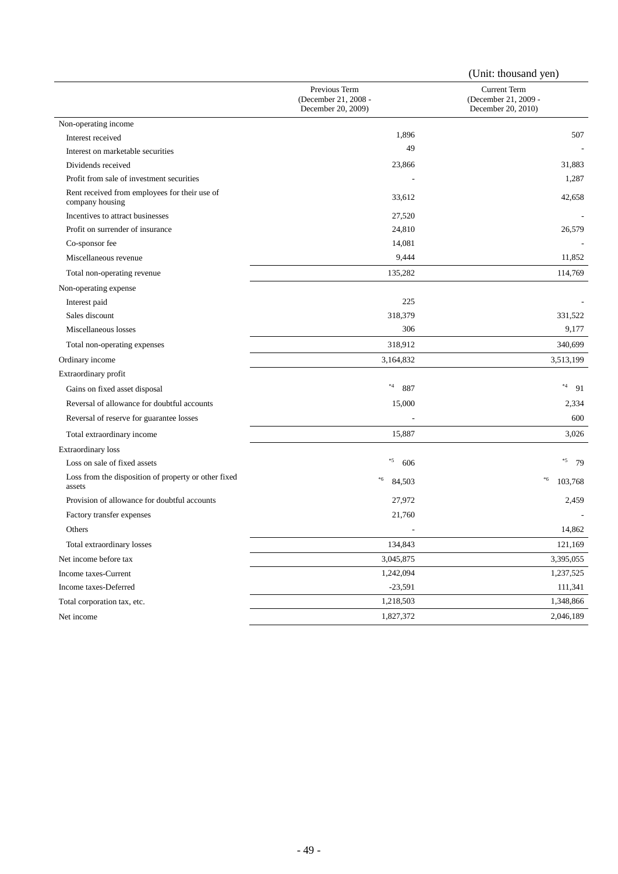|                                                                  |                                                             | (Unit: thousand yen)                                              |
|------------------------------------------------------------------|-------------------------------------------------------------|-------------------------------------------------------------------|
|                                                                  | Previous Term<br>(December 21, 2008 -<br>December 20, 2009) | <b>Current Term</b><br>(December 21, 2009 -<br>December 20, 2010) |
| Non-operating income                                             |                                                             |                                                                   |
| Interest received                                                | 1,896                                                       | 507                                                               |
| Interest on marketable securities                                | 49                                                          |                                                                   |
| Dividends received                                               | 23,866                                                      | 31,883                                                            |
| Profit from sale of investment securities                        |                                                             | 1,287                                                             |
| Rent received from employees for their use of<br>company housing | 33,612                                                      | 42,658                                                            |
| Incentives to attract businesses                                 | 27,520                                                      |                                                                   |
| Profit on surrender of insurance                                 | 24,810                                                      | 26,579                                                            |
| Co-sponsor fee                                                   | 14,081                                                      |                                                                   |
| Miscellaneous revenue                                            | 9,444                                                       | 11,852                                                            |
| Total non-operating revenue                                      | 135,282                                                     | 114,769                                                           |
| Non-operating expense                                            |                                                             |                                                                   |
| Interest paid                                                    | 225                                                         |                                                                   |
| Sales discount                                                   | 318,379                                                     | 331,522                                                           |
| Miscellaneous losses                                             | 306                                                         | 9,177                                                             |
| Total non-operating expenses                                     | 318,912                                                     | 340,699                                                           |
| Ordinary income                                                  | 3,164,832                                                   | 3,513,199                                                         |
| Extraordinary profit                                             |                                                             |                                                                   |
| Gains on fixed asset disposal                                    | $^{\ast}4$<br>887                                           | $^{\ast 4}$<br>91                                                 |
| Reversal of allowance for doubtful accounts                      | 15,000                                                      | 2,334                                                             |
| Reversal of reserve for guarantee losses                         |                                                             | 600                                                               |
| Total extraordinary income                                       | 15,887                                                      | 3,026                                                             |
| <b>Extraordinary loss</b>                                        |                                                             |                                                                   |
| Loss on sale of fixed assets                                     | $*5$<br>606                                                 | $*5$<br>- 79                                                      |
| Loss from the disposition of property or other fixed<br>assets   | $\,{}^*6$<br>84,503                                         | $\rm ^*6$<br>103,768                                              |
| Provision of allowance for doubtful accounts                     | 27,972                                                      | 2,459                                                             |
| Factory transfer expenses                                        | 21,760                                                      |                                                                   |
| Others                                                           |                                                             | 14,862                                                            |
| Total extraordinary losses                                       | 134,843                                                     | 121,169                                                           |
| Net income before tax                                            | 3,045,875                                                   | 3,395,055                                                         |
| Income taxes-Current                                             | 1,242,094                                                   | 1,237,525                                                         |
| Income taxes-Deferred                                            | $-23,591$                                                   | 111,341                                                           |
| Total corporation tax, etc.                                      | 1,218,503                                                   | 1,348,866                                                         |
| Net income                                                       | 1,827,372                                                   | 2,046,189                                                         |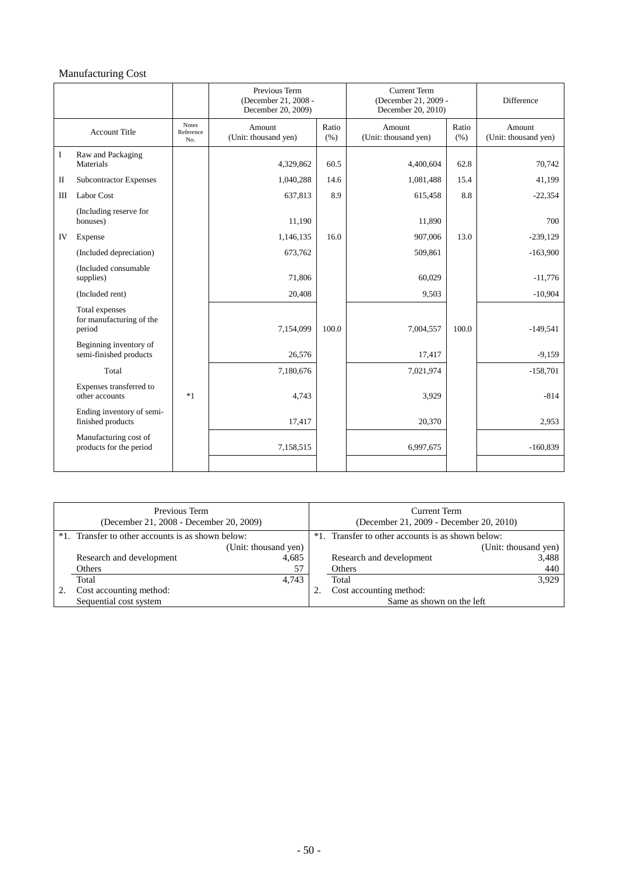# Manufacturing Cost

|              |                                                      |                                  | Previous Term<br>(December 21, 2008 -<br>December 20, 2009) |               | <b>Current Term</b><br>(December 21, 2009 -<br>December 20, 2010) |               | Difference                     |
|--------------|------------------------------------------------------|----------------------------------|-------------------------------------------------------------|---------------|-------------------------------------------------------------------|---------------|--------------------------------|
|              | <b>Account Title</b>                                 | <b>Notes</b><br>Reference<br>No. | Amount<br>(Unit: thousand yen)                              | Ratio<br>(% ) | Amount<br>(Unit: thousand yen)                                    | Ratio<br>(% ) | Amount<br>(Unit: thousand yen) |
| I            | Raw and Packaging<br>Materials                       |                                  | 4,329,862                                                   | 60.5          | 4,400,604                                                         | 62.8          | 70,742                         |
| $\mathbf{I}$ | <b>Subcontractor Expenses</b>                        |                                  | 1,040,288                                                   | 14.6          | 1,081,488                                                         | 15.4          | 41,199                         |
| Ш            | Labor Cost                                           |                                  | 637,813                                                     | 8.9           | 615,458                                                           | 8.8           | $-22,354$                      |
|              | (Including reserve for<br>bonuses)                   |                                  | 11,190                                                      |               | 11,890                                                            |               | 700                            |
| IV           | Expense                                              |                                  | 1,146,135                                                   | 16.0          | 907,006                                                           | 13.0          | $-239,129$                     |
|              | (Included depreciation)                              |                                  | 673,762                                                     |               | 509,861                                                           |               | $-163,900$                     |
|              | (Included consumable)<br>supplies)                   |                                  | 71,806                                                      |               | 60,029                                                            |               | $-11,776$                      |
|              | (Included rent)                                      |                                  | 20,408                                                      |               | 9,503                                                             |               | $-10,904$                      |
|              | Total expenses<br>for manufacturing of the<br>period |                                  | 7,154,099                                                   | 100.0         | 7,004,557                                                         | 100.0         | $-149,541$                     |
|              | Beginning inventory of<br>semi-finished products     |                                  | 26,576                                                      |               | 17,417                                                            |               | $-9,159$                       |
|              | Total                                                |                                  | 7,180,676                                                   |               | 7,021,974                                                         |               | $-158,701$                     |
|              | Expenses transferred to<br>other accounts            | $*1$                             | 4,743                                                       |               | 3,929                                                             |               | $-814$                         |
|              | Ending inventory of semi-<br>finished products       |                                  | 17,417                                                      |               | 20,370                                                            |               | 2,953                          |
|              | Manufacturing cost of<br>products for the period     |                                  | 7,158,515                                                   |               | 6,997,675                                                         |               | $-160,839$                     |
|              |                                                      |                                  |                                                             |               |                                                                   |               |                                |

| Previous Term<br>(December 21, 2008 - December 20, 2009) | Current Term<br>(December 21, 2009 - December 20, 2010) |                      |
|----------------------------------------------------------|---------------------------------------------------------|----------------------|
| *1. Transfer to other accounts is as shown below:        | *1. Transfer to other accounts is as shown below:       |                      |
| (Unit: thousand yen)                                     |                                                         | (Unit: thousand yen) |
| Research and development<br>4,685                        | Research and development                                | 3,488                |
| 57<br>Others                                             | Others                                                  | 440                  |
| 4.743<br>Total                                           | Total                                                   | 3,929                |
| Cost accounting method:                                  | Cost accounting method:                                 |                      |
| Sequential cost system                                   | Same as shown on the left                               |                      |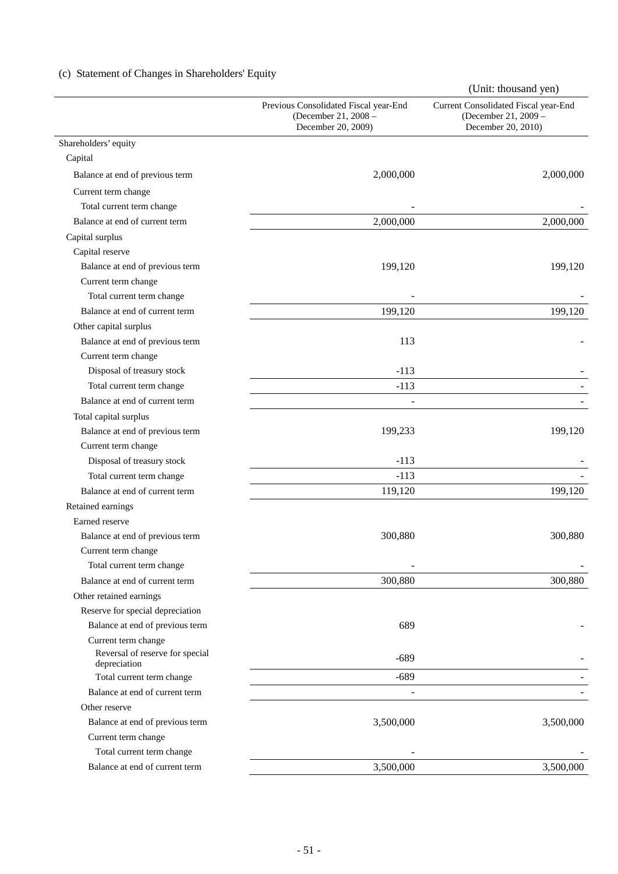# (c) Statement of Changes in Shareholders' Equity

|                                                 |                                                                                     | (Unit: thousand yen)                                                               |
|-------------------------------------------------|-------------------------------------------------------------------------------------|------------------------------------------------------------------------------------|
|                                                 | Previous Consolidated Fiscal year-End<br>(December 21, 2008 -<br>December 20, 2009) | Current Consolidated Fiscal year-End<br>(December 21, 2009 -<br>December 20, 2010) |
| Shareholders' equity                            |                                                                                     |                                                                                    |
| Capital                                         |                                                                                     |                                                                                    |
| Balance at end of previous term                 | 2,000,000                                                                           | 2,000,000                                                                          |
| Current term change                             |                                                                                     |                                                                                    |
| Total current term change                       |                                                                                     |                                                                                    |
| Balance at end of current term                  | 2,000,000                                                                           | 2,000,000                                                                          |
| Capital surplus                                 |                                                                                     |                                                                                    |
| Capital reserve                                 |                                                                                     |                                                                                    |
| Balance at end of previous term                 | 199,120                                                                             | 199,120                                                                            |
| Current term change                             |                                                                                     |                                                                                    |
| Total current term change                       |                                                                                     |                                                                                    |
| Balance at end of current term                  | 199,120                                                                             | 199,120                                                                            |
| Other capital surplus                           |                                                                                     |                                                                                    |
| Balance at end of previous term                 | 113                                                                                 |                                                                                    |
| Current term change                             |                                                                                     |                                                                                    |
| Disposal of treasury stock                      | $-113$                                                                              |                                                                                    |
| Total current term change                       | $-113$                                                                              |                                                                                    |
| Balance at end of current term                  | ٠                                                                                   |                                                                                    |
| Total capital surplus                           |                                                                                     |                                                                                    |
| Balance at end of previous term                 | 199,233                                                                             | 199,120                                                                            |
| Current term change                             |                                                                                     |                                                                                    |
| Disposal of treasury stock                      | $-113$                                                                              |                                                                                    |
| Total current term change                       | $-113$                                                                              |                                                                                    |
| Balance at end of current term                  | 119,120                                                                             | 199,120                                                                            |
| Retained earnings                               |                                                                                     |                                                                                    |
| Earned reserve                                  |                                                                                     |                                                                                    |
| Balance at end of previous term                 | 300,880                                                                             | 300,880                                                                            |
| Current term change                             |                                                                                     |                                                                                    |
| Total current term change                       |                                                                                     |                                                                                    |
| Balance at end of current term                  | 300,880                                                                             | 300,880                                                                            |
| Other retained earnings                         |                                                                                     |                                                                                    |
| Reserve for special depreciation                |                                                                                     |                                                                                    |
| Balance at end of previous term                 | 689                                                                                 |                                                                                    |
| Current term change                             |                                                                                     |                                                                                    |
| Reversal of reserve for special<br>depreciation | $-689$                                                                              |                                                                                    |
| Total current term change                       | $-689$                                                                              |                                                                                    |
| Balance at end of current term                  |                                                                                     |                                                                                    |
| Other reserve                                   |                                                                                     |                                                                                    |
| Balance at end of previous term                 | 3,500,000                                                                           | 3,500,000                                                                          |
| Current term change                             |                                                                                     |                                                                                    |
| Total current term change                       |                                                                                     |                                                                                    |
| Balance at end of current term                  | 3,500,000                                                                           | 3,500,000                                                                          |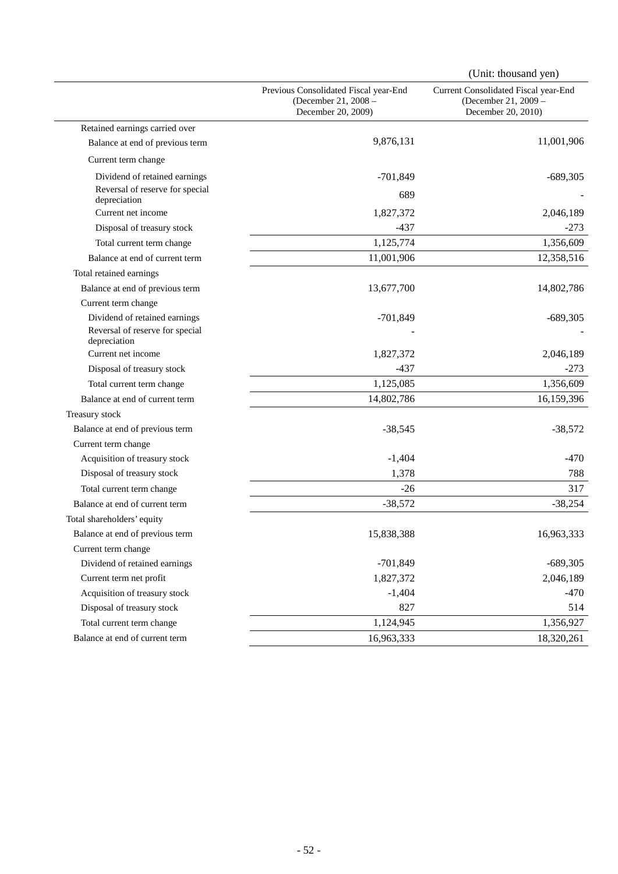|                                                                                  |                                                                                     | (Unit: thousand yen)                                                               |
|----------------------------------------------------------------------------------|-------------------------------------------------------------------------------------|------------------------------------------------------------------------------------|
|                                                                                  | Previous Consolidated Fiscal year-End<br>(December 21, 2008 -<br>December 20, 2009) | Current Consolidated Fiscal year-End<br>(December 21, 2009 -<br>December 20, 2010) |
| Retained earnings carried over                                                   |                                                                                     |                                                                                    |
| Balance at end of previous term                                                  | 9,876,131                                                                           | 11,001,906                                                                         |
| Current term change                                                              |                                                                                     |                                                                                    |
| Dividend of retained earnings                                                    | $-701,849$                                                                          | $-689,305$                                                                         |
| Reversal of reserve for special<br>depreciation                                  | 689                                                                                 |                                                                                    |
| Current net income                                                               | 1,827,372                                                                           | 2,046,189                                                                          |
| Disposal of treasury stock                                                       | $-437$                                                                              | $-273$                                                                             |
| Total current term change                                                        | 1,125,774                                                                           | 1,356,609                                                                          |
| Balance at end of current term                                                   | 11,001,906                                                                          | 12,358,516                                                                         |
| Total retained earnings                                                          |                                                                                     |                                                                                    |
| Balance at end of previous term                                                  | 13,677,700                                                                          | 14,802,786                                                                         |
| Current term change                                                              |                                                                                     |                                                                                    |
| Dividend of retained earnings<br>Reversal of reserve for special<br>depreciation | $-701,849$                                                                          | $-689,305$                                                                         |
| Current net income                                                               | 1,827,372                                                                           | 2,046,189                                                                          |
| Disposal of treasury stock                                                       | $-437$                                                                              | $-273$                                                                             |
| Total current term change                                                        | 1,125,085                                                                           | 1,356,609                                                                          |
| Balance at end of current term                                                   | 14,802,786                                                                          | 16,159,396                                                                         |
| Treasury stock                                                                   |                                                                                     |                                                                                    |
| Balance at end of previous term                                                  | $-38,545$                                                                           | $-38,572$                                                                          |
| Current term change                                                              |                                                                                     |                                                                                    |
| Acquisition of treasury stock                                                    | $-1,404$                                                                            | $-470$                                                                             |
| Disposal of treasury stock                                                       | 1,378                                                                               | 788                                                                                |
| Total current term change                                                        | $-26$                                                                               | 317                                                                                |
| Balance at end of current term                                                   | $-38,572$                                                                           | $-38,254$                                                                          |
| Total shareholders' equity                                                       |                                                                                     |                                                                                    |
| Balance at end of previous term                                                  | 15,838,388                                                                          | 16,963,333                                                                         |
| Current term change                                                              |                                                                                     |                                                                                    |
| Dividend of retained earnings                                                    | $-701,849$                                                                          | $-689,305$                                                                         |
| Current term net profit                                                          | 1,827,372                                                                           | 2,046,189                                                                          |
| Acquisition of treasury stock                                                    | $-1,404$                                                                            | $-470$                                                                             |
| Disposal of treasury stock                                                       | 827                                                                                 | 514                                                                                |
| Total current term change                                                        | 1,124,945                                                                           | 1,356,927                                                                          |
| Balance at end of current term                                                   | 16,963,333                                                                          | 18,320,261                                                                         |
|                                                                                  |                                                                                     |                                                                                    |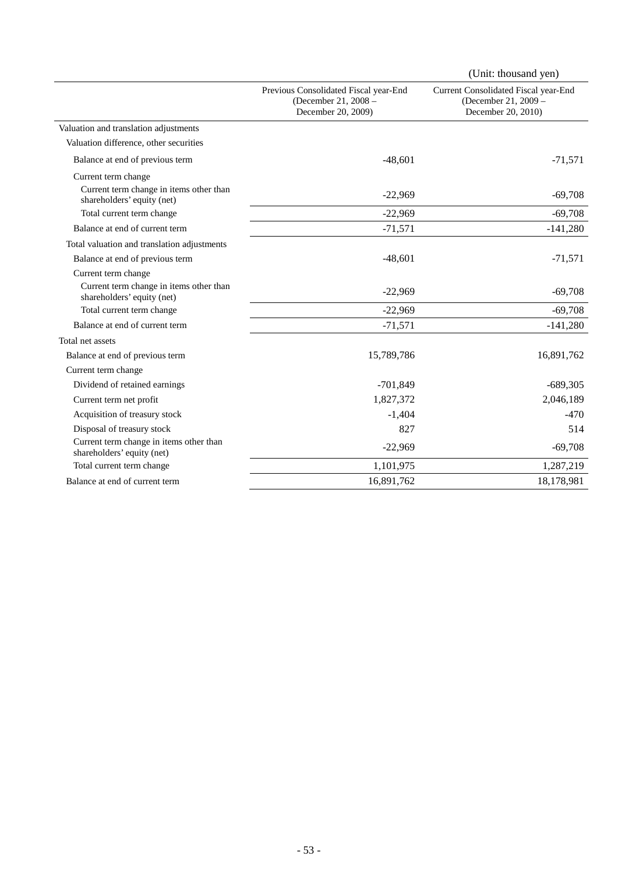|                                                                       |                                                                                     | (Unit: thousand yen)                                                               |
|-----------------------------------------------------------------------|-------------------------------------------------------------------------------------|------------------------------------------------------------------------------------|
|                                                                       | Previous Consolidated Fiscal year-End<br>(December 21, 2008 -<br>December 20, 2009) | Current Consolidated Fiscal year-End<br>(December 21, 2009 -<br>December 20, 2010) |
| Valuation and translation adjustments                                 |                                                                                     |                                                                                    |
| Valuation difference, other securities                                |                                                                                     |                                                                                    |
| Balance at end of previous term                                       | $-48,601$                                                                           | $-71,571$                                                                          |
| Current term change                                                   |                                                                                     |                                                                                    |
| Current term change in items other than<br>shareholders' equity (net) | $-22,969$                                                                           | $-69,708$                                                                          |
| Total current term change                                             | $-22,969$                                                                           | $-69,708$                                                                          |
| Balance at end of current term                                        | $-71,571$                                                                           | $-141,280$                                                                         |
| Total valuation and translation adjustments                           |                                                                                     |                                                                                    |
| Balance at end of previous term                                       | $-48,601$                                                                           | $-71,571$                                                                          |
| Current term change                                                   |                                                                                     |                                                                                    |
| Current term change in items other than<br>shareholders' equity (net) | $-22,969$                                                                           | $-69,708$                                                                          |
| Total current term change                                             | $-22,969$                                                                           | $-69,708$                                                                          |
| Balance at end of current term                                        | $-71,571$                                                                           | $-141,280$                                                                         |
| Total net assets                                                      |                                                                                     |                                                                                    |
| Balance at end of previous term                                       | 15,789,786                                                                          | 16,891,762                                                                         |
| Current term change                                                   |                                                                                     |                                                                                    |
| Dividend of retained earnings                                         | $-701,849$                                                                          | $-689,305$                                                                         |
| Current term net profit                                               | 1,827,372                                                                           | 2,046,189                                                                          |
| Acquisition of treasury stock                                         | $-1,404$                                                                            | $-470$                                                                             |
| Disposal of treasury stock                                            | 827                                                                                 | 514                                                                                |
| Current term change in items other than<br>shareholders' equity (net) | $-22,969$                                                                           | $-69,708$                                                                          |
| Total current term change                                             | 1,101,975                                                                           | 1,287,219                                                                          |
| Balance at end of current term                                        | 16,891,762                                                                          | 18,178,981                                                                         |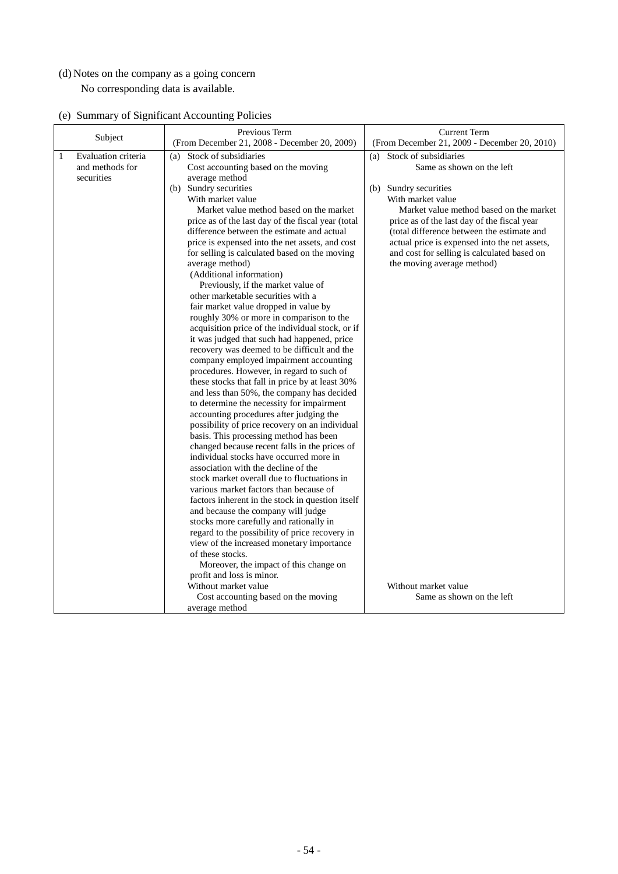# (d) Notes on the company as a going concern No corresponding data is available.

| (e) Summary of Significant Accounting Policies |  |  |  |  |
|------------------------------------------------|--|--|--|--|
|------------------------------------------------|--|--|--|--|

| Subject                                                   | Previous Term                                                                                                                                                                                                                                                                                                                                                                                                                                                                                                                                                                                                                                                                                                                                                                                                                                                                                                                                                                                                                                 | <b>Current Term</b>                                                                                                                                                                                                                                                                                                                                                                                                           |
|-----------------------------------------------------------|-----------------------------------------------------------------------------------------------------------------------------------------------------------------------------------------------------------------------------------------------------------------------------------------------------------------------------------------------------------------------------------------------------------------------------------------------------------------------------------------------------------------------------------------------------------------------------------------------------------------------------------------------------------------------------------------------------------------------------------------------------------------------------------------------------------------------------------------------------------------------------------------------------------------------------------------------------------------------------------------------------------------------------------------------|-------------------------------------------------------------------------------------------------------------------------------------------------------------------------------------------------------------------------------------------------------------------------------------------------------------------------------------------------------------------------------------------------------------------------------|
| Evaluation criteria<br>1<br>and methods for<br>securities | (From December 21, 2008 - December 20, 2009)<br>Stock of subsidiaries<br>(a)<br>Cost accounting based on the moving<br>average method<br>(b) Sundry securities<br>With market value<br>Market value method based on the market<br>price as of the last day of the fiscal year (total<br>difference between the estimate and actual<br>price is expensed into the net assets, and cost<br>for selling is calculated based on the moving<br>average method)<br>(Additional information)<br>Previously, if the market value of<br>other marketable securities with a<br>fair market value dropped in value by<br>roughly 30% or more in comparison to the<br>acquisition price of the individual stock, or if<br>it was judged that such had happened, price<br>recovery was deemed to be difficult and the<br>company employed impairment accounting<br>procedures. However, in regard to such of<br>these stocks that fall in price by at least 30%<br>and less than 50%, the company has decided<br>to determine the necessity for impairment | (From December 21, 2009 - December 20, 2010)<br>Stock of subsidiaries<br>(a)<br>Same as shown on the left<br>(b) Sundry securities<br>With market value<br>Market value method based on the market<br>price as of the last day of the fiscal year<br>(total difference between the estimate and<br>actual price is expensed into the net assets,<br>and cost for selling is calculated based on<br>the moving average method) |
|                                                           | accounting procedures after judging the<br>possibility of price recovery on an individual<br>basis. This processing method has been<br>changed because recent falls in the prices of<br>individual stocks have occurred more in<br>association with the decline of the                                                                                                                                                                                                                                                                                                                                                                                                                                                                                                                                                                                                                                                                                                                                                                        |                                                                                                                                                                                                                                                                                                                                                                                                                               |
|                                                           | stock market overall due to fluctuations in<br>various market factors than because of<br>factors inherent in the stock in question itself<br>and because the company will judge<br>stocks more carefully and rationally in                                                                                                                                                                                                                                                                                                                                                                                                                                                                                                                                                                                                                                                                                                                                                                                                                    |                                                                                                                                                                                                                                                                                                                                                                                                                               |
|                                                           | regard to the possibility of price recovery in<br>view of the increased monetary importance<br>of these stocks.<br>Moreover, the impact of this change on                                                                                                                                                                                                                                                                                                                                                                                                                                                                                                                                                                                                                                                                                                                                                                                                                                                                                     |                                                                                                                                                                                                                                                                                                                                                                                                                               |
|                                                           | profit and loss is minor.<br>Without market value<br>Cost accounting based on the moving<br>average method                                                                                                                                                                                                                                                                                                                                                                                                                                                                                                                                                                                                                                                                                                                                                                                                                                                                                                                                    | Without market value<br>Same as shown on the left                                                                                                                                                                                                                                                                                                                                                                             |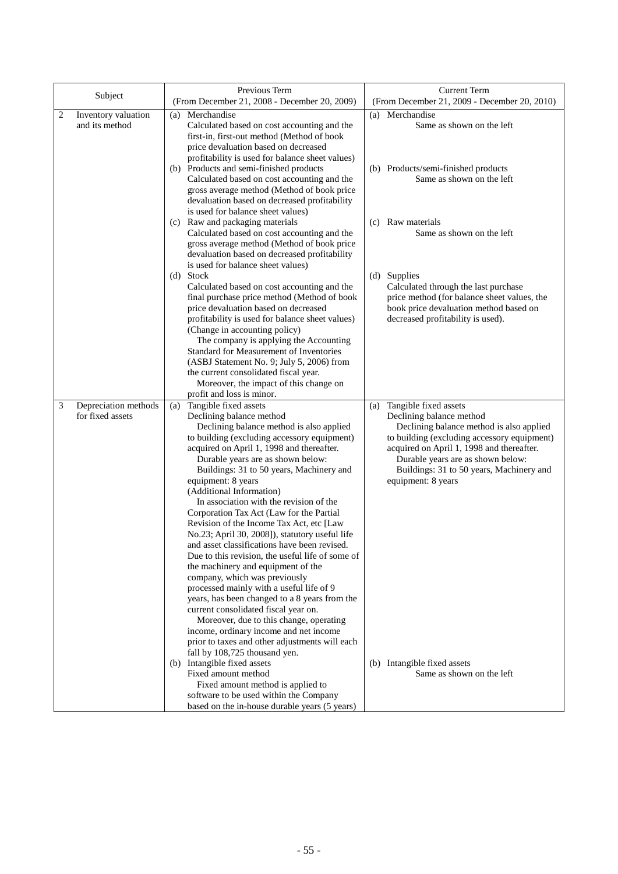| Subject                                       | Previous Term<br>(From December 21, 2008 - December 20, 2009)                                                                                                                                                                                                                                                                                                                                                                                                                                                                                                                                                                                                                                                                                                                                                                                                                                                                                                                                                                                                                                                                                                                                          | <b>Current Term</b><br>(From December 21, 2009 - December 20, 2010)                                                                                                                                                                                                                                                                                                 |
|-----------------------------------------------|--------------------------------------------------------------------------------------------------------------------------------------------------------------------------------------------------------------------------------------------------------------------------------------------------------------------------------------------------------------------------------------------------------------------------------------------------------------------------------------------------------------------------------------------------------------------------------------------------------------------------------------------------------------------------------------------------------------------------------------------------------------------------------------------------------------------------------------------------------------------------------------------------------------------------------------------------------------------------------------------------------------------------------------------------------------------------------------------------------------------------------------------------------------------------------------------------------|---------------------------------------------------------------------------------------------------------------------------------------------------------------------------------------------------------------------------------------------------------------------------------------------------------------------------------------------------------------------|
| 2<br>Inventory valuation<br>and its method    | Merchandise<br>(a)<br>Calculated based on cost accounting and the<br>first-in, first-out method (Method of book<br>price devaluation based on decreased<br>profitability is used for balance sheet values)<br>(b) Products and semi-finished products<br>Calculated based on cost accounting and the<br>gross average method (Method of book price<br>devaluation based on decreased profitability<br>is used for balance sheet values)<br>(c) Raw and packaging materials<br>Calculated based on cost accounting and the<br>gross average method (Method of book price<br>devaluation based on decreased profitability<br>is used for balance sheet values)<br>(d) Stock<br>Calculated based on cost accounting and the<br>final purchase price method (Method of book<br>price devaluation based on decreased<br>profitability is used for balance sheet values)<br>(Change in accounting policy)<br>The company is applying the Accounting<br>Standard for Measurement of Inventories<br>(ASBJ Statement No. 9; July 5, 2006) from<br>the current consolidated fiscal year.<br>Moreover, the impact of this change on<br>profit and loss is minor.                                                  | (a) Merchandise<br>Same as shown on the left<br>(b) Products/semi-finished products<br>Same as shown on the left<br>(c) Raw materials<br>Same as shown on the left<br>(d) Supplies<br>Calculated through the last purchase<br>price method (for balance sheet values, the<br>book price devaluation method based on<br>decreased profitability is used).            |
| 3<br>Depreciation methods<br>for fixed assets | Tangible fixed assets<br>(a)<br>Declining balance method<br>Declining balance method is also applied<br>to building (excluding accessory equipment)<br>acquired on April 1, 1998 and thereafter.<br>Durable years are as shown below:<br>Buildings: 31 to 50 years, Machinery and<br>equipment: 8 years<br>(Additional Information)<br>In association with the revision of the<br>Corporation Tax Act (Law for the Partial<br>Revision of the Income Tax Act, etc [Law<br>No.23; April 30, 2008]), statutory useful life<br>and asset classifications have been revised.<br>Due to this revision, the useful life of some of<br>the machinery and equipment of the<br>company, which was previously<br>processed mainly with a useful life of 9<br>years, has been changed to a 8 years from the<br>current consolidated fiscal year on.<br>Moreover, due to this change, operating<br>income, ordinary income and net income<br>prior to taxes and other adjustments will each<br>fall by 108,725 thousand yen.<br>(b) Intangible fixed assets<br>Fixed amount method<br>Fixed amount method is applied to<br>software to be used within the Company<br>based on the in-house durable years (5 years) | Tangible fixed assets<br>(a)<br>Declining balance method<br>Declining balance method is also applied<br>to building (excluding accessory equipment)<br>acquired on April 1, 1998 and thereafter.<br>Durable years are as shown below:<br>Buildings: 31 to 50 years, Machinery and<br>equipment: 8 years<br>(b) Intangible fixed assets<br>Same as shown on the left |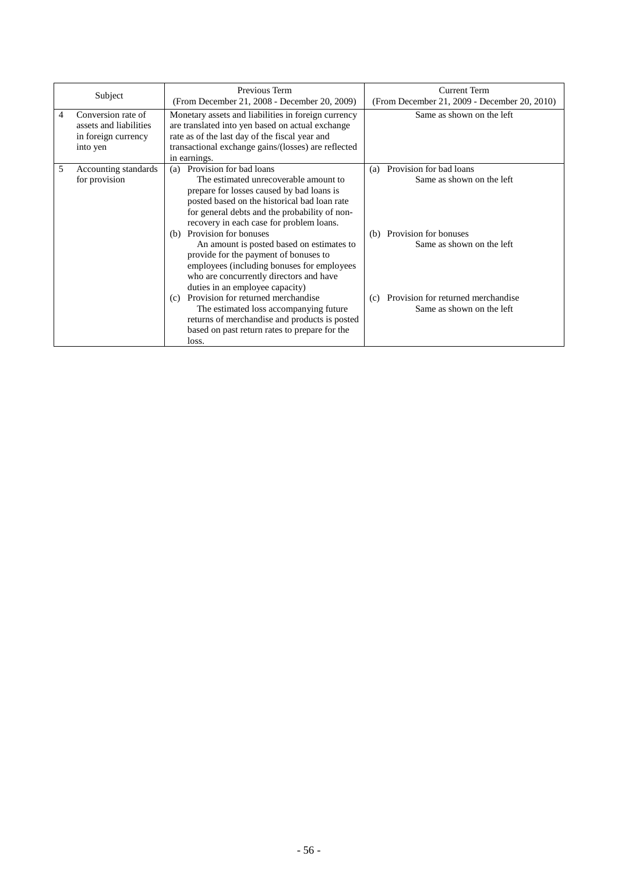| Subject |                                                                                 | Previous Term<br>(From December 21, 2008 - December 20, 2009)                                                                                                                                                                                                                                                                                                                                                                                                                                                                                                                                                                                            | Current Term<br>(From December 21, 2009 - December 20, 2010)                                                                                                                                    |
|---------|---------------------------------------------------------------------------------|----------------------------------------------------------------------------------------------------------------------------------------------------------------------------------------------------------------------------------------------------------------------------------------------------------------------------------------------------------------------------------------------------------------------------------------------------------------------------------------------------------------------------------------------------------------------------------------------------------------------------------------------------------|-------------------------------------------------------------------------------------------------------------------------------------------------------------------------------------------------|
| 4       | Conversion rate of<br>assets and liabilities<br>in foreign currency<br>into yen | Monetary assets and liabilities in foreign currency<br>are translated into yen based on actual exchange<br>rate as of the last day of the fiscal year and<br>transactional exchange gains/(losses) are reflected<br>in earnings.                                                                                                                                                                                                                                                                                                                                                                                                                         | Same as shown on the left                                                                                                                                                                       |
| 5       | Accounting standards<br>for provision                                           | Provision for bad loans<br>(a)<br>The estimated unrecoverable amount to<br>prepare for losses caused by bad loans is<br>posted based on the historical bad loan rate<br>for general debts and the probability of non-<br>recovery in each case for problem loans.<br>(b) Provision for bonuses<br>An amount is posted based on estimates to<br>provide for the payment of bonuses to<br>employees (including bonuses for employees<br>who are concurrently directors and have<br>duties in an employee capacity)<br>Provision for returned merchandise<br>(c)<br>The estimated loss accompanying future<br>returns of merchandise and products is posted | Provision for bad loans<br>(a)<br>Same as shown on the left<br>(b) Provision for bonuses<br>Same as shown on the left<br>Provision for returned merchandise<br>(c)<br>Same as shown on the left |
|         |                                                                                 | based on past return rates to prepare for the<br>loss.                                                                                                                                                                                                                                                                                                                                                                                                                                                                                                                                                                                                   |                                                                                                                                                                                                 |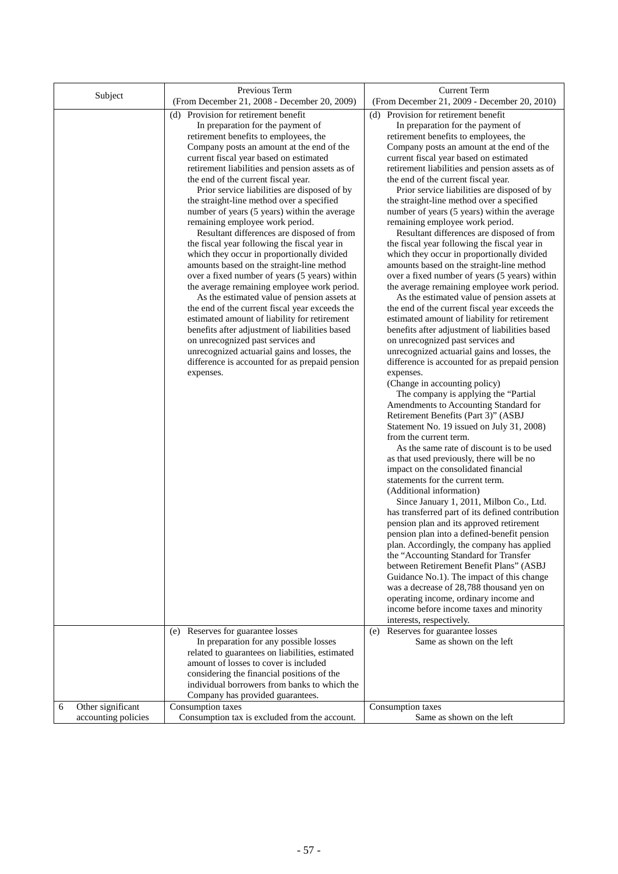| Subject                | Previous Term                                                                                  | <b>Current Term</b>                                                                            |
|------------------------|------------------------------------------------------------------------------------------------|------------------------------------------------------------------------------------------------|
|                        | (From December 21, 2008 - December 20, 2009)                                                   | (From December 21, 2009 - December 20, 2010)                                                   |
|                        | (d) Provision for retirement benefit<br>In preparation for the payment of                      | (d) Provision for retirement benefit<br>In preparation for the payment of                      |
|                        | retirement benefits to employees, the                                                          | retirement benefits to employees, the                                                          |
|                        | Company posts an amount at the end of the<br>current fiscal year based on estimated            | Company posts an amount at the end of the<br>current fiscal year based on estimated            |
|                        | retirement liabilities and pension assets as of                                                | retirement liabilities and pension assets as of                                                |
|                        | the end of the current fiscal year.                                                            | the end of the current fiscal year.                                                            |
|                        | Prior service liabilities are disposed of by                                                   | Prior service liabilities are disposed of by                                                   |
|                        | the straight-line method over a specified                                                      | the straight-line method over a specified                                                      |
|                        | number of years (5 years) within the average                                                   | number of years (5 years) within the average                                                   |
|                        | remaining employee work period.                                                                | remaining employee work period.                                                                |
|                        | Resultant differences are disposed of from<br>the fiscal year following the fiscal year in     | Resultant differences are disposed of from<br>the fiscal year following the fiscal year in     |
|                        | which they occur in proportionally divided                                                     | which they occur in proportionally divided                                                     |
|                        | amounts based on the straight-line method                                                      | amounts based on the straight-line method                                                      |
|                        | over a fixed number of years (5 years) within                                                  | over a fixed number of years (5 years) within                                                  |
|                        | the average remaining employee work period.                                                    | the average remaining employee work period.                                                    |
|                        | As the estimated value of pension assets at                                                    | As the estimated value of pension assets at                                                    |
|                        | the end of the current fiscal year exceeds the<br>estimated amount of liability for retirement | the end of the current fiscal year exceeds the<br>estimated amount of liability for retirement |
|                        | benefits after adjustment of liabilities based                                                 | benefits after adjustment of liabilities based                                                 |
|                        | on unrecognized past services and                                                              | on unrecognized past services and                                                              |
|                        | unrecognized actuarial gains and losses, the                                                   | unrecognized actuarial gains and losses, the                                                   |
|                        | difference is accounted for as prepaid pension                                                 | difference is accounted for as prepaid pension                                                 |
|                        | expenses.                                                                                      | expenses.                                                                                      |
|                        |                                                                                                | (Change in accounting policy)<br>The company is applying the "Partial                          |
|                        |                                                                                                | Amendments to Accounting Standard for                                                          |
|                        |                                                                                                | Retirement Benefits (Part 3)" (ASBJ                                                            |
|                        |                                                                                                | Statement No. 19 issued on July 31, 2008)                                                      |
|                        |                                                                                                | from the current term.                                                                         |
|                        |                                                                                                | As the same rate of discount is to be used                                                     |
|                        |                                                                                                | as that used previously, there will be no<br>impact on the consolidated financial              |
|                        |                                                                                                | statements for the current term.                                                               |
|                        |                                                                                                | (Additional information)                                                                       |
|                        |                                                                                                | Since January 1, 2011, Milbon Co., Ltd.                                                        |
|                        |                                                                                                | has transferred part of its defined contribution                                               |
|                        |                                                                                                | pension plan and its approved retirement                                                       |
|                        |                                                                                                | pension plan into a defined-benefit pension<br>plan. Accordingly, the company has applied      |
|                        |                                                                                                | the "Accounting Standard for Transfer                                                          |
|                        |                                                                                                | between Retirement Benefit Plans" (ASBJ                                                        |
|                        |                                                                                                | Guidance No.1). The impact of this change                                                      |
|                        |                                                                                                | was a decrease of 28,788 thousand yen on                                                       |
|                        |                                                                                                | operating income, ordinary income and<br>income before income taxes and minority               |
|                        |                                                                                                | interests, respectively.                                                                       |
|                        | (e) Reserves for guarantee losses                                                              | (e) Reserves for guarantee losses                                                              |
|                        | In preparation for any possible losses                                                         | Same as shown on the left                                                                      |
|                        | related to guarantees on liabilities, estimated                                                |                                                                                                |
|                        | amount of losses to cover is included<br>considering the financial positions of the            |                                                                                                |
|                        | individual borrowers from banks to which the                                                   |                                                                                                |
|                        | Company has provided guarantees.                                                               |                                                                                                |
| Other significant<br>6 | Consumption taxes                                                                              | Consumption taxes                                                                              |
| accounting policies    | Consumption tax is excluded from the account.                                                  | Same as shown on the left                                                                      |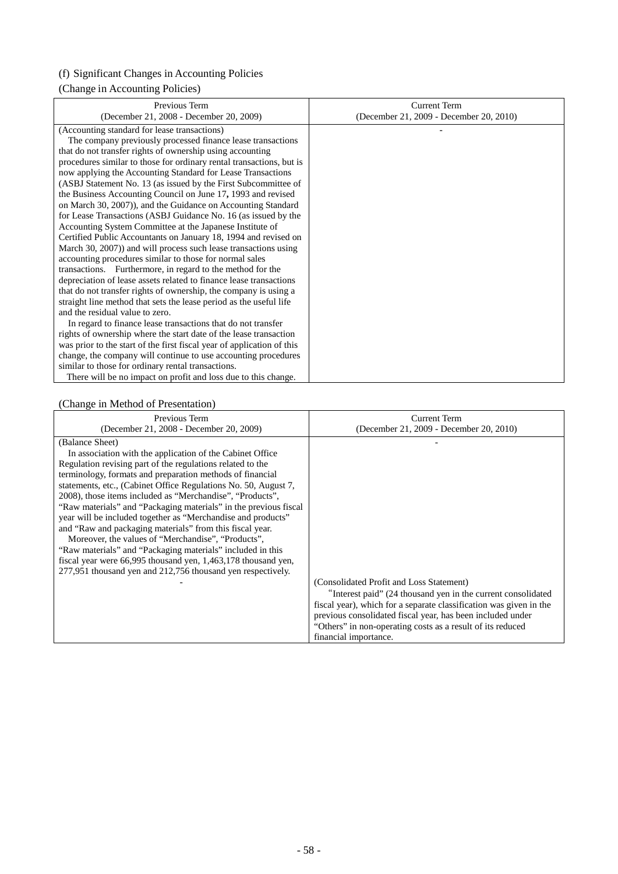# (f) Significant Changes in Accounting Policies

# (Change in Accounting Policies)

| Previous Term                                                          | <b>Current Term</b>                     |
|------------------------------------------------------------------------|-----------------------------------------|
| (December 21, 2008 - December 20, 2009)                                | (December 21, 2009 - December 20, 2010) |
| (Accounting standard for lease transactions)                           |                                         |
| The company previously processed finance lease transactions            |                                         |
| that do not transfer rights of ownership using accounting              |                                         |
| procedures similar to those for ordinary rental transactions, but is   |                                         |
| now applying the Accounting Standard for Lease Transactions            |                                         |
| (ASBJ Statement No. 13 (as issued by the First Subcommittee of         |                                         |
| the Business Accounting Council on June 17, 1993 and revised           |                                         |
| on March 30, 2007)), and the Guidance on Accounting Standard           |                                         |
| for Lease Transactions (ASBJ Guidance No. 16 (as issued by the         |                                         |
| Accounting System Committee at the Japanese Institute of               |                                         |
| Certified Public Accountants on January 18, 1994 and revised on        |                                         |
| March 30, 2007)) and will process such lease transactions using        |                                         |
| accounting procedures similar to those for normal sales                |                                         |
| transactions. Furthermore, in regard to the method for the             |                                         |
| depreciation of lease assets related to finance lease transactions     |                                         |
| that do not transfer rights of ownership, the company is using a       |                                         |
| straight line method that sets the lease period as the useful life     |                                         |
| and the residual value to zero.                                        |                                         |
| In regard to finance lease transactions that do not transfer           |                                         |
| rights of ownership where the start date of the lease transaction      |                                         |
| was prior to the start of the first fiscal year of application of this |                                         |
| change, the company will continue to use accounting procedures         |                                         |
| similar to those for ordinary rental transactions.                     |                                         |
| There will be no impact on profit and loss due to this change.         |                                         |

# (Change in Method of Presentation)

| Previous Term                                                                                                                                                                                                                                                                                                                                                                                                                                                                                                                                                                                                                                                                                                                                                                               | Current Term                                                                                                                                                                                                                                                                                                                        |
|---------------------------------------------------------------------------------------------------------------------------------------------------------------------------------------------------------------------------------------------------------------------------------------------------------------------------------------------------------------------------------------------------------------------------------------------------------------------------------------------------------------------------------------------------------------------------------------------------------------------------------------------------------------------------------------------------------------------------------------------------------------------------------------------|-------------------------------------------------------------------------------------------------------------------------------------------------------------------------------------------------------------------------------------------------------------------------------------------------------------------------------------|
| (December 21, 2008 - December 20, 2009)                                                                                                                                                                                                                                                                                                                                                                                                                                                                                                                                                                                                                                                                                                                                                     | (December 21, 2009 - December 20, 2010)                                                                                                                                                                                                                                                                                             |
| (Balance Sheet)<br>In association with the application of the Cabinet Office<br>Regulation revising part of the regulations related to the<br>terminology, formats and preparation methods of financial<br>statements, etc., (Cabinet Office Regulations No. 50, August 7,<br>2008), those items included as "Merchandise", "Products",<br>"Raw materials" and "Packaging materials" in the previous fiscal<br>year will be included together as "Merchandise and products"<br>and "Raw and packaging materials" from this fiscal year.<br>Moreover, the values of "Merchandise", "Products",<br>"Raw materials" and "Packaging materials" included in this<br>fiscal year were 66,995 thousand yen, 1,463,178 thousand yen,<br>277,951 thousand yen and 212,756 thousand yen respectively. | (Consolidated Profit and Loss Statement)<br>"Interest paid" (24 thousand yen in the current consolidated<br>fiscal year), which for a separate classification was given in the<br>previous consolidated fiscal year, has been included under<br>"Others" in non-operating costs as a result of its reduced<br>financial importance. |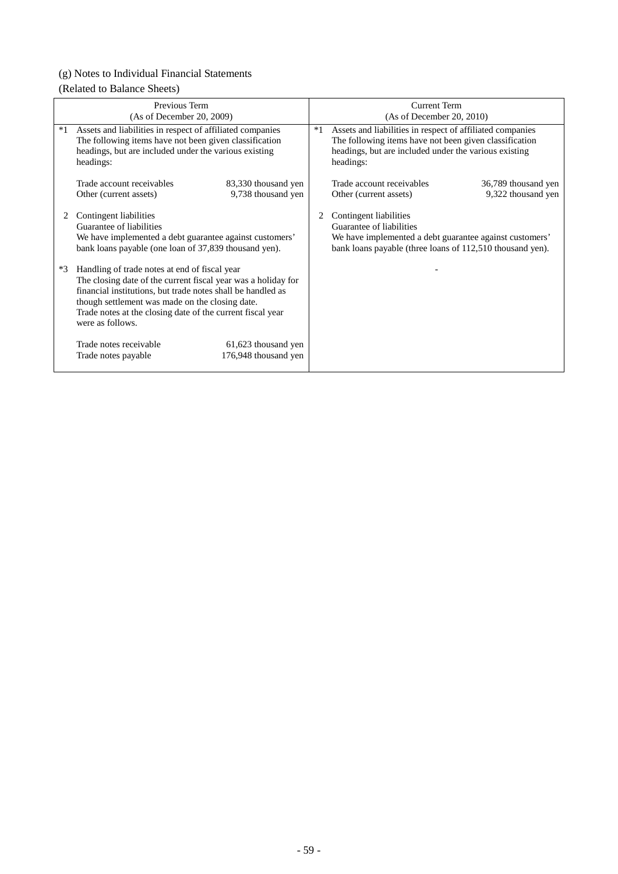# (g) Notes to Individual Financial Statements

# (Related to Balance Sheets)

|      | Previous Term<br>(As of December 20, 2009)                                                                                                                                                                                                                                                                         | <b>Current Term</b><br>(As of December 20, 2010) |                                                                                                                                                                                           |  |
|------|--------------------------------------------------------------------------------------------------------------------------------------------------------------------------------------------------------------------------------------------------------------------------------------------------------------------|--------------------------------------------------|-------------------------------------------------------------------------------------------------------------------------------------------------------------------------------------------|--|
| $*1$ | Assets and liabilities in respect of affiliated companies<br>The following items have not been given classification<br>headings, but are included under the various existing<br>headings:                                                                                                                          |                                                  | Assets and liabilities in respect of affiliated companies<br>The following items have not been given classification<br>headings, but are included under the various existing<br>headings: |  |
|      | Trade account receivables<br>83,330 thousand yen<br>9,738 thousand yen<br>Other (current assets)                                                                                                                                                                                                                   |                                                  | Trade account receivables<br>36,789 thousand yen<br>9,322 thousand yen<br>Other (current assets)                                                                                          |  |
|      | Contingent liabilities<br>Guarantee of liabilities<br>We have implemented a debt guarantee against customers'<br>bank loans payable (one loan of 37,839 thousand yen).                                                                                                                                             |                                                  | Contingent liabilities<br>Guarantee of liabilities<br>We have implemented a debt guarantee against customers'<br>bank loans payable (three loans of 112,510 thousand yen).                |  |
| $*3$ | Handling of trade notes at end of fiscal year<br>The closing date of the current fiscal year was a holiday for<br>financial institutions, but trade notes shall be handled as<br>though settlement was made on the closing date.<br>Trade notes at the closing date of the current fiscal year<br>were as follows. |                                                  |                                                                                                                                                                                           |  |
|      | Trade notes receivable<br>61,623 thousand yen<br>176,948 thousand yen<br>Trade notes payable                                                                                                                                                                                                                       |                                                  |                                                                                                                                                                                           |  |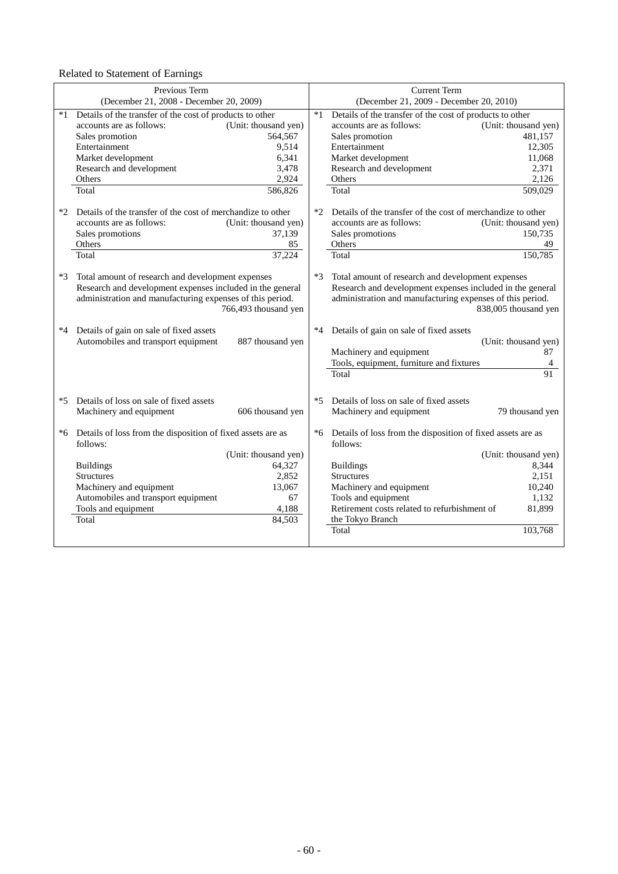Related to Statement of Earnings

|      | Previous Term<br>(December 21, 2008 - December 20, 2009)                                                                                                                    |                      |      | <b>Current Term</b><br>(December 21, 2009 - December 20, 2010)                                                                                                              |                                       |
|------|-----------------------------------------------------------------------------------------------------------------------------------------------------------------------------|----------------------|------|-----------------------------------------------------------------------------------------------------------------------------------------------------------------------------|---------------------------------------|
| *1   | Details of the transfer of the cost of products to other                                                                                                                    |                      | $*1$ | Details of the transfer of the cost of products to other                                                                                                                    |                                       |
|      | accounts are as follows:                                                                                                                                                    | (Unit: thousand yen) |      | accounts are as follows:                                                                                                                                                    | (Unit: thousand yen)                  |
|      | Sales promotion                                                                                                                                                             | 564,567              |      | Sales promotion                                                                                                                                                             | 481,157                               |
|      | Entertainment                                                                                                                                                               | 9,514                |      | Entertainment                                                                                                                                                               | 12,305                                |
|      | Market development                                                                                                                                                          | 6,341                |      | Market development                                                                                                                                                          | 11,068                                |
|      | Research and development                                                                                                                                                    | 3,478                |      | Research and development                                                                                                                                                    | 2,371                                 |
|      | Others                                                                                                                                                                      | 2,924                |      | Others                                                                                                                                                                      | 2.126                                 |
|      | Total                                                                                                                                                                       | 586,826              |      | Total                                                                                                                                                                       | 509,029                               |
| $*2$ | Details of the transfer of the cost of merchandize to other                                                                                                                 |                      | $*2$ | Details of the transfer of the cost of merchandize to other                                                                                                                 |                                       |
|      | accounts are as follows:                                                                                                                                                    | (Unit: thousand yen) |      | accounts are as follows:                                                                                                                                                    | (Unit: thousand yen)                  |
|      | Sales promotions                                                                                                                                                            | 37,139               |      | Sales promotions                                                                                                                                                            | 150,735                               |
|      | Others                                                                                                                                                                      | 85                   |      | Others                                                                                                                                                                      | 49                                    |
|      | Total                                                                                                                                                                       | 37,224               |      | Total                                                                                                                                                                       | 150,785                               |
| $*3$ | Total amount of research and development expenses<br>Research and development expenses included in the general<br>administration and manufacturing expenses of this period. | 766,493 thousand yen | $*3$ | Total amount of research and development expenses<br>Research and development expenses included in the general<br>administration and manufacturing expenses of this period. | 838,005 thousand yen                  |
| $*4$ | Details of gain on sale of fixed assets<br>Automobiles and transport equipment                                                                                              | 887 thousand yen     | $*4$ | Details of gain on sale of fixed assets<br>Machinery and equipment<br>Tools, equipment, furniture and fixtures<br>Total                                                     | (Unit: thousand yen)<br>87<br>4<br>91 |
| $*5$ | Details of loss on sale of fixed assets                                                                                                                                     |                      | *5   | Details of loss on sale of fixed assets                                                                                                                                     |                                       |
|      | Machinery and equipment                                                                                                                                                     | 606 thousand yen     |      | Machinery and equipment                                                                                                                                                     | 79 thousand yen                       |
|      |                                                                                                                                                                             |                      |      |                                                                                                                                                                             |                                       |
|      | *6 Details of loss from the disposition of fixed assets are as<br>follows:                                                                                                  |                      | *6   | Details of loss from the disposition of fixed assets are as<br>follows:                                                                                                     |                                       |
|      |                                                                                                                                                                             | (Unit: thousand yen) |      |                                                                                                                                                                             | (Unit: thousand yen)                  |
|      | <b>Buildings</b>                                                                                                                                                            | 64,327               |      | <b>Buildings</b>                                                                                                                                                            | 8,344                                 |
|      | <b>Structures</b>                                                                                                                                                           | 2,852                |      | <b>Structures</b>                                                                                                                                                           | 2,151                                 |
|      | Machinery and equipment                                                                                                                                                     | 13,067               |      | Machinery and equipment                                                                                                                                                     | 10,240                                |
|      | Automobiles and transport equipment                                                                                                                                         | 67                   |      | Tools and equipment                                                                                                                                                         | 1.132                                 |
|      | Tools and equipment                                                                                                                                                         | 4,188                |      | Retirement costs related to refurbishment of                                                                                                                                | 81,899                                |
|      | Total                                                                                                                                                                       | 84,503               |      | the Tokyo Branch                                                                                                                                                            |                                       |
|      |                                                                                                                                                                             |                      |      | Total                                                                                                                                                                       | 103,768                               |
|      |                                                                                                                                                                             |                      |      |                                                                                                                                                                             |                                       |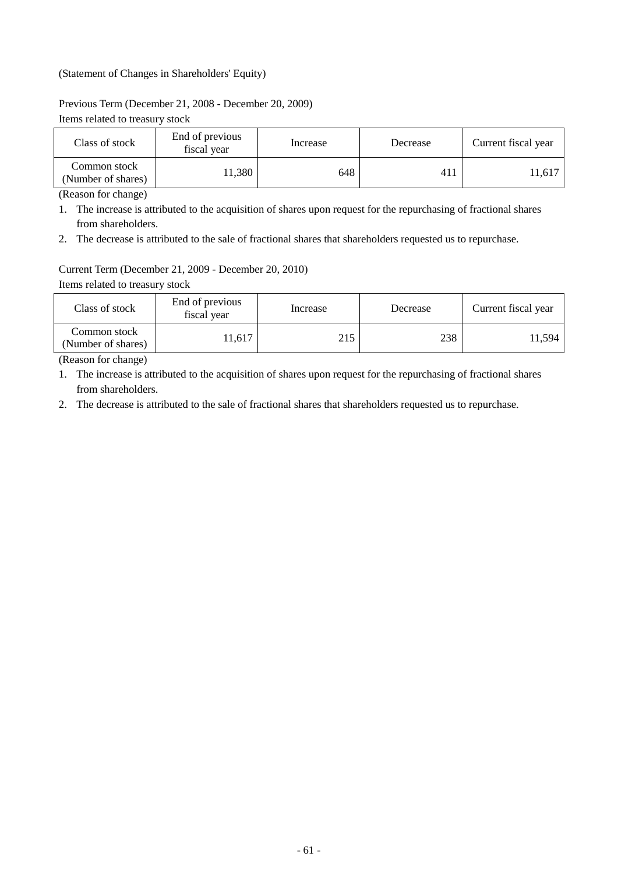# (Statement of Changes in Shareholders' Equity)

### Previous Term (December 21, 2008 - December 20, 2009)

Items related to treasury stock

| Class of stock                     | End of previous<br>fiscal year | Increase | Decrease | Current fiscal year |
|------------------------------------|--------------------------------|----------|----------|---------------------|
| Common stock<br>(Number of shares) | 11,380                         | 648      | 411      | 11,617              |

(Reason for change)

1. The increase is attributed to the acquisition of shares upon request for the repurchasing of fractional shares from shareholders.

2. The decrease is attributed to the sale of fractional shares that shareholders requested us to repurchase.

# Current Term (December 21, 2009 - December 20, 2010)

Items related to treasury stock

| Class of stock                     | End of previous<br>fiscal year | Increase | Decrease | Current fiscal year |
|------------------------------------|--------------------------------|----------|----------|---------------------|
| Common stock<br>(Number of shares) | 11.617                         | 215      | 238      | 11.594              |

(Reason for change)

1. The increase is attributed to the acquisition of shares upon request for the repurchasing of fractional shares from shareholders.

2. The decrease is attributed to the sale of fractional shares that shareholders requested us to repurchase.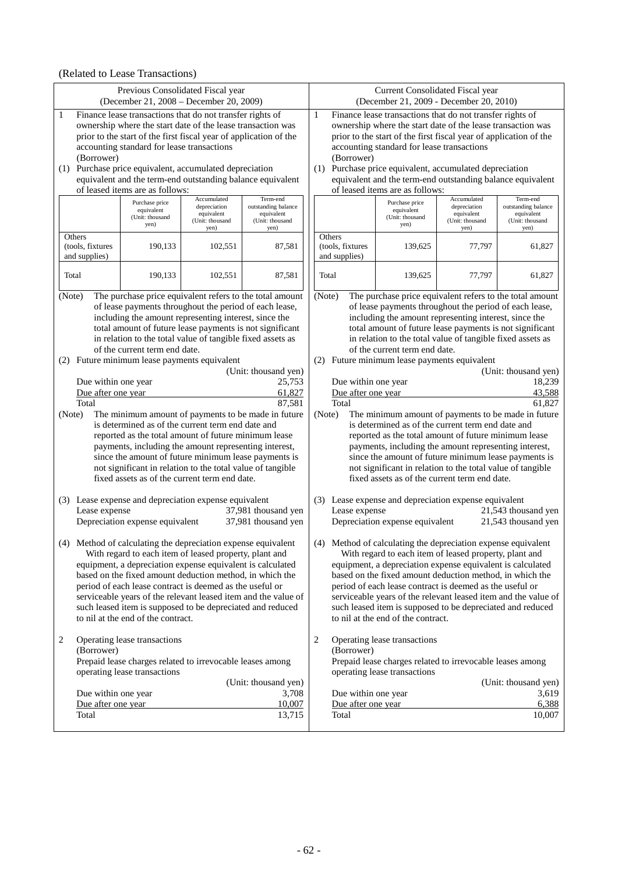# (Related to Lease Transactions)

| Previous Consolidated Fiscal year<br>(December 21, 2008 - December 20, 2009)                                                                                                                                                                                                                                                                                                                                                                                                                                          |                                                                                                                                                                                                                                                                                                                                                                                                                                                   |                                                                                                                                                                                                                                                                                                                                                                                                                                                                       | Current Consolidated Fiscal year<br>(December 21, 2009 - December 20, 2010) |                                                                  |                                                                                                                                                                                                                                                                                                                                                                                                                   |                                                                      |                                                                          |
|-----------------------------------------------------------------------------------------------------------------------------------------------------------------------------------------------------------------------------------------------------------------------------------------------------------------------------------------------------------------------------------------------------------------------------------------------------------------------------------------------------------------------|---------------------------------------------------------------------------------------------------------------------------------------------------------------------------------------------------------------------------------------------------------------------------------------------------------------------------------------------------------------------------------------------------------------------------------------------------|-----------------------------------------------------------------------------------------------------------------------------------------------------------------------------------------------------------------------------------------------------------------------------------------------------------------------------------------------------------------------------------------------------------------------------------------------------------------------|-----------------------------------------------------------------------------|------------------------------------------------------------------|-------------------------------------------------------------------------------------------------------------------------------------------------------------------------------------------------------------------------------------------------------------------------------------------------------------------------------------------------------------------------------------------------------------------|----------------------------------------------------------------------|--------------------------------------------------------------------------|
| $\mathbf{1}$<br>accounting standard for lease transactions                                                                                                                                                                                                                                                                                                                                                                                                                                                            | Finance lease transactions that do not transfer rights of<br>1<br>Finance lease transactions that do not transfer rights of<br>ownership where the start date of the lease transaction was<br>ownership where the start date of the lease transaction was<br>prior to the start of the first fiscal year of application of the<br>prior to the start of the first fiscal year of application of the<br>accounting standard for lease transactions |                                                                                                                                                                                                                                                                                                                                                                                                                                                                       |                                                                             |                                                                  |                                                                                                                                                                                                                                                                                                                                                                                                                   |                                                                      |                                                                          |
| (Borrower)<br>(1) Purchase price equivalent, accumulated depreciation<br>equivalent and the term-end outstanding balance equivalent<br>of leased items are as follows:                                                                                                                                                                                                                                                                                                                                                |                                                                                                                                                                                                                                                                                                                                                                                                                                                   |                                                                                                                                                                                                                                                                                                                                                                                                                                                                       |                                                                             | (Borrower)                                                       | (1) Purchase price equivalent, accumulated depreciation<br>equivalent and the term-end outstanding balance equivalent<br>of leased items are as follows:                                                                                                                                                                                                                                                          |                                                                      |                                                                          |
| Purchase price<br>equivalent<br>(Unit: thousand<br>yen)                                                                                                                                                                                                                                                                                                                                                                                                                                                               | Accumulated<br>depreciation<br>equivalent<br>(Unit: thousand<br>yen)                                                                                                                                                                                                                                                                                                                                                                              | Term-end<br>outstanding balance<br>equivalent<br>(Unit: thousand<br>yen)                                                                                                                                                                                                                                                                                                                                                                                              |                                                                             |                                                                  | Purchase price<br>equivalent<br>(Unit: thousand<br>yen)                                                                                                                                                                                                                                                                                                                                                           | Accumulated<br>depreciation<br>equivalent<br>(Unit: thousand<br>yen) | Term-end<br>outstanding balance<br>equivalent<br>(Unit: thousand<br>yen) |
| Others<br>(tools, fixtures<br>190,133<br>and supplies)                                                                                                                                                                                                                                                                                                                                                                                                                                                                | 102,551                                                                                                                                                                                                                                                                                                                                                                                                                                           | 87,581                                                                                                                                                                                                                                                                                                                                                                                                                                                                | Others                                                                      | (tools, fixtures<br>and supplies)                                | 139,625                                                                                                                                                                                                                                                                                                                                                                                                           | 77,797                                                               | 61,827                                                                   |
| Total<br>190,133                                                                                                                                                                                                                                                                                                                                                                                                                                                                                                      | 102,551                                                                                                                                                                                                                                                                                                                                                                                                                                           | 87,581                                                                                                                                                                                                                                                                                                                                                                                                                                                                | Total                                                                       |                                                                  | 139,625                                                                                                                                                                                                                                                                                                                                                                                                           | 77,797                                                               | 61,827                                                                   |
| The purchase price equivalent refers to the total amount<br>(Note)<br>of lease payments throughout the period of each lease,<br>including the amount representing interest, since the<br>total amount of future lease payments is not significant<br>in relation to the total value of tangible fixed assets as<br>of the current term end date.                                                                                                                                                                      |                                                                                                                                                                                                                                                                                                                                                                                                                                                   |                                                                                                                                                                                                                                                                                                                                                                                                                                                                       | (Note)                                                                      |                                                                  | of lease payments throughout the period of each lease,<br>including the amount representing interest, since the<br>total amount of future lease payments is not significant<br>in relation to the total value of tangible fixed assets as<br>of the current term end date.<br>(2) Future minimum lease payments equivalent                                                                                        |                                                                      | The purchase price equivalent refers to the total amount                 |
| (2) Future minimum lease payments equivalent<br>(Unit: thousand yen)<br>25,753<br>Due within one year<br>Due after one year<br>61,827<br>87,581<br>Total<br>(Note)<br>The minimum amount of payments to be made in future<br>is determined as of the current term end date and<br>reported as the total amount of future minimum lease<br>payments, including the amount representing interest,<br>since the amount of future minimum lease payments is<br>not significant in relation to the total value of tangible |                                                                                                                                                                                                                                                                                                                                                                                                                                                   | (Unit: thousand yen)<br>Due within one year<br>18,239<br>Due after one year<br>43,588<br>61.827<br>Total<br>(Note)<br>The minimum amount of payments to be made in future<br>is determined as of the current term end date and<br>reported as the total amount of future minimum lease<br>payments, including the amount representing interest,<br>since the amount of future minimum lease payments is<br>not significant in relation to the total value of tangible |                                                                             |                                                                  |                                                                                                                                                                                                                                                                                                                                                                                                                   |                                                                      |                                                                          |
| fixed assets as of the current term end date.<br>(3) Lease expense and depreciation expense equivalent<br>Lease expense<br>Depreciation expense equivalent                                                                                                                                                                                                                                                                                                                                                            |                                                                                                                                                                                                                                                                                                                                                                                                                                                   | 37,981 thousand yen<br>37,981 thousand yen                                                                                                                                                                                                                                                                                                                                                                                                                            |                                                                             | Lease expense                                                    | fixed assets as of the current term end date.<br>(3) Lease expense and depreciation expense equivalent<br>Depreciation expense equivalent                                                                                                                                                                                                                                                                         |                                                                      | 21,543 thousand yen<br>21,543 thousand yen                               |
| (4) Method of calculating the depreciation expense equivalent<br>With regard to each item of leased property, plant and<br>equipment, a depreciation expense equivalent is calculated<br>based on the fixed amount deduction method, in which the<br>period of each lease contract is deemed as the useful or<br>serviceable years of the relevant leased item and the value of<br>such leased item is supposed to be depreciated and reduced<br>to nil at the end of the contract.                                   |                                                                                                                                                                                                                                                                                                                                                                                                                                                   |                                                                                                                                                                                                                                                                                                                                                                                                                                                                       |                                                                             |                                                                  | (4) Method of calculating the depreciation expense equivalent<br>With regard to each item of leased property, plant and<br>equipment, a depreciation expense equivalent is calculated<br>based on the fixed amount deduction method, in which the<br>period of each lease contract is deemed as the useful or<br>such leased item is supposed to be depreciated and reduced<br>to nil at the end of the contract. |                                                                      | serviceable years of the relevant leased item and the value of           |
| 2<br>Operating lease transactions<br>(Borrower)<br>Prepaid lease charges related to irrevocable leases among<br>operating lease transactions<br>Due within one year<br>Due after one year<br>Total                                                                                                                                                                                                                                                                                                                    |                                                                                                                                                                                                                                                                                                                                                                                                                                                   | (Unit: thousand yen)<br>3,708<br>10,007<br>13,715                                                                                                                                                                                                                                                                                                                                                                                                                     | 2                                                                           | (Borrower)<br>Due within one year<br>Due after one year<br>Total | Operating lease transactions<br>Prepaid lease charges related to irrevocable leases among<br>operating lease transactions                                                                                                                                                                                                                                                                                         |                                                                      | (Unit: thousand yen)<br>3,619<br>6,388<br>10,007                         |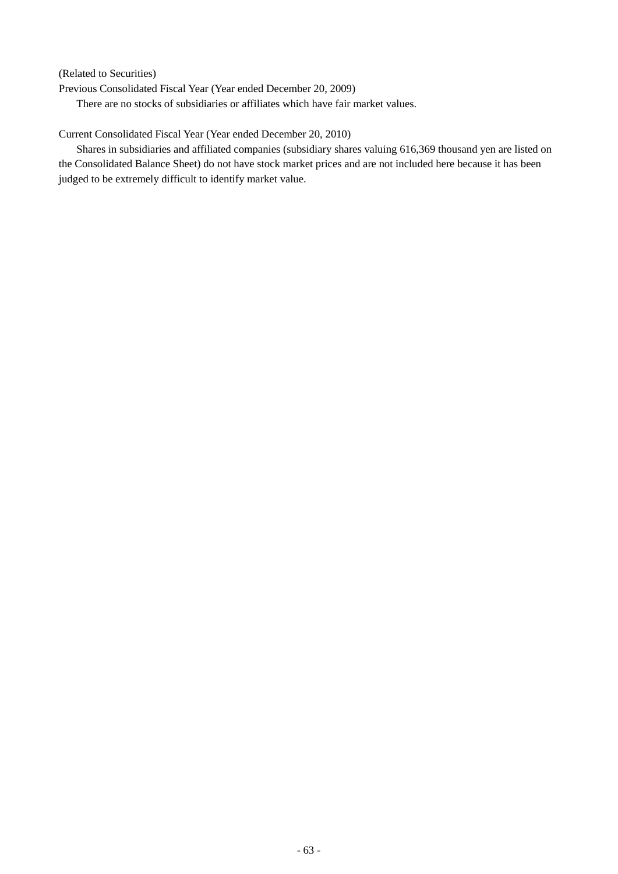(Related to Securities)

Previous Consolidated Fiscal Year (Year ended December 20, 2009) There are no stocks of subsidiaries or affiliates which have fair market values.

### Current Consolidated Fiscal Year (Year ended December 20, 2010)

Shares in subsidiaries and affiliated companies (subsidiary shares valuing 616,369 thousand yen are listed on the Consolidated Balance Sheet) do not have stock market prices and are not included here because it has been judged to be extremely difficult to identify market value.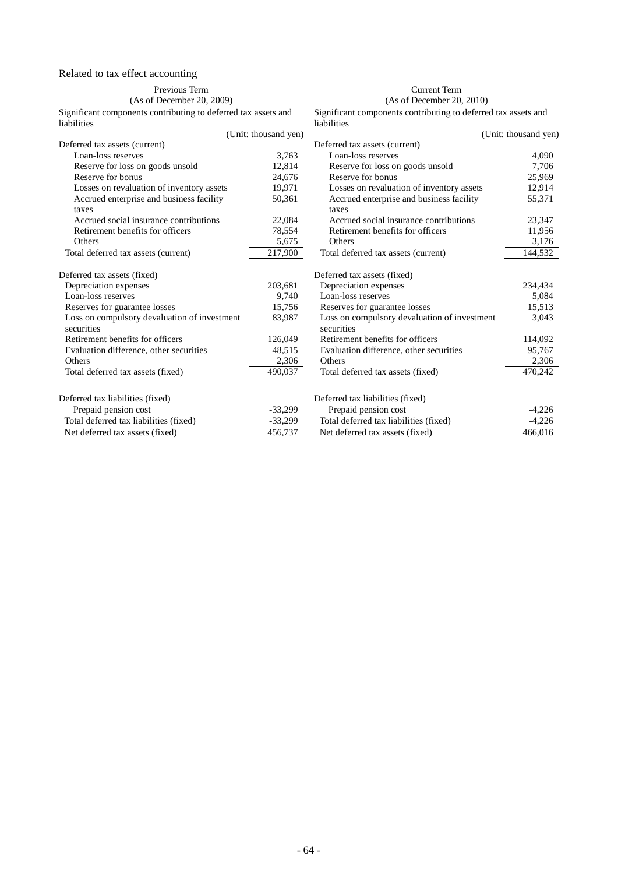Related to tax effect accounting

| Previous Term                                                  |                                              | <b>Current Term</b>                                                                                                                   |  |
|----------------------------------------------------------------|----------------------------------------------|---------------------------------------------------------------------------------------------------------------------------------------|--|
| (As of December 20, 2009)                                      |                                              | (As of December 20, 2010)                                                                                                             |  |
| Significant components contributing to deferred tax assets and |                                              | Significant components contributing to deferred tax assets and                                                                        |  |
|                                                                | liabilities                                  |                                                                                                                                       |  |
| (Unit: thousand yen)                                           |                                              | (Unit: thousand yen)                                                                                                                  |  |
|                                                                | Deferred tax assets (current)                |                                                                                                                                       |  |
| 3,763                                                          | Loan-loss reserves                           | 4,090                                                                                                                                 |  |
| 12,814                                                         | Reserve for loss on goods unsold             | 7,706                                                                                                                                 |  |
| 24,676                                                         | Reserve for bonus                            | 25,969                                                                                                                                |  |
| 19,971                                                         | Losses on revaluation of inventory assets    | 12,914                                                                                                                                |  |
| 50,361                                                         | Accrued enterprise and business facility     | 55,371                                                                                                                                |  |
|                                                                | taxes                                        |                                                                                                                                       |  |
| 22,084                                                         | Accrued social insurance contributions       | 23,347                                                                                                                                |  |
| 78,554                                                         | Retirement benefits for officers             | 11,956                                                                                                                                |  |
| 5,675                                                          | Others                                       | 3,176                                                                                                                                 |  |
| 217,900                                                        | Total deferred tax assets (current)          | 144,532                                                                                                                               |  |
|                                                                |                                              |                                                                                                                                       |  |
|                                                                | Deferred tax assets (fixed)                  |                                                                                                                                       |  |
| 203,681                                                        | Depreciation expenses                        | 234,434                                                                                                                               |  |
| 9,740                                                          | Loan-loss reserves                           | 5,084                                                                                                                                 |  |
| 15,756                                                         | Reserves for guarantee losses                | 15,513                                                                                                                                |  |
| 83,987                                                         | Loss on compulsory devaluation of investment | 3,043                                                                                                                                 |  |
|                                                                | securities                                   |                                                                                                                                       |  |
| 126,049                                                        | Retirement benefits for officers             | 114,092                                                                                                                               |  |
| 48,515                                                         | Evaluation difference, other securities      | 95,767                                                                                                                                |  |
| 2,306                                                          | Others                                       | 2,306                                                                                                                                 |  |
| 490,037                                                        | Total deferred tax assets (fixed)            | 470,242                                                                                                                               |  |
|                                                                |                                              |                                                                                                                                       |  |
|                                                                |                                              |                                                                                                                                       |  |
|                                                                |                                              | $-4,226$                                                                                                                              |  |
|                                                                |                                              | $-4,226$                                                                                                                              |  |
|                                                                |                                              | 466,016                                                                                                                               |  |
|                                                                |                                              |                                                                                                                                       |  |
|                                                                | $-33,299$<br>$-33,299$<br>456,737            | Deferred tax liabilities (fixed)<br>Prepaid pension cost<br>Total deferred tax liabilities (fixed)<br>Net deferred tax assets (fixed) |  |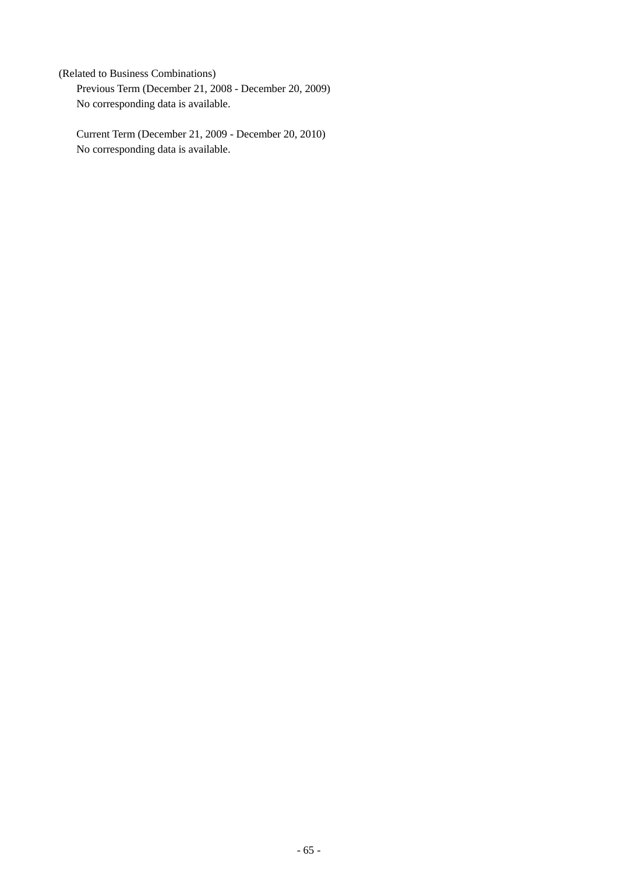(Related to Business Combinations) Previous Term (December 21, 2008 - December 20, 2009) No corresponding data is available.

Current Term (December 21, 2009 - December 20, 2010) No corresponding data is available.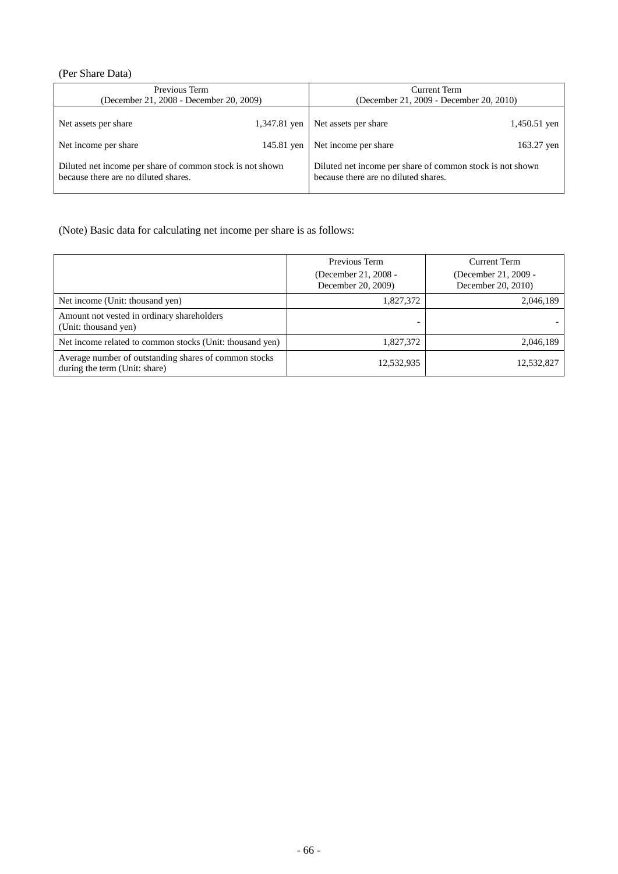# (Per Share Data)

| Previous Term<br>(December 21, 2008 - December 20, 2009)                                          |              | Current Term<br>(December 21, 2009 - December 20, 2010)                                           |                |
|---------------------------------------------------------------------------------------------------|--------------|---------------------------------------------------------------------------------------------------|----------------|
| Net assets per share                                                                              | 1,347.81 yen | Net assets per share                                                                              | $1,450.51$ yen |
| Net income per share                                                                              | 145.81 yen   | Net income per share                                                                              | 163.27 yen     |
| Diluted net income per share of common stock is not shown<br>because there are no diluted shares. |              | Diluted net income per share of common stock is not shown<br>because there are no diluted shares. |                |

(Note) Basic data for calculating net income per share is as follows:

|                                                                                        | Previous Term<br>(December 21, 2008 -<br>December 20, 2009) | Current Term<br>(December 21, 2009 -<br>December 20, 2010) |
|----------------------------------------------------------------------------------------|-------------------------------------------------------------|------------------------------------------------------------|
| Net income (Unit: thousand yen)                                                        | 1,827,372                                                   | 2,046,189                                                  |
| Amount not vested in ordinary shareholders<br>(Unit: thousand yen)                     |                                                             |                                                            |
| Net income related to common stocks (Unit: thousand yen)                               | 1,827,372                                                   | 2,046,189                                                  |
| Average number of outstanding shares of common stocks<br>during the term (Unit: share) | 12,532,935                                                  | 12,532,827                                                 |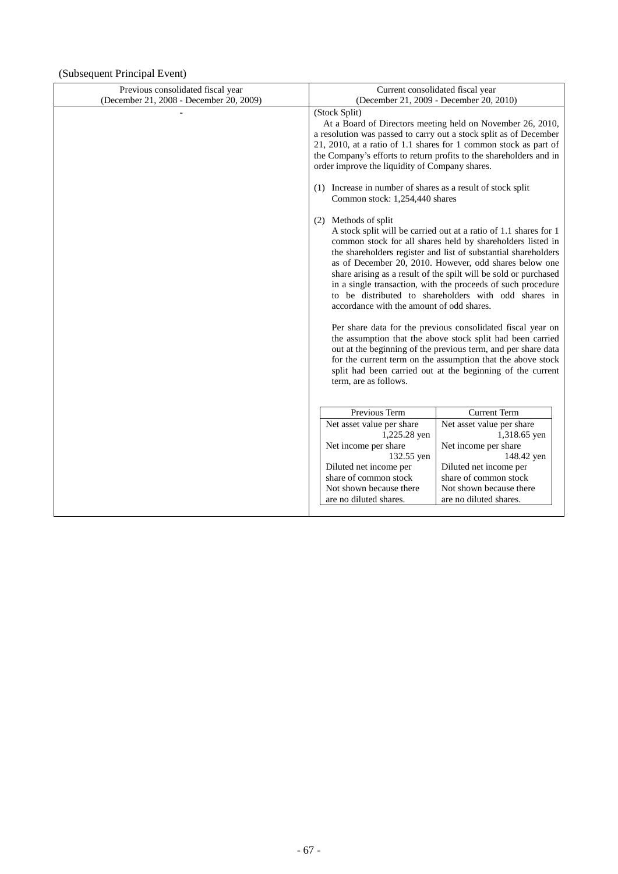# (Subsequent Principal Event)

| Previous consolidated fiscal year<br>(December 21, 2008 - December 20, 2009) | Current consolidated fiscal year<br>(December 21, 2009 - December 20, 2010)                                                                                                                                                                                                                                                                                                                                                                                                                                                                                                                                                                                                                                                                                                                                                                                                                                                                                                                                                                                                                                                                                                                                                                       |                                           |  |  |
|------------------------------------------------------------------------------|---------------------------------------------------------------------------------------------------------------------------------------------------------------------------------------------------------------------------------------------------------------------------------------------------------------------------------------------------------------------------------------------------------------------------------------------------------------------------------------------------------------------------------------------------------------------------------------------------------------------------------------------------------------------------------------------------------------------------------------------------------------------------------------------------------------------------------------------------------------------------------------------------------------------------------------------------------------------------------------------------------------------------------------------------------------------------------------------------------------------------------------------------------------------------------------------------------------------------------------------------|-------------------------------------------|--|--|
|                                                                              | a resolution was passed to carry out a stock split as of December<br>21, 2010, at a ratio of 1.1 shares for 1 common stock as part of<br>the Company's efforts to return profits to the shareholders and in<br>order improve the liquidity of Company shares.<br>(1) Increase in number of shares as a result of stock split<br>Common stock: 1,254,440 shares<br>(2) Methods of split<br>A stock split will be carried out at a ratio of 1.1 shares for 1<br>common stock for all shares held by shareholders listed in<br>the shareholders register and list of substantial shareholders<br>as of December 20, 2010. However, odd shares below one<br>share arising as a result of the spilt will be sold or purchased<br>in a single transaction, with the proceeds of such procedure<br>to be distributed to shareholders with odd shares in<br>accordance with the amount of odd shares.<br>Per share data for the previous consolidated fiscal year on<br>the assumption that the above stock split had been carried<br>out at the beginning of the previous term, and per share data<br>for the current term on the assumption that the above stock<br>split had been carried out at the beginning of the current<br>term, are as follows. |                                           |  |  |
|                                                                              | Previous Term                                                                                                                                                                                                                                                                                                                                                                                                                                                                                                                                                                                                                                                                                                                                                                                                                                                                                                                                                                                                                                                                                                                                                                                                                                     | <b>Current Term</b>                       |  |  |
|                                                                              | Net asset value per share<br>1,225.28 yen                                                                                                                                                                                                                                                                                                                                                                                                                                                                                                                                                                                                                                                                                                                                                                                                                                                                                                                                                                                                                                                                                                                                                                                                         | Net asset value per share<br>1,318.65 yen |  |  |
|                                                                              | Net income per share                                                                                                                                                                                                                                                                                                                                                                                                                                                                                                                                                                                                                                                                                                                                                                                                                                                                                                                                                                                                                                                                                                                                                                                                                              | Net income per share                      |  |  |
|                                                                              | 132.55 yen                                                                                                                                                                                                                                                                                                                                                                                                                                                                                                                                                                                                                                                                                                                                                                                                                                                                                                                                                                                                                                                                                                                                                                                                                                        | 148.42 yen                                |  |  |
|                                                                              | Diluted net income per                                                                                                                                                                                                                                                                                                                                                                                                                                                                                                                                                                                                                                                                                                                                                                                                                                                                                                                                                                                                                                                                                                                                                                                                                            | Diluted net income per                    |  |  |
|                                                                              | share of common stock                                                                                                                                                                                                                                                                                                                                                                                                                                                                                                                                                                                                                                                                                                                                                                                                                                                                                                                                                                                                                                                                                                                                                                                                                             | share of common stock                     |  |  |
|                                                                              | Not shown because there                                                                                                                                                                                                                                                                                                                                                                                                                                                                                                                                                                                                                                                                                                                                                                                                                                                                                                                                                                                                                                                                                                                                                                                                                           | Not shown because there                   |  |  |
|                                                                              | are no diluted shares.                                                                                                                                                                                                                                                                                                                                                                                                                                                                                                                                                                                                                                                                                                                                                                                                                                                                                                                                                                                                                                                                                                                                                                                                                            | are no diluted shares.                    |  |  |
|                                                                              |                                                                                                                                                                                                                                                                                                                                                                                                                                                                                                                                                                                                                                                                                                                                                                                                                                                                                                                                                                                                                                                                                                                                                                                                                                                   |                                           |  |  |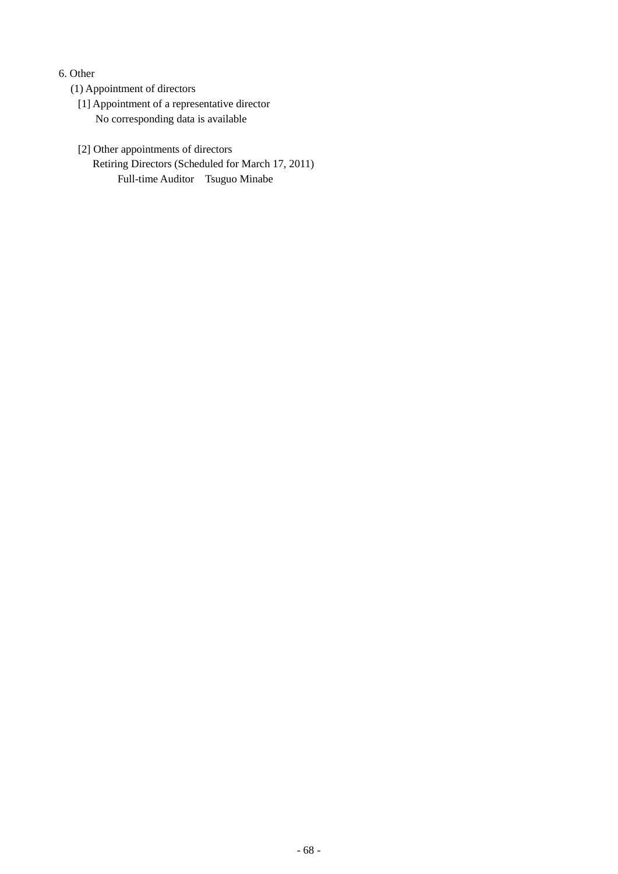# 6. Other

- (1) Appointment of directors
	- [1] Appointment of a representative director No corresponding data is available
	- [2] Other appointments of directors Retiring Directors (Scheduled for March 17, 2011) Full-time Auditor Tsuguo Minabe